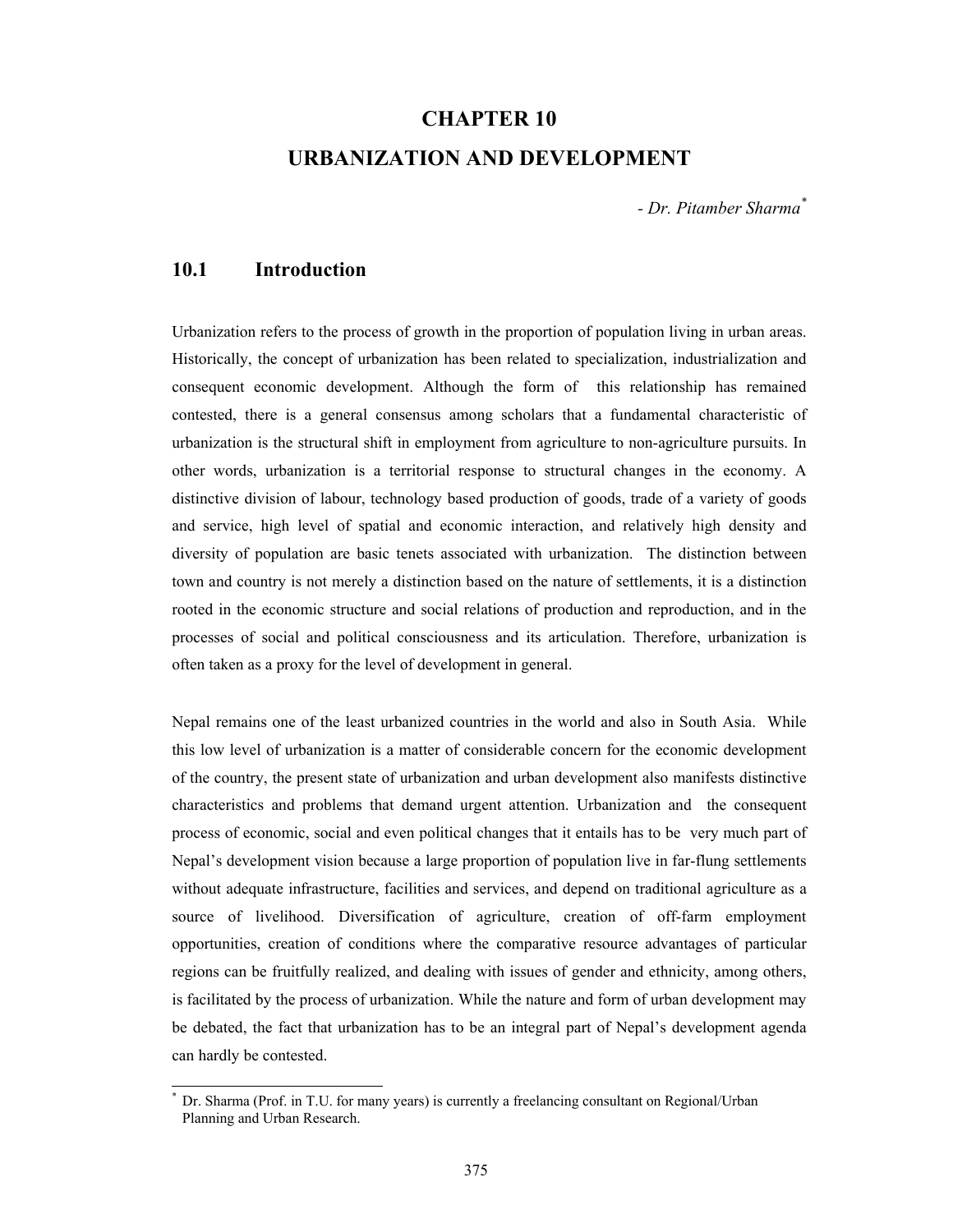#### **CHAPTER 10**

# **URBANIZATION AND DEVELOPMENT**

*- Dr. Pitamber Sharma\**

#### **10.1 Introduction**

 $\overline{a}$ 

Urbanization refers to the process of growth in the proportion of population living in urban areas. Historically, the concept of urbanization has been related to specialization, industrialization and consequent economic development. Although the form of this relationship has remained contested, there is a general consensus among scholars that a fundamental characteristic of urbanization is the structural shift in employment from agriculture to non-agriculture pursuits. In other words, urbanization is a territorial response to structural changes in the economy. A distinctive division of labour, technology based production of goods, trade of a variety of goods and service, high level of spatial and economic interaction, and relatively high density and diversity of population are basic tenets associated with urbanization. The distinction between town and country is not merely a distinction based on the nature of settlements, it is a distinction rooted in the economic structure and social relations of production and reproduction, and in the processes of social and political consciousness and its articulation. Therefore, urbanization is often taken as a proxy for the level of development in general.

Nepal remains one of the least urbanized countries in the world and also in South Asia. While this low level of urbanization is a matter of considerable concern for the economic development of the country, the present state of urbanization and urban development also manifests distinctive characteristics and problems that demand urgent attention. Urbanization and the consequent process of economic, social and even political changes that it entails has to be very much part of Nepal's development vision because a large proportion of population live in far-flung settlements without adequate infrastructure, facilities and services, and depend on traditional agriculture as a source of livelihood. Diversification of agriculture, creation of off-farm employment opportunities, creation of conditions where the comparative resource advantages of particular regions can be fruitfully realized, and dealing with issues of gender and ethnicity, among others, is facilitated by the process of urbanization. While the nature and form of urban development may be debated, the fact that urbanization has to be an integral part of Nepal's development agenda can hardly be contested.

<sup>\*</sup> Dr. Sharma (Prof. in T.U. for many years) is currently a freelancing consultant on Regional/Urban Planning and Urban Research.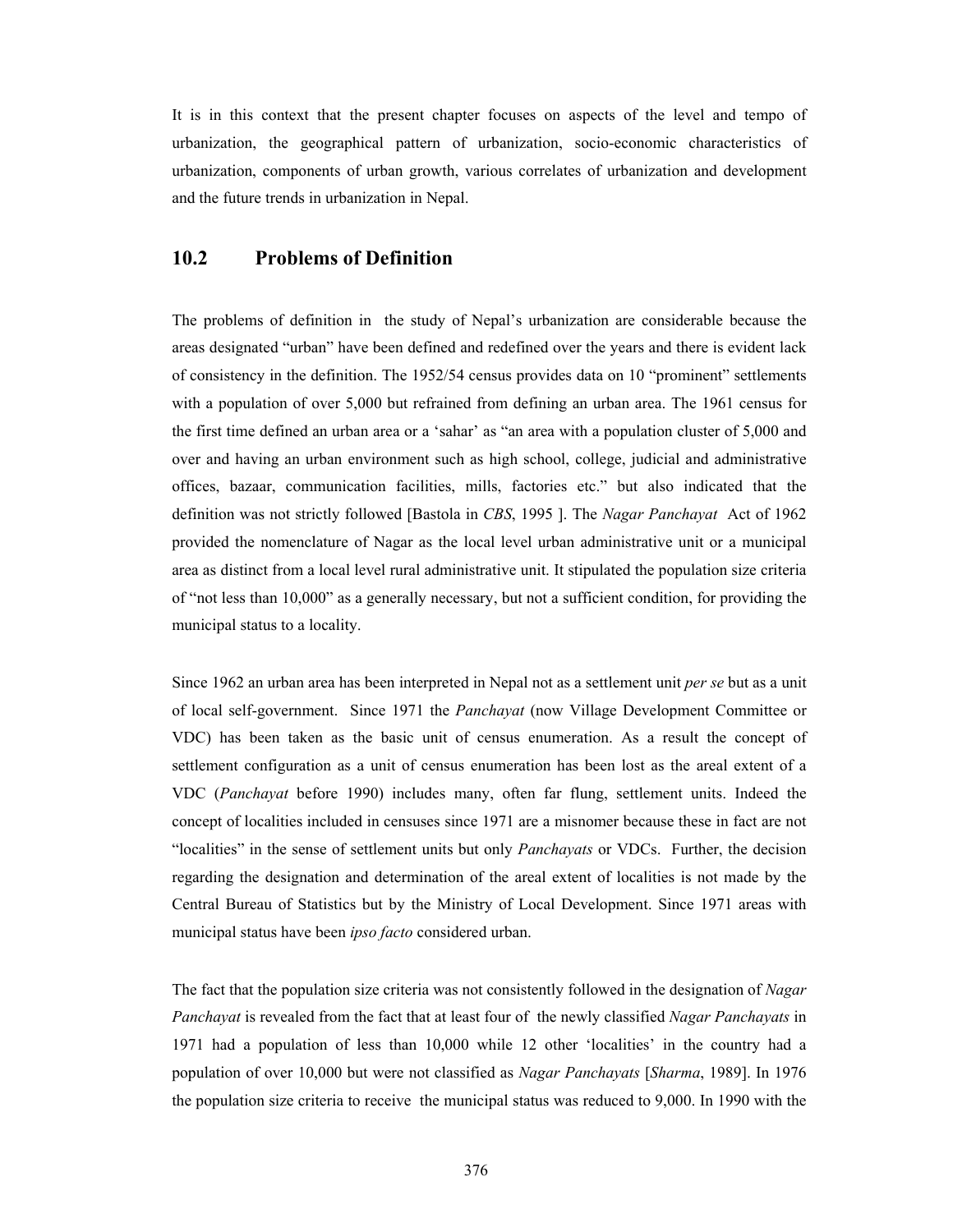It is in this context that the present chapter focuses on aspects of the level and tempo of urbanization, the geographical pattern of urbanization, socio-economic characteristics of urbanization, components of urban growth, various correlates of urbanization and development and the future trends in urbanization in Nepal.

# **10.2 Problems of Definition**

The problems of definition in the study of Nepal's urbanization are considerable because the areas designated "urban" have been defined and redefined over the years and there is evident lack of consistency in the definition. The 1952/54 census provides data on 10 "prominent" settlements with a population of over 5,000 but refrained from defining an urban area. The 1961 census for the first time defined an urban area or a 'sahar' as "an area with a population cluster of 5,000 and over and having an urban environment such as high school, college, judicial and administrative offices, bazaar, communication facilities, mills, factories etc." but also indicated that the definition was not strictly followed [Bastola in *CBS*, 1995 ]. The *Nagar Panchayat* Act of 1962 provided the nomenclature of Nagar as the local level urban administrative unit or a municipal area as distinct from a local level rural administrative unit. It stipulated the population size criteria of "not less than 10,000" as a generally necessary, but not a sufficient condition, for providing the municipal status to a locality.

Since 1962 an urban area has been interpreted in Nepal not as a settlement unit *per se* but as a unit of local self-government. Since 1971 the *Panchayat* (now Village Development Committee or VDC) has been taken as the basic unit of census enumeration. As a result the concept of settlement configuration as a unit of census enumeration has been lost as the areal extent of a VDC (*Panchayat* before 1990) includes many, often far flung, settlement units. Indeed the concept of localities included in censuses since 1971 are a misnomer because these in fact are not "localities" in the sense of settlement units but only *Panchayats* or VDCs. Further, the decision regarding the designation and determination of the areal extent of localities is not made by the Central Bureau of Statistics but by the Ministry of Local Development. Since 1971 areas with municipal status have been *ipso facto* considered urban.

The fact that the population size criteria was not consistently followed in the designation of *Nagar Panchayat* is revealed from the fact that at least four of the newly classified *Nagar Panchayats* in 1971 had a population of less than 10,000 while 12 other 'localities' in the country had a population of over 10,000 but were not classified as *Nagar Panchayats* [*Sharma*, 1989]. In 1976 the population size criteria to receive the municipal status was reduced to 9,000. In 1990 with the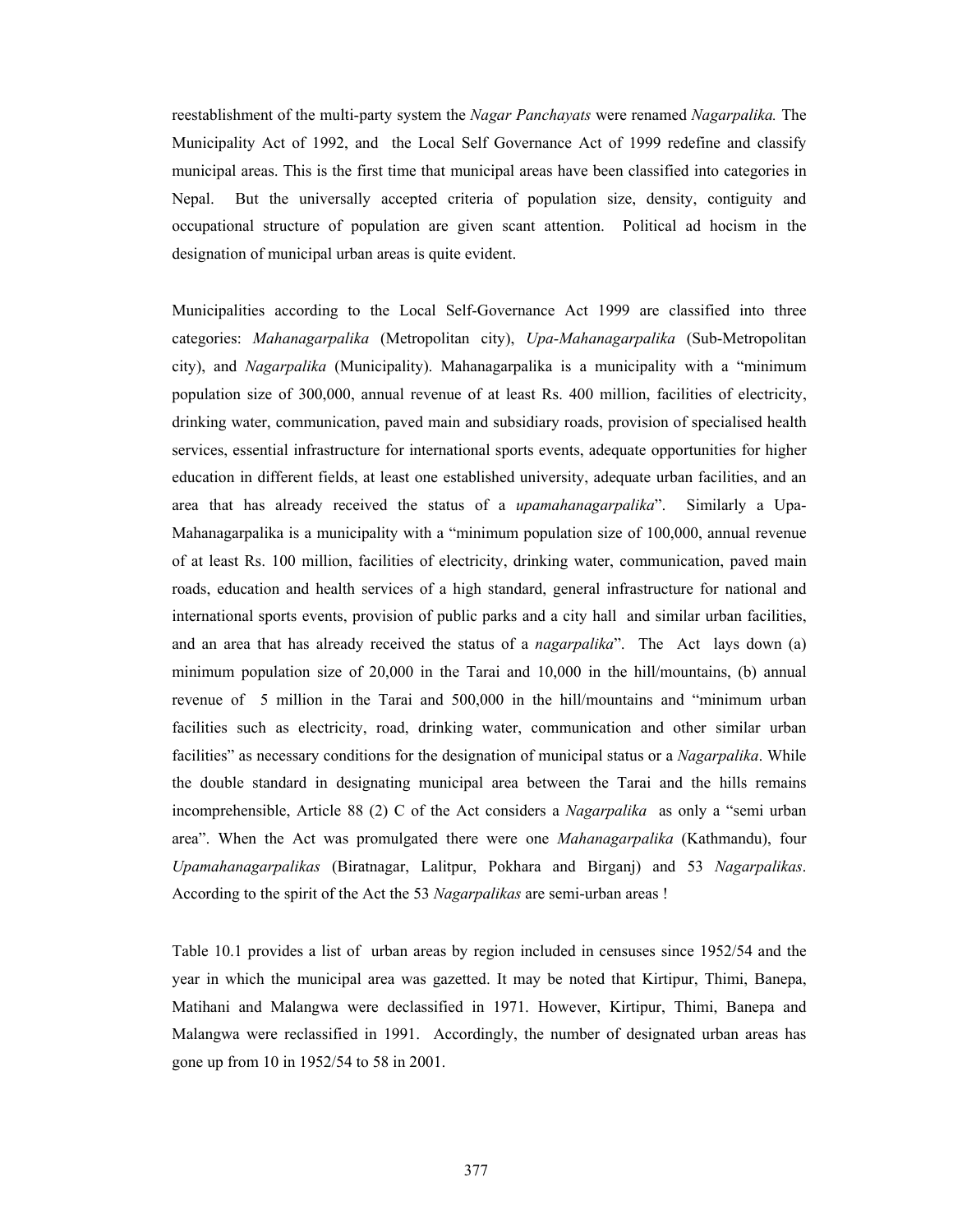reestablishment of the multi-party system the *Nagar Panchayats* were renamed *Nagarpalika.* The Municipality Act of 1992, and the Local Self Governance Act of 1999 redefine and classify municipal areas. This is the first time that municipal areas have been classified into categories in Nepal. But the universally accepted criteria of population size, density, contiguity and occupational structure of population are given scant attention. Political ad hocism in the designation of municipal urban areas is quite evident.

Municipalities according to the Local Self-Governance Act 1999 are classified into three categories: *Mahanagarpalika* (Metropolitan city), *Upa-Mahanagarpalika* (Sub-Metropolitan city), and *Nagarpalika* (Municipality). Mahanagarpalika is a municipality with a "minimum population size of 300,000, annual revenue of at least Rs. 400 million, facilities of electricity, drinking water, communication, paved main and subsidiary roads, provision of specialised health services, essential infrastructure for international sports events, adequate opportunities for higher education in different fields, at least one established university, adequate urban facilities, and an area that has already received the status of a *upamahanagarpalika*". Similarly a Upa-Mahanagarpalika is a municipality with a "minimum population size of 100,000, annual revenue of at least Rs. 100 million, facilities of electricity, drinking water, communication, paved main roads, education and health services of a high standard, general infrastructure for national and international sports events, provision of public parks and a city hall and similar urban facilities, and an area that has already received the status of a *nagarpalika*". The Act lays down (a) minimum population size of 20,000 in the Tarai and 10,000 in the hill/mountains, (b) annual revenue of 5 million in the Tarai and 500,000 in the hill/mountains and "minimum urban facilities such as electricity, road, drinking water, communication and other similar urban facilities" as necessary conditions for the designation of municipal status or a *Nagarpalika*. While the double standard in designating municipal area between the Tarai and the hills remains incomprehensible, Article 88 (2) C of the Act considers a *Nagarpalika* as only a "semi urban area". When the Act was promulgated there were one *Mahanagarpalika* (Kathmandu), four *Upamahanagarpalikas* (Biratnagar, Lalitpur, Pokhara and Birganj) and 53 *Nagarpalikas*. According to the spirit of the Act the 53 *Nagarpalikas* are semi-urban areas !

Table 10.1 provides a list of urban areas by region included in censuses since 1952/54 and the year in which the municipal area was gazetted. It may be noted that Kirtipur, Thimi, Banepa, Matihani and Malangwa were declassified in 1971. However, Kirtipur, Thimi, Banepa and Malangwa were reclassified in 1991. Accordingly, the number of designated urban areas has gone up from 10 in 1952/54 to 58 in 2001.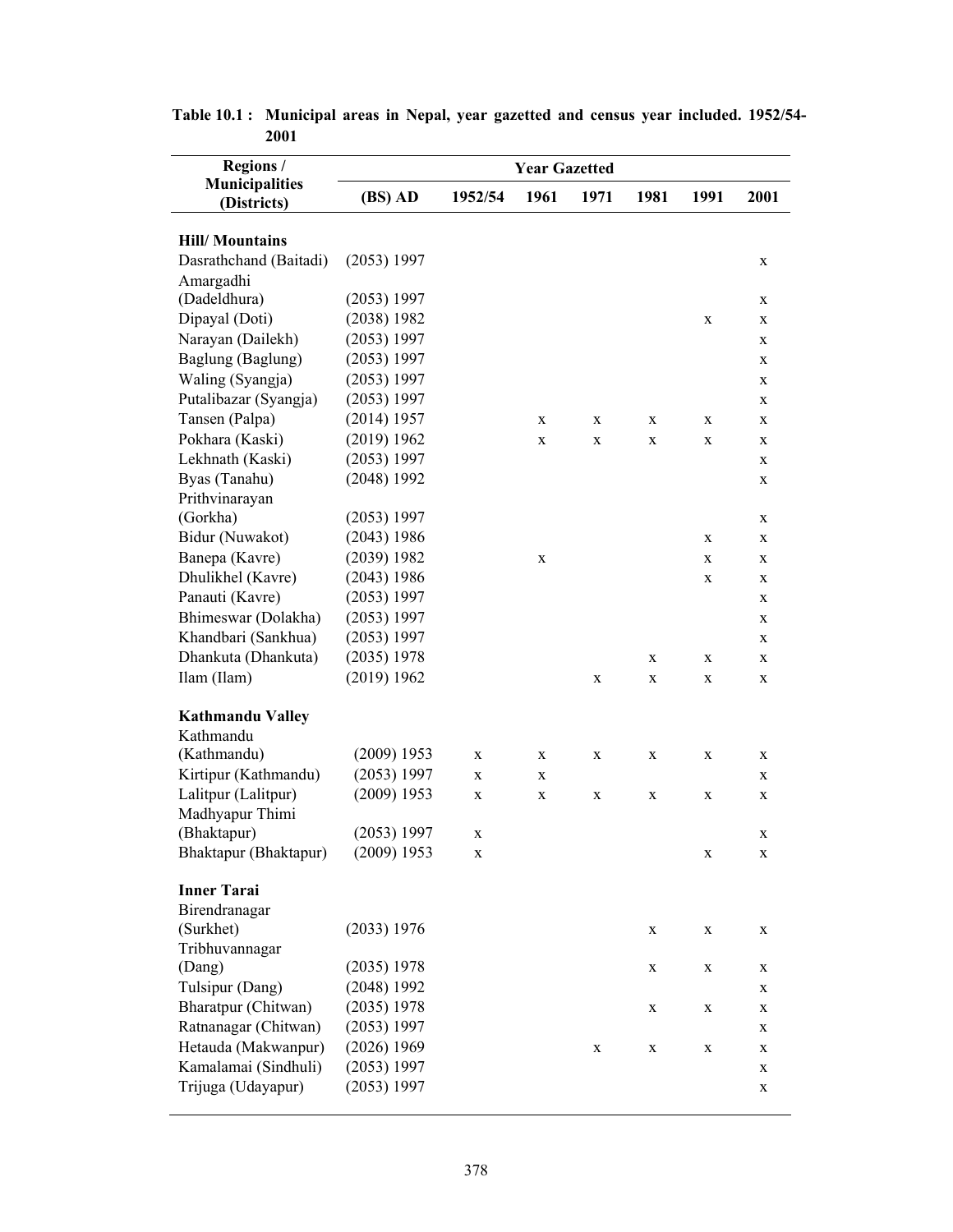| Regions /                            | <b>Year Gazetted</b> |             |             |      |             |             |              |
|--------------------------------------|----------------------|-------------|-------------|------|-------------|-------------|--------------|
| <b>Municipalities</b><br>(Districts) | (BS) AD              | 1952/54     | 1961        | 1971 | 1981        | 1991        | 2001         |
| <b>Hill/Mountains</b>                |                      |             |             |      |             |             |              |
| Dasrathchand (Baitadi)               | (2053) 1997          |             |             |      |             |             | $\mathbf X$  |
| Amargadhi                            |                      |             |             |      |             |             |              |
| (Dadeldhura)                         | (2053) 1997          |             |             |      |             |             | $\mathbf X$  |
| Dipayal (Doti)                       | (2038) 1982          |             |             |      |             | $\mathbf X$ | X            |
| Narayan (Dailekh)                    | (2053) 1997          |             |             |      |             |             | $\mathbf X$  |
| Baglung (Baglung)                    | (2053) 1997          |             |             |      |             |             | X            |
| Waling (Syangja)                     | (2053) 1997          |             |             |      |             |             | X            |
| Putalibazar (Syangja)                | (2053) 1997          |             |             |      |             |             | $\mathbf{X}$ |
| Tansen (Palpa)                       | (2014) 1957          |             | X           | X    | $\mathbf X$ | $\mathbf X$ | X            |
| Pokhara (Kaski)                      | (2019) 1962          |             | X           | X    | $\mathbf X$ | X           | $\mathbf{X}$ |
| Lekhnath (Kaski)                     | (2053) 1997          |             |             |      |             |             | $\mathbf X$  |
| Byas (Tanahu)                        | $(2048)$ 1992        |             |             |      |             |             | $\mathbf X$  |
| Prithvinarayan                       |                      |             |             |      |             |             |              |
| (Gorkha)                             | (2053) 1997          |             |             |      |             |             | X            |
| Bidur (Nuwakot)                      | $(2043)$ 1986        |             |             |      |             | X           | X            |
| Banepa (Kavre)                       | (2039) 1982          |             | $\mathbf X$ |      |             | $\mathbf X$ | $\mathbf X$  |
| Dhulikhel (Kavre)                    | (2043) 1986          |             |             |      |             | $\mathbf X$ | $\mathbf X$  |
| Panauti (Kavre)                      | (2053) 1997          |             |             |      |             |             | $\mathbf X$  |
| Bhimeswar (Dolakha)                  | (2053) 1997          |             |             |      |             |             | $\mathbf X$  |
| Khandbari (Sankhua)                  | (2053) 1997          |             |             |      |             |             | $\mathbf X$  |
| Dhankuta (Dhankuta)                  | (2035) 1978          |             |             |      | X           | X           | X            |
| Ilam (Ilam)                          | (2019) 1962          |             |             | X    | X           | X           | X            |
| <b>Kathmandu Valley</b>              |                      |             |             |      |             |             |              |
| Kathmandu                            |                      |             |             |      |             |             |              |
| (Kathmandu)                          | $(2009)$ 1953        | X           | X           | X    | X           | X           | X            |
| Kirtipur (Kathmandu)                 | (2053) 1997          | $\mathbf X$ | X           |      |             |             | X            |
| Lalitpur (Lalitpur)                  | $(2009)$ 1953        | $\mathbf X$ | X           | X    | $\mathbf X$ | X           | X            |
| Madhyapur Thimi                      |                      |             |             |      |             |             |              |
| (Bhaktapur)                          | (2053) 1997          | $\mathbf X$ |             |      |             |             | $\mathbf X$  |
| Bhaktapur (Bhaktapur)                | $(2009)$ 1953        | X           |             |      |             | X           | X            |
| <b>Inner Tarai</b>                   |                      |             |             |      |             |             |              |
| Birendranagar                        |                      |             |             |      |             |             |              |
| (Surkhet)                            | (2033) 1976          |             |             |      | X           | X           | X            |
| Tribhuvannagar                       |                      |             |             |      |             |             |              |
| (Dang)                               | (2035) 1978          |             |             |      | X           | X           | X            |
| Tulsipur (Dang)                      | (2048) 1992          |             |             |      |             |             | $\mathbf X$  |
| Bharatpur (Chitwan)                  | (2035) 1978          |             |             |      | X           | X           | $\mathbf X$  |
| Ratnanagar (Chitwan)                 | (2053) 1997          |             |             |      |             |             | X            |
| Hetauda (Makwanpur)                  | (2026) 1969          |             |             | X    | $\mathbf X$ | X           | $\mathbf X$  |
| Kamalamai (Sindhuli)                 | (2053) 1997          |             |             |      |             |             | $\mathbf X$  |
| Trijuga (Udayapur)                   | (2053) 1997          |             |             |      |             |             | $\mathbf X$  |

| Table 10.1: Municipal areas in Nepal, year gazetted and census year included. 1952/54- |  |  |
|----------------------------------------------------------------------------------------|--|--|
| 2001                                                                                   |  |  |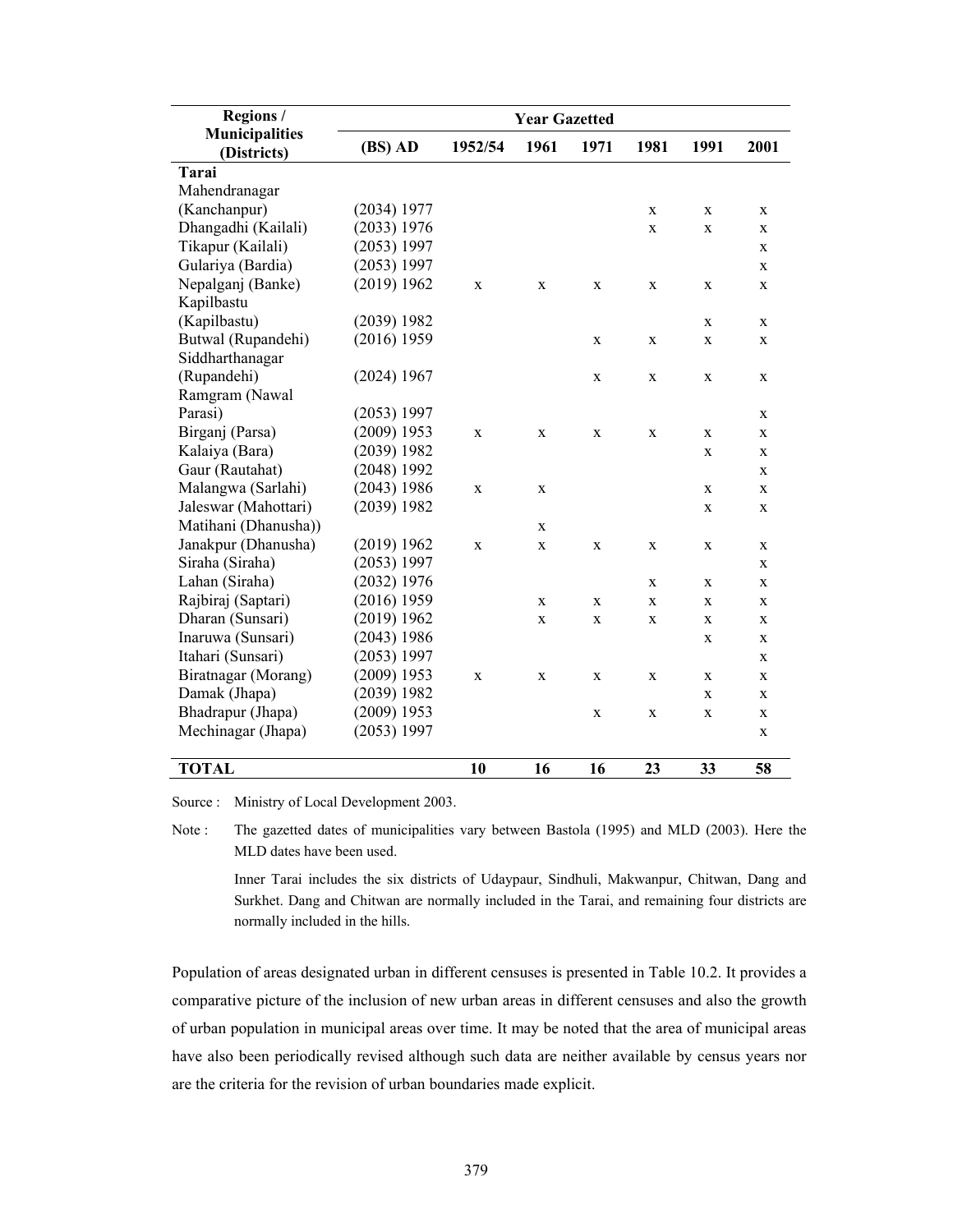| Regions /                            | <b>Year Gazetted</b> |              |             |             |             |             |              |  |
|--------------------------------------|----------------------|--------------|-------------|-------------|-------------|-------------|--------------|--|
| <b>Municipalities</b><br>(Districts) | (BS) AD              | 1952/54      | 1961        | 1971        | 1981        | 1991        | 2001         |  |
| Tarai                                |                      |              |             |             |             |             |              |  |
| Mahendranagar                        |                      |              |             |             |             |             |              |  |
| (Kanchanpur)                         | (2034) 1977          |              |             |             | $\mathbf X$ | X           | X            |  |
| Dhangadhi (Kailali)                  | (2033) 1976          |              |             |             | $\mathbf X$ | $\mathbf X$ | X            |  |
| Tikapur (Kailali)                    | (2053) 1997          |              |             |             |             |             | $\mathbf{X}$ |  |
| Gulariya (Bardia)                    | (2053) 1997          |              |             |             |             |             | $\mathbf X$  |  |
| Nepalganj (Banke)                    | (2019) 1962          | $\mathbf X$  | X           | $\mathbf X$ | $\mathbf X$ | X           | $\mathbf X$  |  |
| Kapilbastu                           |                      |              |             |             |             |             |              |  |
| (Kapilbastu)                         | (2039) 1982          |              |             |             |             | X           | $\mathbf X$  |  |
| Butwal (Rupandehi)                   | (2016) 1959          |              |             | X           | $\mathbf X$ | $\mathbf X$ | $\mathbf X$  |  |
| Siddharthanagar                      |                      |              |             |             |             |             |              |  |
| (Rupandehi)                          | (2024) 1967          |              |             | $\mathbf X$ | $\mathbf X$ | $\mathbf X$ | $\mathbf X$  |  |
| Ramgram (Nawal                       |                      |              |             |             |             |             |              |  |
| Parasi)                              | (2053) 1997          |              |             |             |             |             | X            |  |
| Birganj (Parsa)                      | $(2009)$ 1953        | $\mathbf X$  | $\mathbf X$ | $\mathbf X$ | $\mathbf X$ | X           | X            |  |
| Kalaiya (Bara)                       | (2039) 1982          |              |             |             |             | $\mathbf X$ | $\mathbf X$  |  |
| Gaur (Rautahat)                      | $(2048)$ 1992        |              |             |             |             |             | $\mathbf X$  |  |
| Malangwa (Sarlahi)                   | $(2043)$ 1986        | $\mathbf X$  | $\mathbf X$ |             |             | X           | $\mathbf X$  |  |
| Jaleswar (Mahottari)                 | (2039) 1982          |              |             |             |             | $\mathbf X$ | $\mathbf X$  |  |
| Matihani (Dhanusha))                 |                      |              | $\mathbf X$ |             |             |             |              |  |
| Janakpur (Dhanusha)                  | (2019) 1962          | $\mathbf X$  | $\mathbf X$ | X           | $\mathbf X$ | $\mathbf X$ | $\mathbf X$  |  |
| Siraha (Siraha)                      | (2053) 1997          |              |             |             |             |             | $\mathbf X$  |  |
| Lahan (Siraha)                       | (2032) 1976          |              |             |             | $\mathbf X$ | X           | $\mathbf X$  |  |
| Rajbiraj (Saptari)                   | (2016) 1959          |              | $\mathbf X$ | X           | $\mathbf X$ | $\mathbf X$ | $\mathbf X$  |  |
| Dharan (Sunsari)                     | (2019) 1962          |              | $\mathbf X$ | $\mathbf X$ | $\mathbf X$ | X           | $\mathbf X$  |  |
| Inaruwa (Sunsari)                    | (2043) 1986          |              |             |             |             | $\mathbf X$ | $\mathbf X$  |  |
| Itahari (Sunsari)                    | (2053) 1997          |              |             |             |             |             | $\mathbf X$  |  |
| Biratnagar (Morang)                  | $(2009)$ 1953        | $\mathbf{X}$ | $\mathbf X$ | X           | $\mathbf X$ | $\mathbf X$ | $\mathbf X$  |  |
| Damak (Jhapa)                        | (2039) 1982          |              |             |             |             | X           | $\mathbf X$  |  |
| Bhadrapur (Jhapa)                    | $(2009)$ 1953        |              |             | $\mathbf X$ | $\mathbf X$ | X           | X            |  |
| Mechinagar (Jhapa)                   | (2053) 1997          |              |             |             |             |             | $\mathbf X$  |  |
| <b>TOTAL</b>                         |                      | 10           | 16          | 16          | 23          | 33          | 58           |  |

Source : Ministry of Local Development 2003.

Note : The gazetted dates of municipalities vary between Bastola (1995) and MLD (2003). Here the MLD dates have been used.

 Inner Tarai includes the six districts of Udaypaur, Sindhuli, Makwanpur, Chitwan, Dang and Surkhet. Dang and Chitwan are normally included in the Tarai, and remaining four districts are normally included in the hills.

Population of areas designated urban in different censuses is presented in Table 10.2. It provides a comparative picture of the inclusion of new urban areas in different censuses and also the growth of urban population in municipal areas over time. It may be noted that the area of municipal areas have also been periodically revised although such data are neither available by census years nor are the criteria for the revision of urban boundaries made explicit.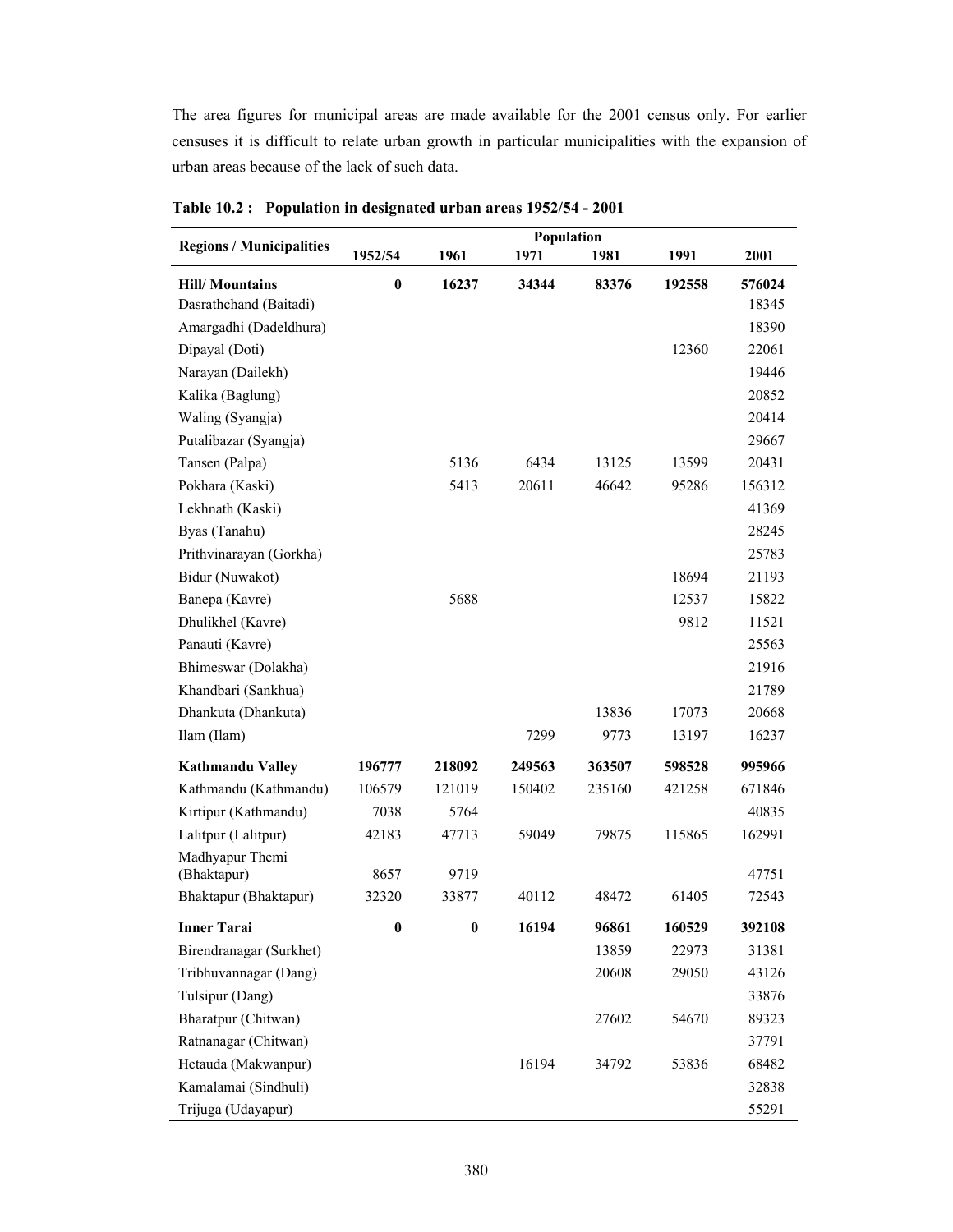The area figures for municipal areas are made available for the 2001 census only. For earlier censuses it is difficult to relate urban growth in particular municipalities with the expansion of urban areas because of the lack of such data.

| <b>Regions / Municipalities</b> |          |        | Population |        |        |        |
|---------------------------------|----------|--------|------------|--------|--------|--------|
|                                 | 1952/54  | 1961   | 1971       | 1981   | 1991   | 2001   |
| <b>Hill/Mountains</b>           | $\bf{0}$ | 16237  | 34344      | 83376  | 192558 | 576024 |
| Dasrathchand (Baitadi)          |          |        |            |        |        | 18345  |
| Amargadhi (Dadeldhura)          |          |        |            |        |        | 18390  |
| Dipayal (Doti)                  |          |        |            |        | 12360  | 22061  |
| Narayan (Dailekh)               |          |        |            |        |        | 19446  |
| Kalika (Baglung)                |          |        |            |        |        | 20852  |
| Waling (Syangja)                |          |        |            |        |        | 20414  |
| Putalibazar (Syangja)           |          |        |            |        |        | 29667  |
| Tansen (Palpa)                  |          | 5136   | 6434       | 13125  | 13599  | 20431  |
| Pokhara (Kaski)                 |          | 5413   | 20611      | 46642  | 95286  | 156312 |
| Lekhnath (Kaski)                |          |        |            |        |        | 41369  |
| Byas (Tanahu)                   |          |        |            |        |        | 28245  |
| Prithvinarayan (Gorkha)         |          |        |            |        |        | 25783  |
| Bidur (Nuwakot)                 |          |        |            |        | 18694  | 21193  |
| Banepa (Kavre)                  |          | 5688   |            |        | 12537  | 15822  |
| Dhulikhel (Kavre)               |          |        |            |        | 9812   | 11521  |
| Panauti (Kavre)                 |          |        |            |        |        | 25563  |
| Bhimeswar (Dolakha)             |          |        |            |        |        | 21916  |
| Khandbari (Sankhua)             |          |        |            |        |        | 21789  |
| Dhankuta (Dhankuta)             |          |        |            | 13836  | 17073  | 20668  |
| Ilam (Ilam)                     |          |        | 7299       | 9773   | 13197  | 16237  |
| <b>Kathmandu Valley</b>         | 196777   | 218092 | 249563     | 363507 | 598528 | 995966 |
| Kathmandu (Kathmandu)           | 106579   | 121019 | 150402     | 235160 | 421258 | 671846 |
| Kirtipur (Kathmandu)            | 7038     | 5764   |            |        |        | 40835  |
| Lalitpur (Lalitpur)             | 42183    | 47713  | 59049      | 79875  | 115865 | 162991 |
| Madhyapur Themi                 |          |        |            |        |        |        |
| (Bhaktapur)                     | 8657     | 9719   |            |        |        | 47751  |
| Bhaktapur (Bhaktapur)           | 32320    | 33877  | 40112      | 48472  | 61405  | 72543  |
| <b>Inner Tarai</b>              | 0        | 0      | 16194      | 96861  | 160529 | 392108 |
| Birendranagar (Surkhet)         |          |        |            | 13859  | 22973  | 31381  |
| Tribhuvannagar (Dang)           |          |        |            | 20608  | 29050  | 43126  |
| Tulsipur (Dang)                 |          |        |            |        |        | 33876  |
| Bharatpur (Chitwan)             |          |        |            | 27602  | 54670  | 89323  |
| Ratnanagar (Chitwan)            |          |        |            |        |        | 37791  |
| Hetauda (Makwanpur)             |          |        | 16194      | 34792  | 53836  | 68482  |
| Kamalamai (Sindhuli)            |          |        |            |        |        | 32838  |
| Trijuga (Udayapur)              |          |        |            |        |        | 55291  |

**Table 10.2 : Population in designated urban areas 1952/54 - 2001**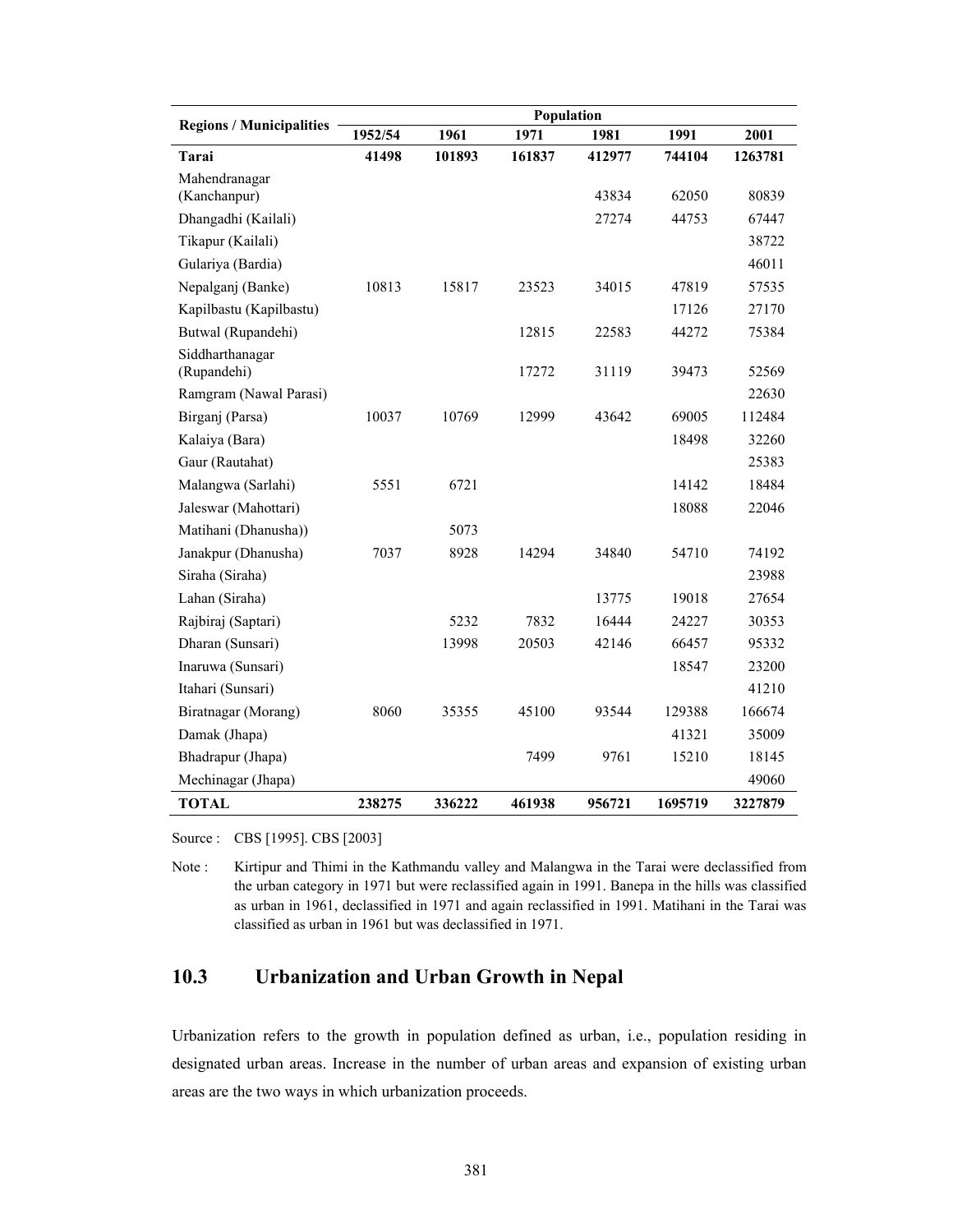| <b>Regions / Municipalities</b> | Population |        |        |        |         |         |  |  |
|---------------------------------|------------|--------|--------|--------|---------|---------|--|--|
|                                 | 1952/54    | 1961   | 1971   | 1981   | 1991    | 2001    |  |  |
| Tarai                           | 41498      | 101893 | 161837 | 412977 | 744104  | 1263781 |  |  |
| Mahendranagar<br>(Kanchanpur)   |            |        |        | 43834  | 62050   | 80839   |  |  |
| Dhangadhi (Kailali)             |            |        |        | 27274  | 44753   | 67447   |  |  |
| Tikapur (Kailali)               |            |        |        |        |         | 38722   |  |  |
| Gulariya (Bardia)               |            |        |        |        |         | 46011   |  |  |
| Nepalganj (Banke)               | 10813      | 15817  | 23523  | 34015  | 47819   | 57535   |  |  |
| Kapilbastu (Kapilbastu)         |            |        |        |        | 17126   | 27170   |  |  |
| Butwal (Rupandehi)              |            |        | 12815  | 22583  | 44272   | 75384   |  |  |
| Siddharthanagar<br>(Rupandehi)  |            |        | 17272  | 31119  | 39473   | 52569   |  |  |
| Ramgram (Nawal Parasi)          |            |        |        |        |         | 22630   |  |  |
| Birganj (Parsa)                 | 10037      | 10769  | 12999  | 43642  | 69005   | 112484  |  |  |
| Kalaiya (Bara)                  |            |        |        |        | 18498   | 32260   |  |  |
| Gaur (Rautahat)                 |            |        |        |        |         | 25383   |  |  |
| Malangwa (Sarlahi)              | 5551       | 6721   |        |        | 14142   | 18484   |  |  |
| Jaleswar (Mahottari)            |            |        |        |        | 18088   | 22046   |  |  |
| Matihani (Dhanusha))            |            | 5073   |        |        |         |         |  |  |
| Janakpur (Dhanusha)             | 7037       | 8928   | 14294  | 34840  | 54710   | 74192   |  |  |
| Siraha (Siraha)                 |            |        |        |        |         | 23988   |  |  |
| Lahan (Siraha)                  |            |        |        | 13775  | 19018   | 27654   |  |  |
| Rajbiraj (Saptari)              |            | 5232   | 7832   | 16444  | 24227   | 30353   |  |  |
| Dharan (Sunsari)                |            | 13998  | 20503  | 42146  | 66457   | 95332   |  |  |
| Inaruwa (Sunsari)               |            |        |        |        | 18547   | 23200   |  |  |
| Itahari (Sunsari)               |            |        |        |        |         | 41210   |  |  |
| Biratnagar (Morang)             | 8060       | 35355  | 45100  | 93544  | 129388  | 166674  |  |  |
| Damak (Jhapa)                   |            |        |        |        | 41321   | 35009   |  |  |
| Bhadrapur (Jhapa)               |            |        | 7499   | 9761   | 15210   | 18145   |  |  |
| Mechinagar (Jhapa)              |            |        |        |        |         | 49060   |  |  |
| <b>TOTAL</b>                    | 238275     | 336222 | 461938 | 956721 | 1695719 | 3227879 |  |  |

Source : CBS [1995]. CBS [2003]

Note : Kirtipur and Thimi in the Kathmandu valley and Malangwa in the Tarai were declassified from the urban category in 1971 but were reclassified again in 1991. Banepa in the hills was classified as urban in 1961, declassified in 1971 and again reclassified in 1991. Matihani in the Tarai was classified as urban in 1961 but was declassified in 1971.

# **10.3 Urbanization and Urban Growth in Nepal**

Urbanization refers to the growth in population defined as urban, i.e., population residing in designated urban areas. Increase in the number of urban areas and expansion of existing urban areas are the two ways in which urbanization proceeds.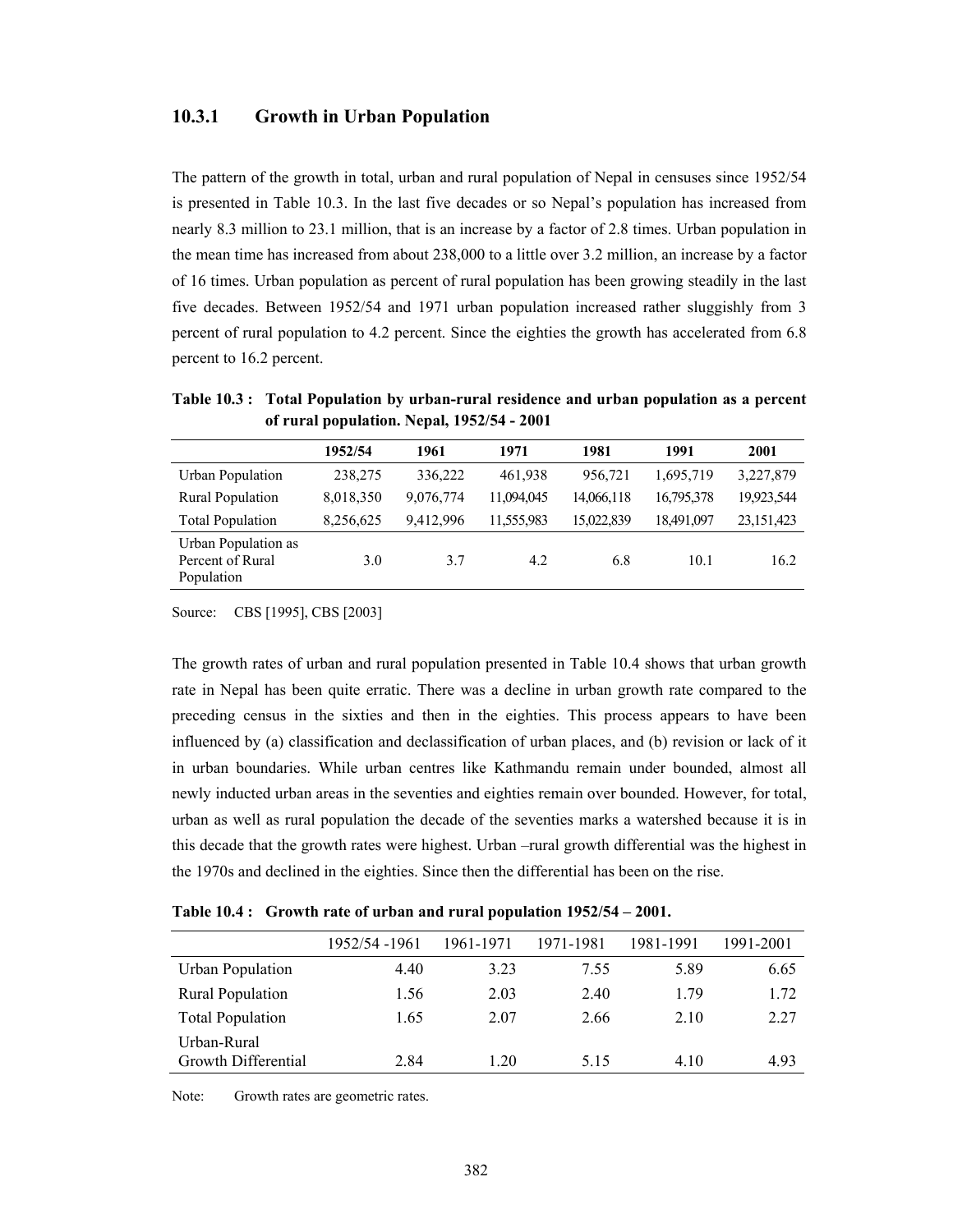#### **10.3.1 Growth in Urban Population**

The pattern of the growth in total, urban and rural population of Nepal in censuses since 1952/54 is presented in Table 10.3. In the last five decades or so Nepal's population has increased from nearly 8.3 million to 23.1 million, that is an increase by a factor of 2.8 times. Urban population in the mean time has increased from about 238,000 to a little over 3.2 million, an increase by a factor of 16 times. Urban population as percent of rural population has been growing steadily in the last five decades. Between 1952/54 and 1971 urban population increased rather sluggishly from 3 percent of rural population to 4.2 percent. Since the eighties the growth has accelerated from 6.8 percent to 16.2 percent.

**Table 10.3 : Total Population by urban-rural residence and urban population as a percent of rural population. Nepal, 1952/54 - 2001** 

|                                                       | 1952/54   | 1961      | 1971       | 1981       | 1991       | 2001         |
|-------------------------------------------------------|-----------|-----------|------------|------------|------------|--------------|
| Urban Population                                      | 238,275   | 336,222   | 461,938    | 956.721    | 1,695,719  | 3,227,879    |
| <b>Rural Population</b>                               | 8,018,350 | 9,076,774 | 11,094,045 | 14,066,118 | 16,795,378 | 19,923,544   |
| <b>Total Population</b>                               | 8,256,625 | 9.412.996 | 11,555,983 | 15,022,839 | 18,491,097 | 23, 151, 423 |
| Urban Population as<br>Percent of Rural<br>Population | 3.0       | 3.7       | 4.2        | 6.8        | 10.1       | 16.2         |

Source: CBS [1995], CBS [2003]

The growth rates of urban and rural population presented in Table 10.4 shows that urban growth rate in Nepal has been quite erratic. There was a decline in urban growth rate compared to the preceding census in the sixties and then in the eighties. This process appears to have been influenced by (a) classification and declassification of urban places, and (b) revision or lack of it in urban boundaries. While urban centres like Kathmandu remain under bounded, almost all newly inducted urban areas in the seventies and eighties remain over bounded. However, for total, urban as well as rural population the decade of the seventies marks a watershed because it is in this decade that the growth rates were highest. Urban –rural growth differential was the highest in the 1970s and declined in the eighties. Since then the differential has been on the rise.

**Table 10.4 : Growth rate of urban and rural population 1952/54 – 2001.** 

|                                    | 1952/54 -1961 | 1961-1971 | 1971-1981 | 1981-1991 | 1991-2001 |
|------------------------------------|---------------|-----------|-----------|-----------|-----------|
| <b>Urban Population</b>            | 4.40          | 3.23      | 7.55      | 5.89      | 6.65      |
| <b>Rural Population</b>            | 1.56          | 2.03      | 2.40      | 1.79      | 1 72      |
| <b>Total Population</b>            | 1.65          | 2.07      | 2.66      | 2.10      | 2.27      |
| Urban-Rural<br>Growth Differential | 2.84          | 1.20      | 5.15      | 4.10      | 4.93      |

Note: Growth rates are geometric rates.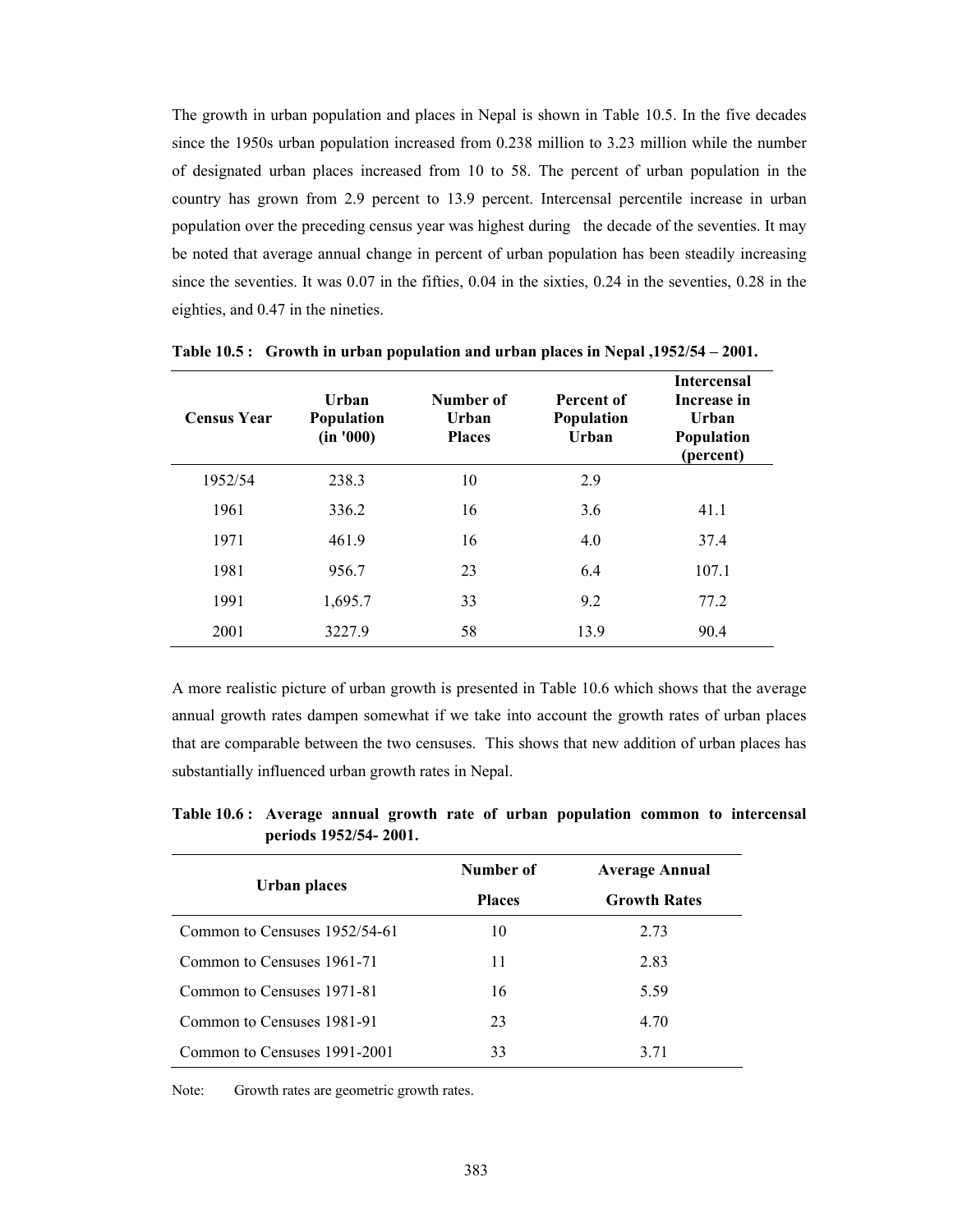The growth in urban population and places in Nepal is shown in Table 10.5. In the five decades since the 1950s urban population increased from 0.238 million to 3.23 million while the number of designated urban places increased from 10 to 58. The percent of urban population in the country has grown from 2.9 percent to 13.9 percent. Intercensal percentile increase in urban population over the preceding census year was highest during the decade of the seventies. It may be noted that average annual change in percent of urban population has been steadily increasing since the seventies. It was 0.07 in the fifties, 0.04 in the sixties, 0.24 in the seventies, 0.28 in the eighties, and 0.47 in the nineties.

| <b>Census Year</b> | Urban<br>Population<br>(in '000) | Number of<br>Urban<br><b>Places</b> | Percent of<br>Population<br>Urban | <b>Intercensal</b><br>Increase in<br>Urban<br><b>Population</b><br>(percent) |
|--------------------|----------------------------------|-------------------------------------|-----------------------------------|------------------------------------------------------------------------------|
| 1952/54            | 238.3                            | 10                                  | 2.9                               |                                                                              |
| 1961               | 336.2                            | 16                                  | 3.6                               | 41.1                                                                         |
| 1971               | 461.9                            | 16                                  | 4.0                               | 37.4                                                                         |
| 1981               | 956.7                            | 23                                  | 6.4                               | 107.1                                                                        |
| 1991               | 1,695.7                          | 33                                  | 9.2                               | 77.2                                                                         |
| 2001               | 3227.9                           | 58                                  | 13.9                              | 90.4                                                                         |

**Table 10.5 : Growth in urban population and urban places in Nepal ,1952/54 – 2001.** 

A more realistic picture of urban growth is presented in Table 10.6 which shows that the average annual growth rates dampen somewhat if we take into account the growth rates of urban places that are comparable between the two censuses. This shows that new addition of urban places has substantially influenced urban growth rates in Nepal.

**Table 10.6 : Average annual growth rate of urban population common to intercensal periods 1952/54- 2001.** 

|                               | Number of     | <b>Average Annual</b> |
|-------------------------------|---------------|-----------------------|
| Urban places                  | <b>Places</b> | <b>Growth Rates</b>   |
| Common to Censuses 1952/54-61 | 10            | 2.73                  |
| Common to Censuses 1961-71    | 11            | 2.83                  |
| Common to Censuses 1971-81    | 16            | 5.59                  |
| Common to Censuses 1981-91    | 23            | 4.70                  |
| Common to Censuses 1991-2001  | 33            | 3.71                  |

Note: Growth rates are geometric growth rates.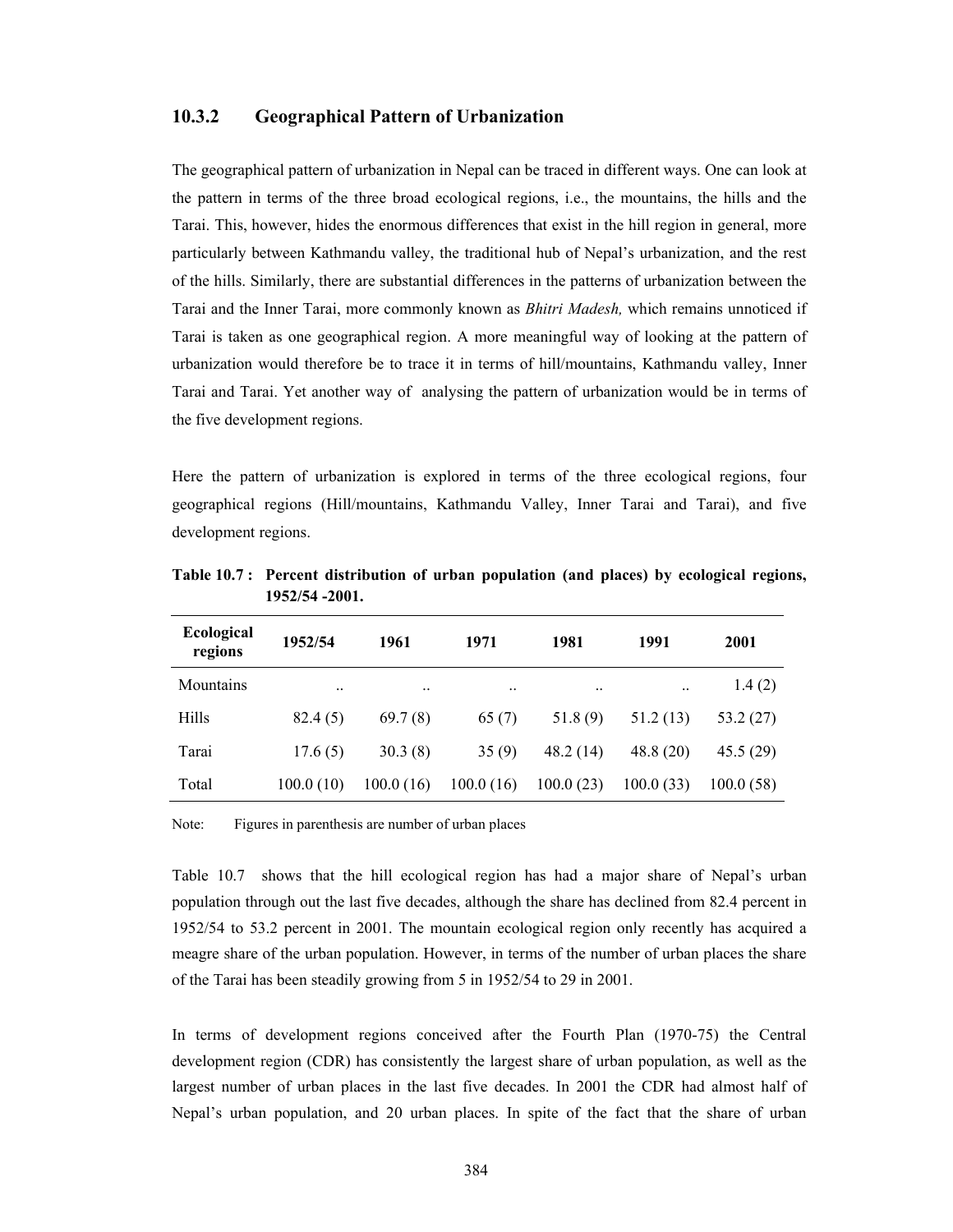#### **10.3.2 Geographical Pattern of Urbanization**

The geographical pattern of urbanization in Nepal can be traced in different ways. One can look at the pattern in terms of the three broad ecological regions, i.e., the mountains, the hills and the Tarai. This, however, hides the enormous differences that exist in the hill region in general, more particularly between Kathmandu valley, the traditional hub of Nepal's urbanization, and the rest of the hills. Similarly, there are substantial differences in the patterns of urbanization between the Tarai and the Inner Tarai, more commonly known as *Bhitri Madesh,* which remains unnoticed if Tarai is taken as one geographical region. A more meaningful way of looking at the pattern of urbanization would therefore be to trace it in terms of hill/mountains, Kathmandu valley, Inner Tarai and Tarai. Yet another way of analysing the pattern of urbanization would be in terms of the five development regions.

Here the pattern of urbanization is explored in terms of the three ecological regions, four geographical regions (Hill/mountains, Kathmandu Valley, Inner Tarai and Tarai), and five development regions.

| <b>Ecological</b><br>regions | 1952/54   | 1961      | 1971      | 1981      | 1991      | 2001      |
|------------------------------|-----------|-----------|-----------|-----------|-----------|-----------|
| Mountains                    | $\ddotsc$ |           |           | $\ddotsc$ | $\ddotsc$ | 1.4(2)    |
| Hills                        | 82.4(5)   | 69.7(8)   | 65(7)     | 51.8(9)   | 51.2(13)  | 53.2 (27) |
| Tarai                        | 17.6(5)   | 30.3(8)   | 35(9)     | 48.2(14)  | 48.8(20)  | 45.5 (29) |
| Total                        | 100.0(10) | 100.0(16) | 100.0(16) | 100.0(23) | 100.0(33) | 100.0(58) |

**Table 10.7 : Percent distribution of urban population (and places) by ecological regions, 1952/54 -2001.** 

Note: Figures in parenthesis are number of urban places

Table 10.7 shows that the hill ecological region has had a major share of Nepal's urban population through out the last five decades, although the share has declined from 82.4 percent in 1952/54 to 53.2 percent in 2001. The mountain ecological region only recently has acquired a meagre share of the urban population. However, in terms of the number of urban places the share of the Tarai has been steadily growing from 5 in 1952/54 to 29 in 2001.

In terms of development regions conceived after the Fourth Plan (1970-75) the Central development region (CDR) has consistently the largest share of urban population, as well as the largest number of urban places in the last five decades. In 2001 the CDR had almost half of Nepal's urban population, and 20 urban places. In spite of the fact that the share of urban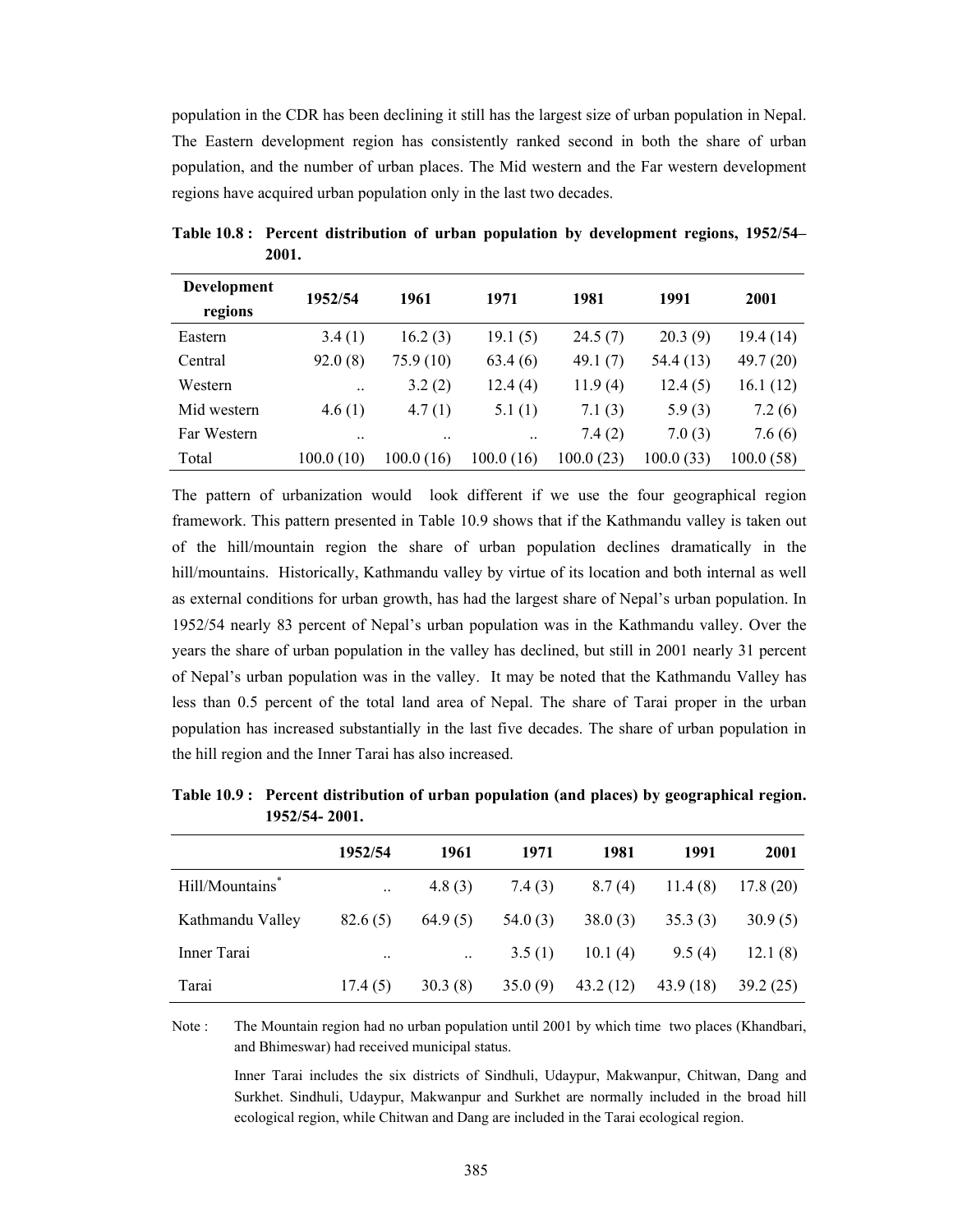population in the CDR has been declining it still has the largest size of urban population in Nepal. The Eastern development region has consistently ranked second in both the share of urban population, and the number of urban places. The Mid western and the Far western development regions have acquired urban population only in the last two decades.

| <b>Development</b><br>regions | 1952/54              | 1961       | 1971       | 1981       | 1991      | 2001      |
|-------------------------------|----------------------|------------|------------|------------|-----------|-----------|
| Eastern                       | 3.4(1)               | 16.2(3)    | 19.1(5)    | 24.5(7)    | 20.3(9)   | 19.4(14)  |
| Central                       | 92.0(8)              | 75.9 (10)  | 63.4(6)    | 49.1 $(7)$ | 54.4 (13) | 49.7(20)  |
| Western                       | $\ddot{\phantom{0}}$ | 3.2(2)     | 12.4(4)    | 11.9(4)    | 12.4(5)   | 16.1(12)  |
| Mid western                   | 4.6(1)               | 4.7(1)     | 5.1(1)     | 7.1(3)     | 5.9(3)    | 7.2(6)    |
| Far Western                   | $\ddotsc$            | $\ddotsc$  | $\ddotsc$  | 7.4(2)     | 7.0(3)    | 7.6(6)    |
| Total                         | 100.0(10)            | 100.0 (16) | 100.0 (16) | 100.0(23)  | 100.0(33) | 100.0(58) |

**Table 10.8 : Percent distribution of urban population by development regions, 1952/54– 2001.** 

The pattern of urbanization would look different if we use the four geographical region framework. This pattern presented in Table 10.9 shows that if the Kathmandu valley is taken out of the hill/mountain region the share of urban population declines dramatically in the hill/mountains. Historically, Kathmandu valley by virtue of its location and both internal as well as external conditions for urban growth, has had the largest share of Nepal's urban population. In 1952/54 nearly 83 percent of Nepal's urban population was in the Kathmandu valley. Over the years the share of urban population in the valley has declined, but still in 2001 nearly 31 percent of Nepal's urban population was in the valley. It may be noted that the Kathmandu Valley has less than 0.5 percent of the total land area of Nepal. The share of Tarai proper in the urban population has increased substantially in the last five decades. The share of urban population in the hill region and the Inner Tarai has also increased.

**Table 10.9 : Percent distribution of urban population (and places) by geographical region. 1952/54- 2001.** 

|                  | 1952/54              | 1961    | 1971    | 1981     | 1991     | 2001     |
|------------------|----------------------|---------|---------|----------|----------|----------|
| Hill/Mountains*  | $\ddot{\phantom{0}}$ | 4.8(3)  | 7.4(3)  | 8.7(4)   | 11.4(8)  | 17.8(20) |
| Kathmandu Valley | 82.6(5)              | 64.9(5) | 54.0(3) | 38.0(3)  | 35.3(3)  | 30.9(5)  |
| Inner Tarai      | $\ddotsc$            |         | 3.5(1)  | 10.1(4)  | 9.5(4)   | 12.1(8)  |
| Tarai            | 17.4(5)              | 30.3(8) | 35.0(9) | 43.2(12) | 43.9(18) | 39.2(25) |

Note : The Mountain region had no urban population until 2001 by which time two places (Khandbari, and Bhimeswar) had received municipal status.

 Inner Tarai includes the six districts of Sindhuli, Udaypur, Makwanpur, Chitwan, Dang and Surkhet. Sindhuli, Udaypur, Makwanpur and Surkhet are normally included in the broad hill ecological region, while Chitwan and Dang are included in the Tarai ecological region.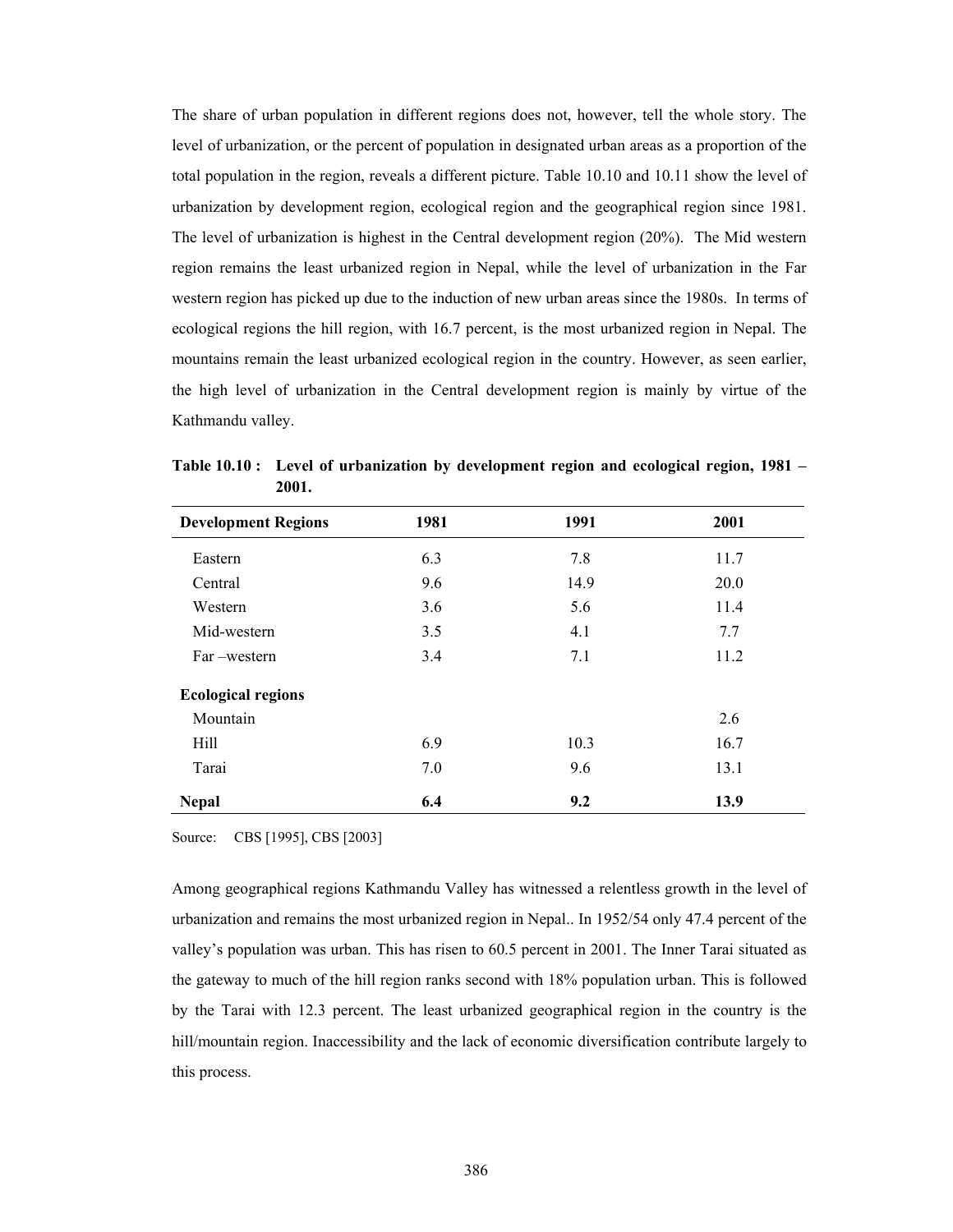The share of urban population in different regions does not, however, tell the whole story. The level of urbanization, or the percent of population in designated urban areas as a proportion of the total population in the region, reveals a different picture. Table 10.10 and 10.11 show the level of urbanization by development region, ecological region and the geographical region since 1981. The level of urbanization is highest in the Central development region (20%). The Mid western region remains the least urbanized region in Nepal, while the level of urbanization in the Far western region has picked up due to the induction of new urban areas since the 1980s. In terms of ecological regions the hill region, with 16.7 percent, is the most urbanized region in Nepal. The mountains remain the least urbanized ecological region in the country. However, as seen earlier, the high level of urbanization in the Central development region is mainly by virtue of the Kathmandu valley.

| <b>Development Regions</b> | 1981 | 1991 | 2001 |
|----------------------------|------|------|------|
| Eastern                    | 6.3  | 7.8  | 11.7 |
| Central                    | 9.6  | 14.9 | 20.0 |
| Western                    | 3.6  | 5.6  | 11.4 |
| Mid-western                | 3.5  | 4.1  | 7.7  |
| Far-western                | 3.4  | 7.1  | 11.2 |
| <b>Ecological regions</b>  |      |      |      |
| Mountain                   |      |      | 2.6  |
| Hill                       | 6.9  | 10.3 | 16.7 |
| Tarai                      | 7.0  | 9.6  | 13.1 |
| <b>Nepal</b>               | 6.4  | 9.2  | 13.9 |

**Table 10.10 : Level of urbanization by development region and ecological region, 1981 – 2001.** 

Source: CBS [1995], CBS [2003]

Among geographical regions Kathmandu Valley has witnessed a relentless growth in the level of urbanization and remains the most urbanized region in Nepal.. In 1952/54 only 47.4 percent of the valley's population was urban. This has risen to 60.5 percent in 2001. The Inner Tarai situated as the gateway to much of the hill region ranks second with 18% population urban. This is followed by the Tarai with 12.3 percent. The least urbanized geographical region in the country is the hill/mountain region. Inaccessibility and the lack of economic diversification contribute largely to this process.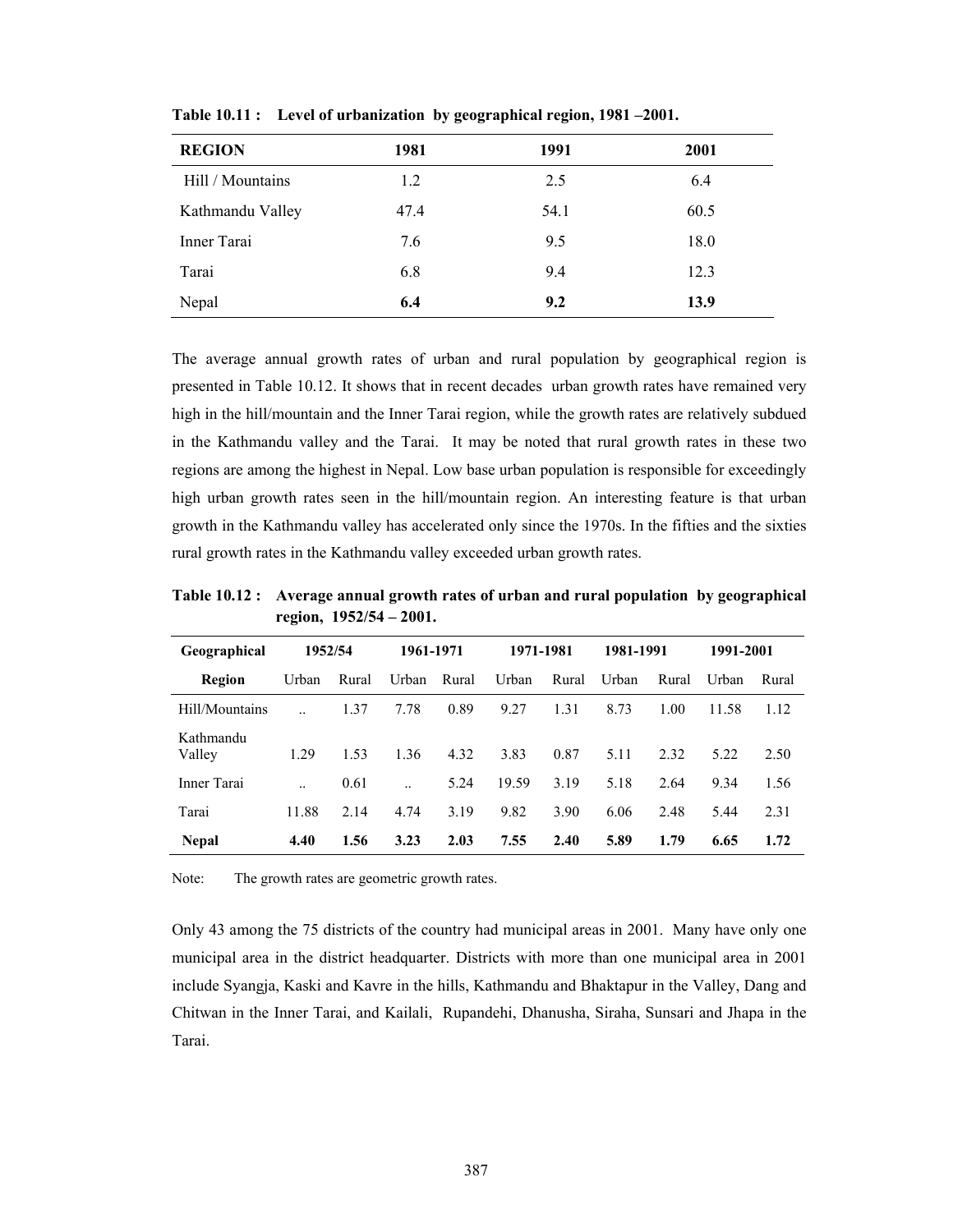| <b>REGION</b>    | 1981 | 1991 | 2001 |
|------------------|------|------|------|
| Hill / Mountains | 1.2  | 2.5  | 6.4  |
| Kathmandu Valley | 47.4 | 54.1 | 60.5 |
| Inner Tarai      | 7.6  | 9.5  | 18.0 |
| Tarai            | 6.8  | 9.4  | 12.3 |
| Nepal            | 6.4  | 9.2  | 13.9 |

**Table 10.11 : Level of urbanization by geographical region, 1981 –2001.** 

The average annual growth rates of urban and rural population by geographical region is presented in Table 10.12. It shows that in recent decades urban growth rates have remained very high in the hill/mountain and the Inner Tarai region, while the growth rates are relatively subdued in the Kathmandu valley and the Tarai. It may be noted that rural growth rates in these two regions are among the highest in Nepal. Low base urban population is responsible for exceedingly high urban growth rates seen in the hill/mountain region. An interesting feature is that urban growth in the Kathmandu valley has accelerated only since the 1970s. In the fifties and the sixties rural growth rates in the Kathmandu valley exceeded urban growth rates.

**Table 10.12 : Average annual growth rates of urban and rural population by geographical region, 1952/54 – 2001.** 

| Geographical        | 1952/54              |       | 1961-1971 |       | 1971-1981 |       | 1981-1991 |       | 1991-2001 |       |
|---------------------|----------------------|-------|-----------|-------|-----------|-------|-----------|-------|-----------|-------|
| Region              | Urban                | Rural | Urban     | Rural | Urban     | Rural | Urban     | Rural | Urban     | Rural |
| Hill/Mountains      |                      | 1.37  | 7.78      | 0.89  | 9.27      | 1.31  | 8.73      | 1.00  | 11.58     | 1.12  |
| Kathmandu<br>Valley | 1.29                 | 1.53  | 1.36      | 4.32  | 3.83      | 0.87  | 5.11      | 2.32  | 5.22      | 2.50  |
| Inner Tarai         | $\ddot{\phantom{a}}$ | 0.61  |           | 5.24  | 19.59     | 3.19  | 5.18      | 2.64  | 9.34      | 1.56  |
| Tarai               | 11.88                | 2.14  | 4.74      | 3.19  | 9.82      | 3.90  | 6.06      | 2.48  | 5.44      | 2.31  |
| <b>Nepal</b>        | 4.40                 | 1.56  | 3.23      | 2.03  | 7.55      | 2.40  | 5.89      | 1.79  | 6.65      | 1.72  |

Note: The growth rates are geometric growth rates.

Only 43 among the 75 districts of the country had municipal areas in 2001. Many have only one municipal area in the district headquarter. Districts with more than one municipal area in 2001 include Syangja, Kaski and Kavre in the hills, Kathmandu and Bhaktapur in the Valley, Dang and Chitwan in the Inner Tarai, and Kailali, Rupandehi, Dhanusha, Siraha, Sunsari and Jhapa in the Tarai.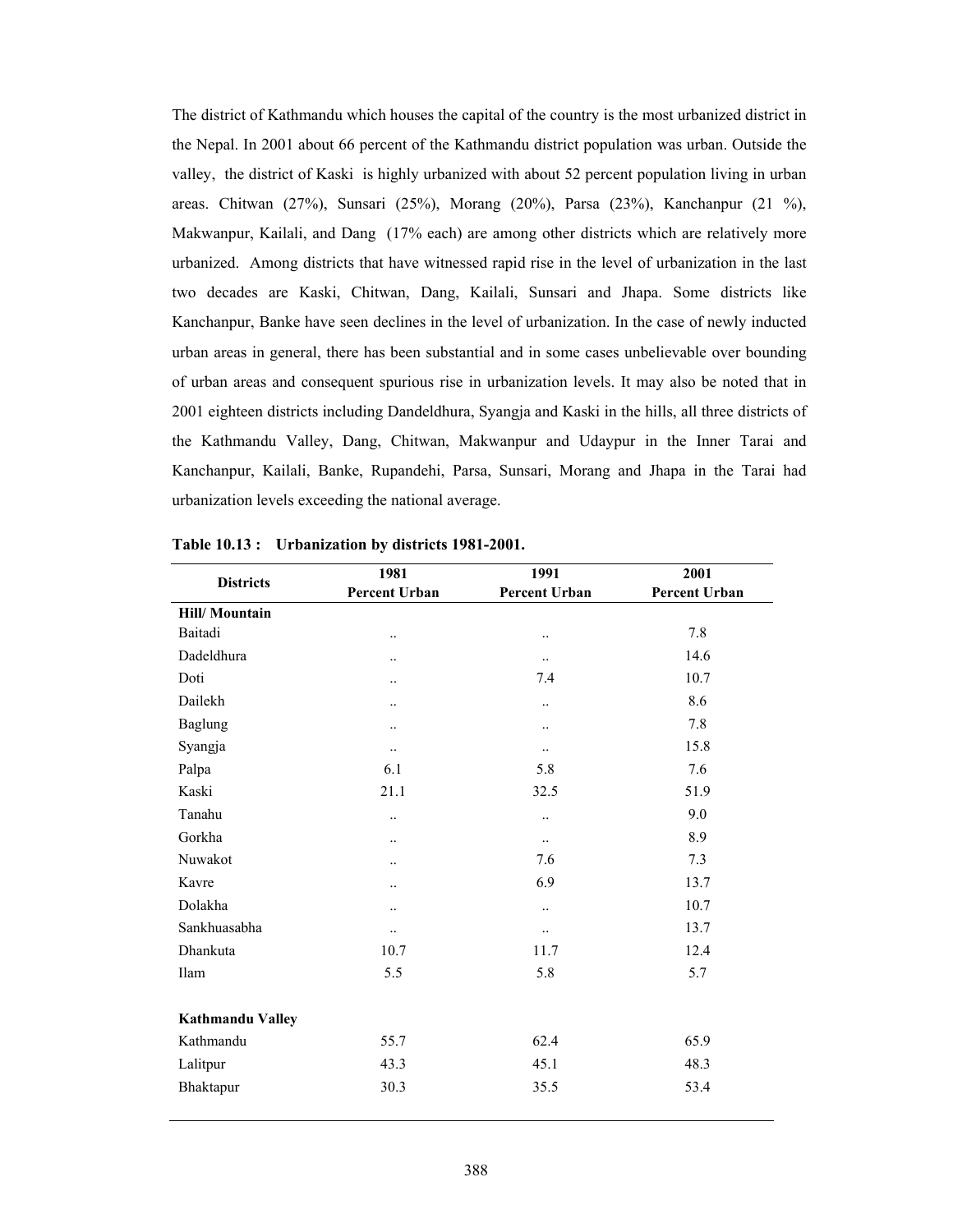The district of Kathmandu which houses the capital of the country is the most urbanized district in the Nepal. In 2001 about 66 percent of the Kathmandu district population was urban. Outside the valley, the district of Kaski is highly urbanized with about 52 percent population living in urban areas. Chitwan (27%), Sunsari (25%), Morang (20%), Parsa (23%), Kanchanpur (21 %), Makwanpur, Kailali, and Dang (17% each) are among other districts which are relatively more urbanized. Among districts that have witnessed rapid rise in the level of urbanization in the last two decades are Kaski, Chitwan, Dang, Kailali, Sunsari and Jhapa. Some districts like Kanchanpur, Banke have seen declines in the level of urbanization. In the case of newly inducted urban areas in general, there has been substantial and in some cases unbelievable over bounding of urban areas and consequent spurious rise in urbanization levels. It may also be noted that in 2001 eighteen districts including Dandeldhura, Syangja and Kaski in the hills, all three districts of the Kathmandu Valley, Dang, Chitwan, Makwanpur and Udaypur in the Inner Tarai and Kanchanpur, Kailali, Banke, Rupandehi, Parsa, Sunsari, Morang and Jhapa in the Tarai had urbanization levels exceeding the national average.

| <b>Districts</b>        | 1981                 | 1991                 | 2001                 |
|-------------------------|----------------------|----------------------|----------------------|
|                         | Percent Urban        | <b>Percent Urban</b> | <b>Percent Urban</b> |
| <b>Hill/Mountain</b>    |                      |                      |                      |
| Baitadi                 | $\ddotsc$            | $\ddotsc$            | 7.8                  |
| Dadeldhura              | $\ddot{\phantom{0}}$ | $\ddotsc$            | 14.6                 |
| Doti                    | $\ddotsc$            | 7.4                  | 10.7                 |
| Dailekh                 | $\ddot{\phantom{0}}$ | $\ddotsc$            | 8.6                  |
| Baglung                 | $\ddotsc$            | $\ddots$             | 7.8                  |
| Syangja                 | $\ddotsc$            | $\ldots$             | 15.8                 |
| Palpa                   | 6.1                  | 5.8                  | 7.6                  |
| Kaski                   | 21.1                 | 32.5                 | 51.9                 |
| Tanahu                  | $\ddot{\phantom{0}}$ | $\ddotsc$            | 9.0                  |
| Gorkha                  | $\ddotsc$            | $\ldots$             | 8.9                  |
| Nuwakot                 | $\ddotsc$            | 7.6                  | 7.3                  |
| Kavre                   | $\ddotsc$            | 6.9                  | 13.7                 |
| Dolakha                 | $\ddotsc$            | $\ddotsc$            | 10.7                 |
| Sankhuasabha            | $\ddot{\phantom{0}}$ | $\ldots$             | 13.7                 |
| Dhankuta                | 10.7                 | 11.7                 | 12.4                 |
| Ilam                    | 5.5                  | 5.8                  | 5.7                  |
| <b>Kathmandu Valley</b> |                      |                      |                      |
| Kathmandu               | 55.7                 | 62.4                 | 65.9                 |
| Lalitpur                | 43.3                 | 45.1                 | 48.3                 |
| Bhaktapur               | 30.3                 | 35.5                 | 53.4                 |
|                         |                      |                      |                      |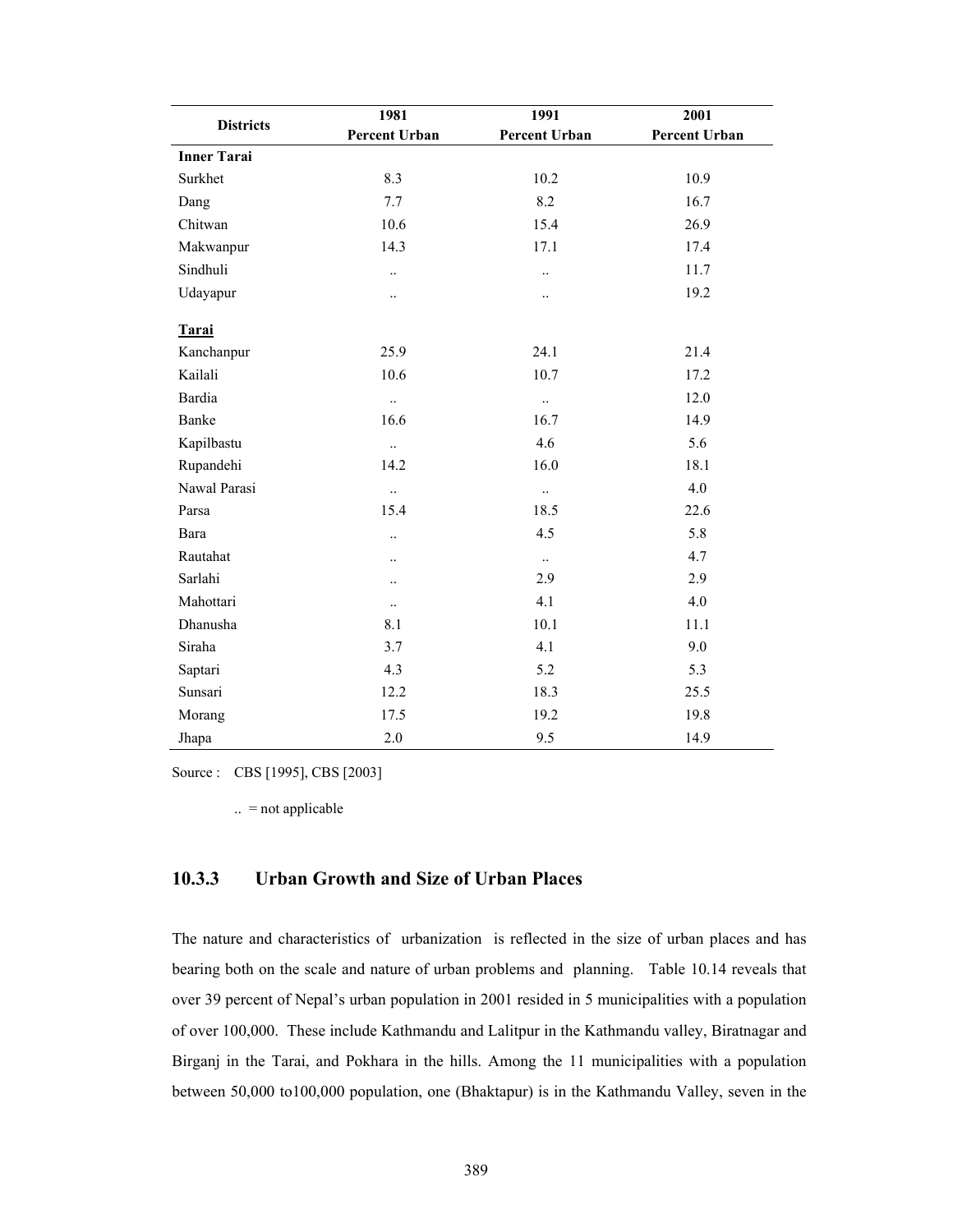| <b>Districts</b>   | 1981                 | 1991                 | 2001                 |
|--------------------|----------------------|----------------------|----------------------|
|                    | Percent Urban        | <b>Percent Urban</b> | <b>Percent Urban</b> |
| <b>Inner Tarai</b> |                      |                      |                      |
| Surkhet            | 8.3                  | 10.2                 | 10.9                 |
| Dang               | 7.7                  | 8.2                  | 16.7                 |
| Chitwan            | 10.6                 | 15.4                 | 26.9                 |
| Makwanpur          | 14.3                 | 17.1                 | 17.4                 |
| Sindhuli           | $\ddotsc$            | $\ddotsc$            | 11.7                 |
| Udayapur           | $\ddotsc$            | $\ddotsc$            | 19.2                 |
|                    |                      |                      |                      |
| Tarai              |                      |                      |                      |
| Kanchanpur         | 25.9                 | 24.1                 | 21.4                 |
| Kailali            | 10.6                 | 10.7                 | 17.2                 |
| Bardia             | $\ddotsc$            | $\ddots$             | 12.0                 |
| Banke              | 16.6                 | 16.7                 | 14.9                 |
| Kapilbastu         | $\ddotsc$            | 4.6                  | 5.6                  |
| Rupandehi          | 14.2                 | 16.0                 | 18.1                 |
| Nawal Parasi       | $\ddotsc$            | $\ddotsc$            | 4.0                  |
| Parsa              | 15.4                 | 18.5                 | 22.6                 |
| Bara               | $\ddotsc$            | 4.5                  | 5.8                  |
| Rautahat           | $\ddot{\phantom{a}}$ | $\ldots$             | 4.7                  |
| Sarlahi            | $\ddot{\phantom{0}}$ | 2.9                  | 2.9                  |
| Mahottari          | $\ddotsc$            | 4.1                  | 4.0                  |
| Dhanusha           | 8.1                  | 10.1                 | 11.1                 |
| Siraha             | 3.7                  | 4.1                  | 9.0                  |
| Saptari            | 4.3                  | 5.2                  | 5.3                  |
| Sunsari            | 12.2                 | 18.3                 | 25.5                 |
| Morang             | 17.5                 | 19.2                 | 19.8                 |
| Jhapa              | 2.0                  | 9.5                  | 14.9                 |

Source : CBS [1995], CBS [2003]

 $\ldots$  = not applicable

#### **10.3.3 Urban Growth and Size of Urban Places**

The nature and characteristics of urbanization is reflected in the size of urban places and has bearing both on the scale and nature of urban problems and planning. Table 10.14 reveals that over 39 percent of Nepal's urban population in 2001 resided in 5 municipalities with a population of over 100,000. These include Kathmandu and Lalitpur in the Kathmandu valley, Biratnagar and Birganj in the Tarai, and Pokhara in the hills. Among the 11 municipalities with a population between 50,000 to100,000 population, one (Bhaktapur) is in the Kathmandu Valley, seven in the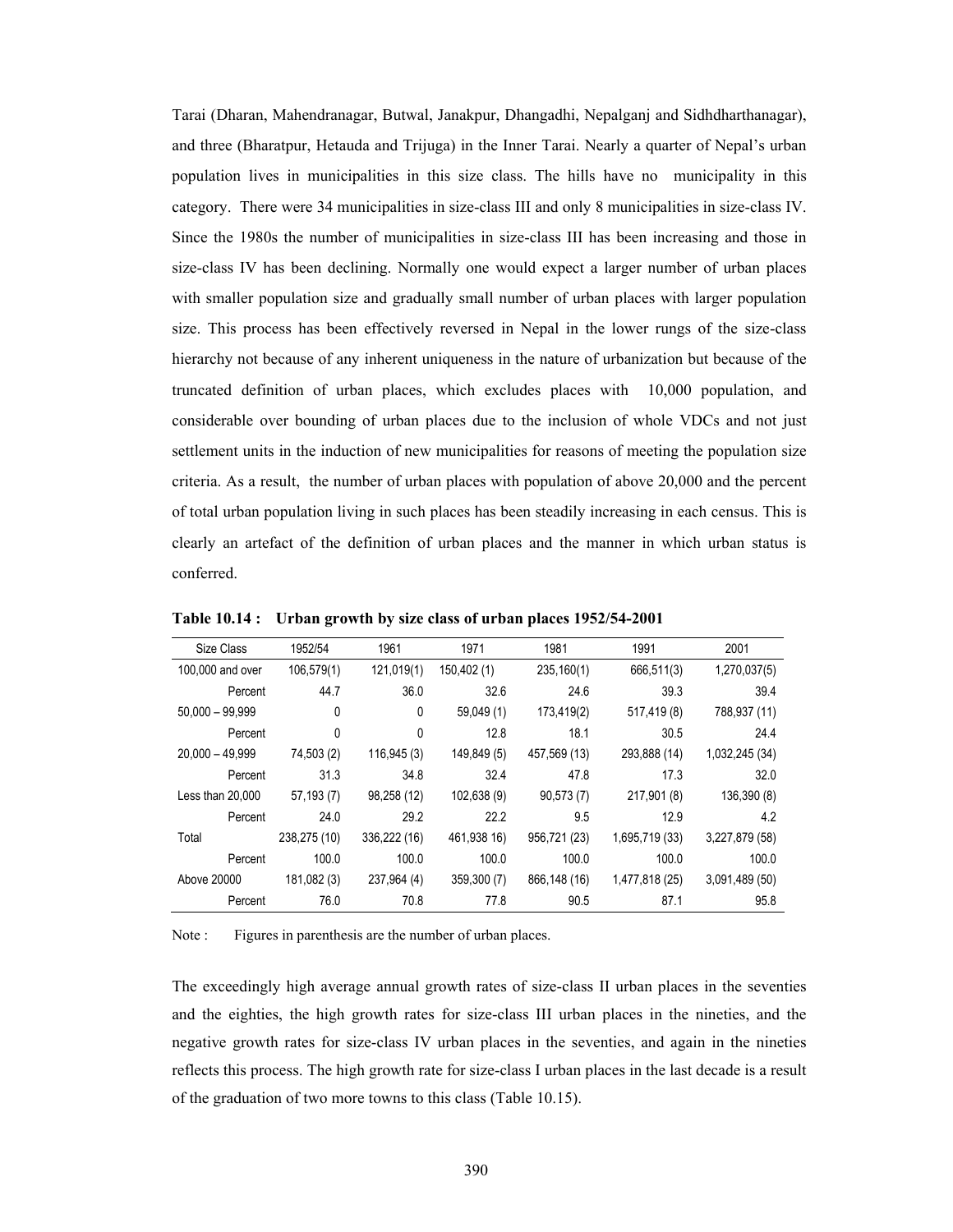Tarai (Dharan, Mahendranagar, Butwal, Janakpur, Dhangadhi, Nepalganj and Sidhdharthanagar), and three (Bharatpur, Hetauda and Trijuga) in the Inner Tarai. Nearly a quarter of Nepal's urban population lives in municipalities in this size class. The hills have no municipality in this category. There were 34 municipalities in size-class III and only 8 municipalities in size-class IV. Since the 1980s the number of municipalities in size-class III has been increasing and those in size-class IV has been declining. Normally one would expect a larger number of urban places with smaller population size and gradually small number of urban places with larger population size. This process has been effectively reversed in Nepal in the lower rungs of the size-class hierarchy not because of any inherent uniqueness in the nature of urbanization but because of the truncated definition of urban places, which excludes places with 10,000 population, and considerable over bounding of urban places due to the inclusion of whole VDCs and not just settlement units in the induction of new municipalities for reasons of meeting the population size criteria. As a result, the number of urban places with population of above 20,000 and the percent of total urban population living in such places has been steadily increasing in each census. This is clearly an artefact of the definition of urban places and the manner in which urban status is conferred.

| Size Class        | 1952/54      | 1961         | 1971        | 1981         | 1991           | 2001           |
|-------------------|--------------|--------------|-------------|--------------|----------------|----------------|
| 100,000 and over  | 106,579(1)   | 121,019(1)   | 150,402 (1) | 235,160(1)   | 666,511(3)     | 1,270,037(5)   |
| Percent           | 44.7         | 36.0         | 32.6        | 24.6         | 39.3           | 39.4           |
| $50,000 - 99,999$ | 0            | 0            | 59,049 (1)  | 173,419(2)   | 517,419 (8)    | 788,937 (11)   |
| Percent           | 0            | 0            | 12.8        | 18.1         | 30.5           | 24.4           |
| $20.000 - 49.999$ | 74,503 (2)   | 116,945(3)   | 149,849 (5) | 457,569 (13) | 293,888 (14)   | 1,032,245 (34) |
| Percent           | 31.3         | 34.8         | 32.4        | 47.8         | 17.3           | 32.0           |
| Less than 20,000  | 57,193 (7)   | 98,258 (12)  | 102,638 (9) | 90,573(7)    | 217,901 (8)    | 136,390 (8)    |
| Percent           | 24.0         | 29.2         | 22.2        | 9.5          | 12.9           | 4.2            |
| Total             | 238,275 (10) | 336,222 (16) | 461,938 16) | 956,721 (23) | 1,695,719 (33) | 3,227,879 (58) |
| Percent           | 100.0        | 100.0        | 100.0       | 100.0        | 100.0          | 100.0          |
| Above 20000       | 181,082 (3)  | 237,964 (4)  | 359,300 (7) | 866,148 (16) | 1,477,818 (25) | 3,091,489 (50) |
| Percent           | 76.0         | 70.8         | 77.8        | 90.5         | 87.1           | 95.8           |

**Table 10.14 : Urban growth by size class of urban places 1952/54-2001** 

Note : Figures in parenthesis are the number of urban places.

The exceedingly high average annual growth rates of size-class II urban places in the seventies and the eighties, the high growth rates for size-class III urban places in the nineties, and the negative growth rates for size-class IV urban places in the seventies, and again in the nineties reflects this process. The high growth rate for size-class I urban places in the last decade is a result of the graduation of two more towns to this class (Table 10.15).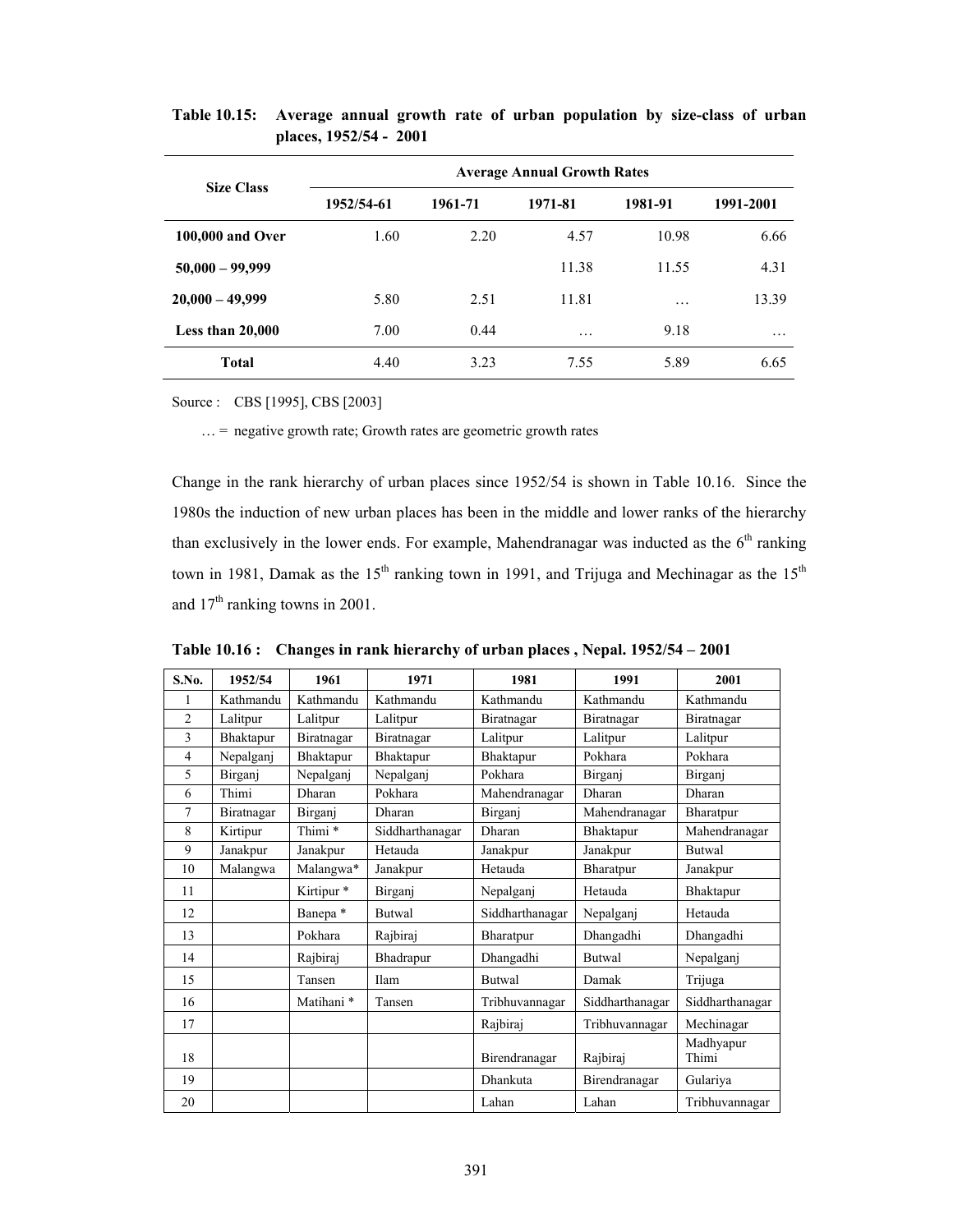| <b>Size Class</b>  | <b>Average Annual Growth Rates</b> |         |         |                 |           |  |  |  |
|--------------------|------------------------------------|---------|---------|-----------------|-----------|--|--|--|
|                    | 1952/54-61                         | 1961-71 | 1971-81 | 1981-91         | 1991-2001 |  |  |  |
| 100,000 and Over   | 1.60                               | 2.20    | 4.57    | 10.98           | 6.66      |  |  |  |
| $50,000 - 99,999$  |                                    |         | 11.38   | 11.55           | 4.31      |  |  |  |
| $20,000 - 49,999$  | 5.80                               | 2.51    | 11.81   | $\cdot$ $\cdot$ | 13.39     |  |  |  |
| Less than $20,000$ | 7.00                               | 0.44    | .       | 9.18            | $\cdots$  |  |  |  |
| <b>Total</b>       | 4.40                               | 3.23    | 7.55    | 5.89            | 6.65      |  |  |  |

**Table 10.15: Average annual growth rate of urban population by size-class of urban places, 1952/54 - 2001** 

Source : CBS [1995], CBS [2003]

 $\ldots$  = negative growth rate; Growth rates are geometric growth rates

Change in the rank hierarchy of urban places since 1952/54 is shown in Table 10.16. Since the 1980s the induction of new urban places has been in the middle and lower ranks of the hierarchy than exclusively in the lower ends. For example, Mahendranagar was inducted as the  $6<sup>th</sup>$  ranking town in 1981, Damak as the 15<sup>th</sup> ranking town in 1991, and Trijuga and Mechinagar as the 15<sup>th</sup> and  $17<sup>th</sup>$  ranking towns in 2001.

| S.No.          | 1952/54    | 1961                  | 1971            | 1981            | 1991            | 2001               |
|----------------|------------|-----------------------|-----------------|-----------------|-----------------|--------------------|
|                | Kathmandu  | Kathmandu             | Kathmandu       | Kathmandu       | Kathmandu       | Kathmandu          |
| 2              | Lalitpur   | Lalitpur              | Lalitpur        | Biratnagar      | Biratnagar      | Biratnagar         |
| 3              | Bhaktapur  | Biratnagar            | Biratnagar      | Lalitpur        | Lalitpur        | Lalitpur           |
| $\overline{4}$ | Nepalganj  | Bhaktapur             | Bhaktapur       | Bhaktapur       | Pokhara         | Pokhara            |
| 5              | Birganj    | Nepalganj             | Nepalganj       | Pokhara         | Birganj         | Birganj            |
| 6              | Thimi      | <b>Dharan</b>         | Pokhara         | Mahendranagar   | Dharan          | <b>Dharan</b>      |
| 7              | Biratnagar | Birganj               | Dharan          | Birganj         | Mahendranagar   | Bharatpur          |
| 8              | Kirtipur   | Thimi*                | Siddharthanagar | <b>Dharan</b>   | Bhaktapur       | Mahendranagar      |
| 9              | Janakpur   | Janakpur              | Hetauda         | Janakpur        | Janakpur        | <b>Butwal</b>      |
| 10             | Malangwa   | Malangwa*             | Janakpur        | Hetauda         | Bharatpur       | Janakpur           |
| 11             |            | Kirtipur <sup>*</sup> | Birganj         | Nepalganj       | Hetauda         | Bhaktapur          |
| 12             |            | Banepa *              | Butwal          | Siddharthanagar | Nepalganj       | Hetauda            |
| 13             |            | Pokhara               | Rajbiraj        | Bharatpur       | Dhangadhi       | Dhangadhi          |
| 14             |            | Rajbiraj              | Bhadrapur       | Dhangadhi       | <b>Butwal</b>   | Nepalganj          |
| 15             |            | Tansen                | Ilam            | <b>Butwal</b>   | Damak           | Trijuga            |
| 16             |            | Matihani*             | Tansen          | Tribhuvannagar  | Siddharthanagar | Siddharthanagar    |
| 17             |            |                       |                 | Rajbiraj        | Tribhuvannagar  | Mechinagar         |
| 18             |            |                       |                 | Birendranagar   | Rajbiraj        | Madhyapur<br>Thimi |
| 19             |            |                       |                 | <b>Dhankuta</b> | Birendranagar   | Gulariya           |
| 20             |            |                       |                 | Lahan           | Lahan           | Tribhuvannagar     |

**Table 10.16 : Changes in rank hierarchy of urban places , Nepal. 1952/54 – 2001**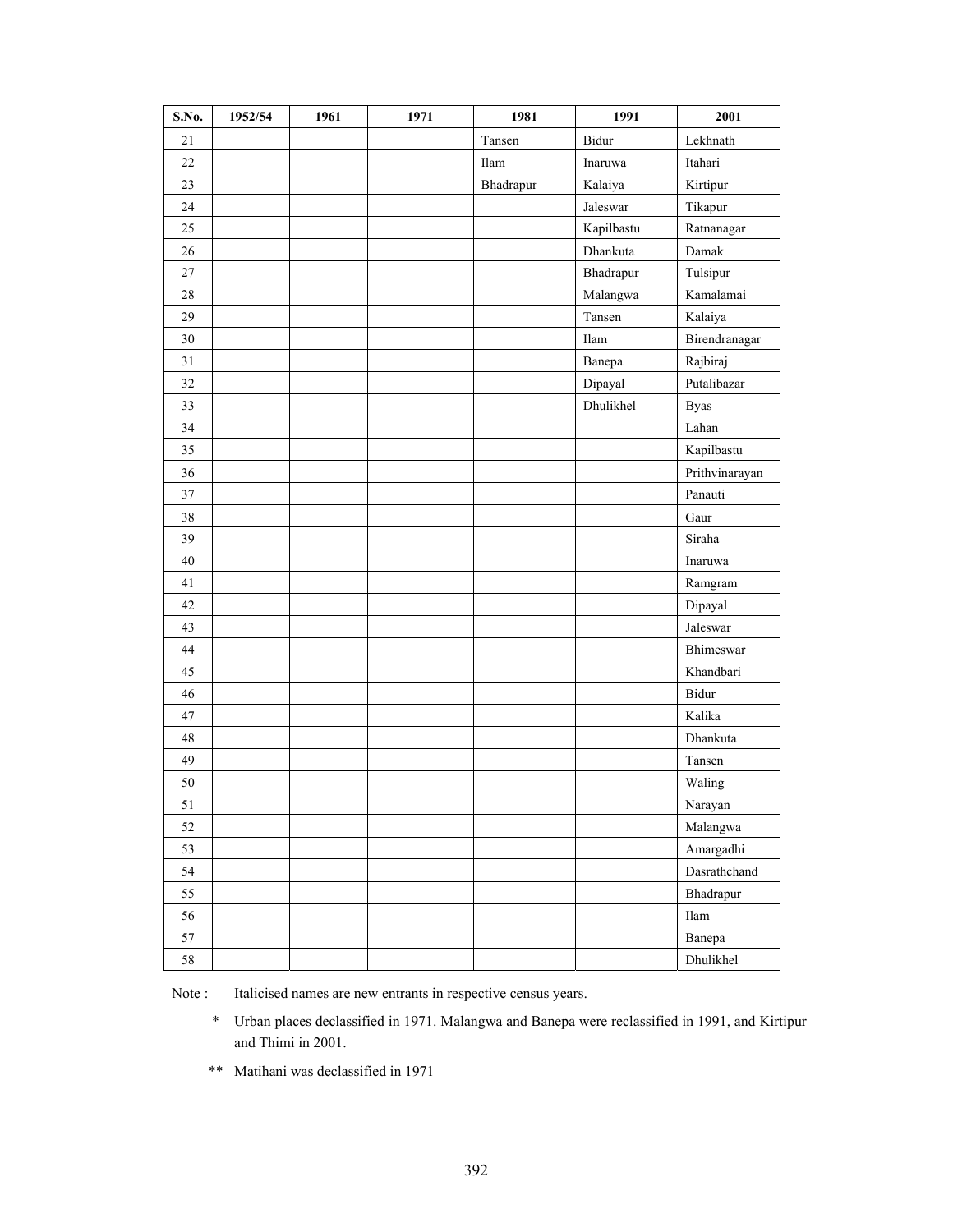| S.No.  | 1952/54 | 1961 | 1971 | 1981      | 1991       | 2001           |
|--------|---------|------|------|-----------|------------|----------------|
| 21     |         |      |      | Tansen    | Bidur      | Lekhnath       |
| $22\,$ |         |      |      | Ilam      | Inaruwa    | Itahari        |
| 23     |         |      |      | Bhadrapur | Kalaiya    | Kirtipur       |
| 24     |         |      |      |           | Jaleswar   | Tikapur        |
| 25     |         |      |      |           | Kapilbastu | Ratnanagar     |
| 26     |         |      |      |           | Dhankuta   | Damak          |
| 27     |         |      |      |           | Bhadrapur  | Tulsipur       |
| 28     |         |      |      |           | Malangwa   | Kamalamai      |
| 29     |         |      |      |           | Tansen     | Kalaiya        |
| 30     |         |      |      |           | Ilam       | Birendranagar  |
| 31     |         |      |      |           | Banepa     | Rajbiraj       |
| 32     |         |      |      |           | Dipayal    | Putalibazar    |
| 33     |         |      |      |           | Dhulikhel  | <b>Byas</b>    |
| 34     |         |      |      |           |            | Lahan          |
| 35     |         |      |      |           |            | Kapilbastu     |
| 36     |         |      |      |           |            | Prithvinarayan |
| 37     |         |      |      |           |            | Panauti        |
| 38     |         |      |      |           |            | Gaur           |
| 39     |         |      |      |           |            | Siraha         |
| 40     |         |      |      |           |            | Inaruwa        |
| 41     |         |      |      |           |            | Ramgram        |
| 42     |         |      |      |           |            | Dipayal        |
| 43     |         |      |      |           |            | Jaleswar       |
| 44     |         |      |      |           |            | Bhimeswar      |
| 45     |         |      |      |           |            | Khandbari      |
| 46     |         |      |      |           |            | Bidur          |
| 47     |         |      |      |           |            | Kalika         |
| 48     |         |      |      |           |            | Dhankuta       |
| 49     |         |      |      |           |            | Tansen         |
| 50     |         |      |      |           |            | Waling         |
| 51     |         |      |      |           |            | Narayan        |
| 52     |         |      |      |           |            | Malangwa       |
| 53     |         |      |      |           |            | Amargadhi      |
| 54     |         |      |      |           |            | Dasrathchand   |
| 55     |         |      |      |           |            | Bhadrapur      |
| 56     |         |      |      |           |            | $\rm{Ilam}$    |
| 57     |         |      |      |           |            | Banepa         |
| 58     |         |      |      |           |            | Dhulikhel      |

Note : Italicised names are new entrants in respective census years.

- \* Urban places declassified in 1971. Malangwa and Banepa were reclassified in 1991, and Kirtipur and Thimi in 2001.
- \*\* Matihani was declassified in 1971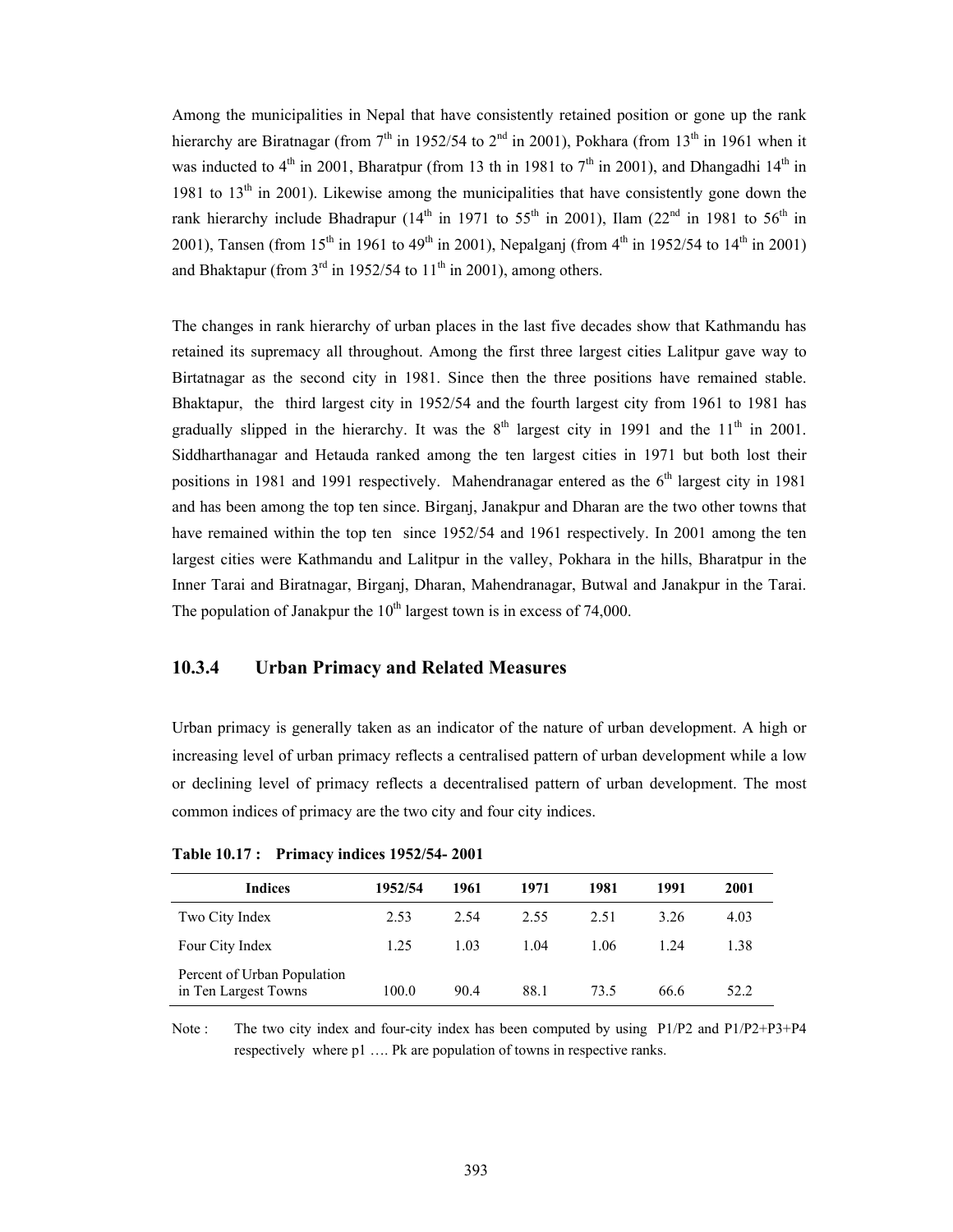Among the municipalities in Nepal that have consistently retained position or gone up the rank hierarchy are Biratnagar (from  $7<sup>th</sup>$  in 1952/54 to  $2<sup>nd</sup>$  in 2001), Pokhara (from 13<sup>th</sup> in 1961 when it was inducted to  $4<sup>th</sup>$  in 2001, Bharatpur (from 13 th in 1981 to  $7<sup>th</sup>$  in 2001), and Dhangadhi 14<sup>th</sup> in 1981 to  $13<sup>th</sup>$  in 2001). Likewise among the municipalities that have consistently gone down the rank hierarchy include Bhadrapur ( $14<sup>th</sup>$  in 1971 to 55<sup>th</sup> in 2001), Ilam ( $22<sup>nd</sup>$  in 1981 to 56<sup>th</sup> in 2001), Tansen (from  $15^{th}$  in 1961 to 49<sup>th</sup> in 2001), Nepalganj (from  $4^{th}$  in 1952/54 to  $14^{th}$  in 2001) and Bhaktapur (from  $3<sup>rd</sup>$  in 1952/54 to  $11<sup>th</sup>$  in 2001), among others.

The changes in rank hierarchy of urban places in the last five decades show that Kathmandu has retained its supremacy all throughout. Among the first three largest cities Lalitpur gave way to Birtatnagar as the second city in 1981. Since then the three positions have remained stable. Bhaktapur, the third largest city in 1952/54 and the fourth largest city from 1961 to 1981 has gradually slipped in the hierarchy. It was the  $8<sup>th</sup>$  largest city in 1991 and the 11<sup>th</sup> in 2001. Siddharthanagar and Hetauda ranked among the ten largest cities in 1971 but both lost their positions in 1981 and 1991 respectively. Mahendranagar entered as the  $6<sup>th</sup>$  largest city in 1981 and has been among the top ten since. Birganj, Janakpur and Dharan are the two other towns that have remained within the top ten since 1952/54 and 1961 respectively. In 2001 among the ten largest cities were Kathmandu and Lalitpur in the valley, Pokhara in the hills, Bharatpur in the Inner Tarai and Biratnagar, Birganj, Dharan, Mahendranagar, Butwal and Janakpur in the Tarai. The population of Janakpur the  $10<sup>th</sup>$  largest town is in excess of 74,000.

#### **10.3.4 Urban Primacy and Related Measures**

Urban primacy is generally taken as an indicator of the nature of urban development. A high or increasing level of urban primacy reflects a centralised pattern of urban development while a low or declining level of primacy reflects a decentralised pattern of urban development. The most common indices of primacy are the two city and four city indices.

| <b>Indices</b>                                      | 1952/54 | 1961 | 1971 | 1981 | 1991  | 2001 |
|-----------------------------------------------------|---------|------|------|------|-------|------|
| Two City Index                                      | 2.53    | 2.54 | 2.55 | 2.51 | 3.26  | 4.03 |
| Four City Index                                     | 1.25    | 1.03 | 1 04 | 1.06 | 1 2.4 | 1.38 |
| Percent of Urban Population<br>in Ten Largest Towns | 100.0   | 90.4 | 88.1 | 73.5 | 66.6  | 52.2 |

| Table 10.17: Primacy indices 1952/54-2001 |  |  |  |
|-------------------------------------------|--|--|--|
|-------------------------------------------|--|--|--|

Note : The two city index and four-city index has been computed by using P1/P2 and P1/P2+P3+P4 respectively where p1 …. Pk are population of towns in respective ranks.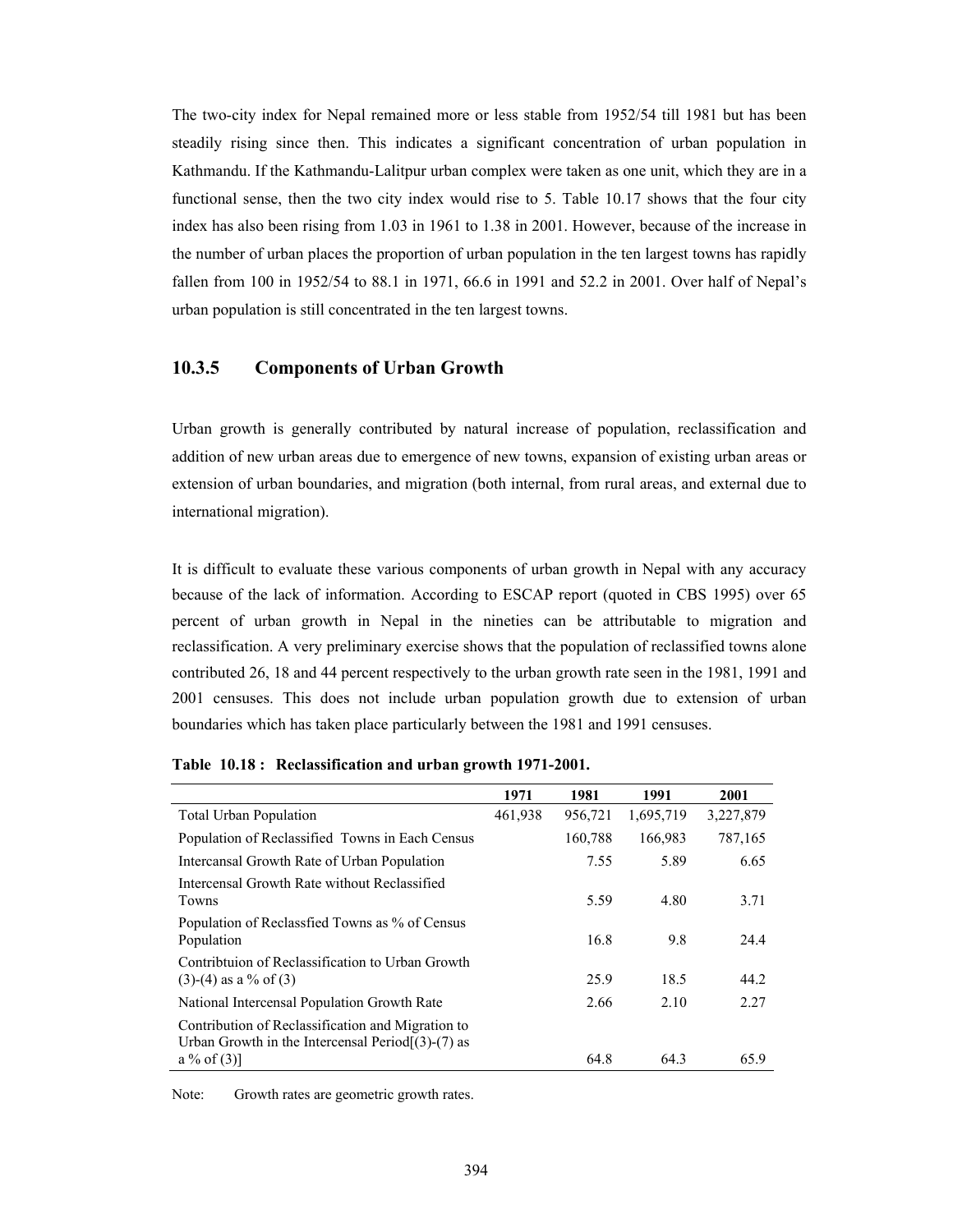The two-city index for Nepal remained more or less stable from 1952/54 till 1981 but has been steadily rising since then. This indicates a significant concentration of urban population in Kathmandu. If the Kathmandu-Lalitpur urban complex were taken as one unit, which they are in a functional sense, then the two city index would rise to 5. Table 10.17 shows that the four city index has also been rising from 1.03 in 1961 to 1.38 in 2001. However, because of the increase in the number of urban places the proportion of urban population in the ten largest towns has rapidly fallen from 100 in 1952/54 to 88.1 in 1971, 66.6 in 1991 and 52.2 in 2001. Over half of Nepal's urban population is still concentrated in the ten largest towns.

#### **10.3.5 Components of Urban Growth**

Urban growth is generally contributed by natural increase of population, reclassification and addition of new urban areas due to emergence of new towns, expansion of existing urban areas or extension of urban boundaries, and migration (both internal, from rural areas, and external due to international migration).

It is difficult to evaluate these various components of urban growth in Nepal with any accuracy because of the lack of information. According to ESCAP report (quoted in CBS 1995) over 65 percent of urban growth in Nepal in the nineties can be attributable to migration and reclassification. A very preliminary exercise shows that the population of reclassified towns alone contributed 26, 18 and 44 percent respectively to the urban growth rate seen in the 1981, 1991 and 2001 censuses. This does not include urban population growth due to extension of urban boundaries which has taken place particularly between the 1981 and 1991 censuses.

|                                                                                                          | 1971    | 1981    | 1991      | 2001      |
|----------------------------------------------------------------------------------------------------------|---------|---------|-----------|-----------|
| <b>Total Urban Population</b>                                                                            | 461,938 | 956,721 | 1,695,719 | 3,227,879 |
| Population of Reclassified Towns in Each Census                                                          |         | 160,788 | 166,983   | 787,165   |
| Intercansal Growth Rate of Urban Population                                                              |         | 7.55    | 5.89      | 6.65      |
| Intercensal Growth Rate without Reclassified<br>Towns                                                    |         | 5.59    | 4.80      | 3.71      |
| Population of Reclassfied Towns as % of Census<br>Population                                             |         | 16.8    | 9.8       | 24.4      |
| Contribtuion of Reclassification to Urban Growth                                                         |         |         |           |           |
| $(3)-(4)$ as a % of $(3)$                                                                                |         | 25.9    | 18.5      | 44.2      |
| National Intercensal Population Growth Rate                                                              |         | 2.66    | 2.10      | 2.27      |
| Contribution of Reclassification and Migration to<br>Urban Growth in the Intercensal Period $(3)-(7)$ as |         |         |           |           |
| $a\%$ of (3)]                                                                                            |         | 64.8    | 64.3      | 65.9      |

**Table 10.18 : Reclassification and urban growth 1971-2001.** 

Note: Growth rates are geometric growth rates.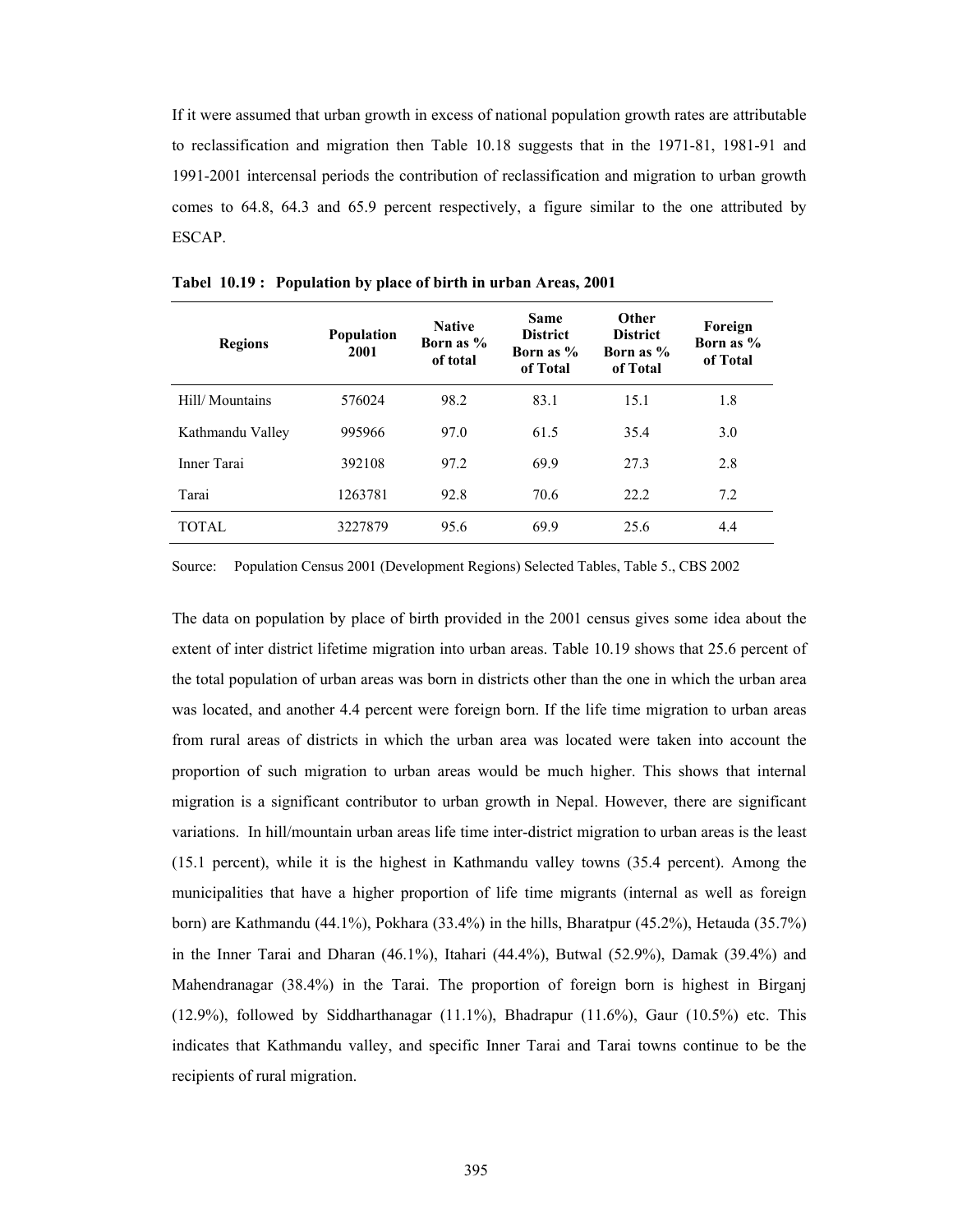If it were assumed that urban growth in excess of national population growth rates are attributable to reclassification and migration then Table 10.18 suggests that in the 1971-81, 1981-91 and 1991-2001 intercensal periods the contribution of reclassification and migration to urban growth comes to 64.8, 64.3 and 65.9 percent respectively, a figure similar to the one attributed by ESCAP.

| <b>Regions</b>   | <b>Population</b><br>2001 | <b>Native</b><br>Born as %<br>of total | <b>Same</b><br><b>District</b><br>Born as %<br>of Total | Other<br><b>District</b><br>Born as %<br>of Total | Foreign<br>Born as %<br>of Total |
|------------------|---------------------------|----------------------------------------|---------------------------------------------------------|---------------------------------------------------|----------------------------------|
| Hill/Mountains   | 576024                    | 98.2                                   | 83.1                                                    | 15.1                                              | 1.8                              |
| Kathmandu Valley | 995966                    | 97.0                                   | 61.5                                                    | 35.4                                              | 3.0                              |
| Inner Tarai      | 392108                    | 97.2                                   | 69.9                                                    | 27.3                                              | 2.8                              |
| Tarai            | 1263781                   | 92.8                                   | 70.6                                                    | 22.2                                              | 7.2                              |
| TOTAL.           | 3227879                   | 95.6                                   | 69.9                                                    | 25.6                                              | 4.4                              |

**Tabel 10.19 : Population by place of birth in urban Areas, 2001** 

Source: Population Census 2001 (Development Regions) Selected Tables, Table 5., CBS 2002

The data on population by place of birth provided in the 2001 census gives some idea about the extent of inter district lifetime migration into urban areas. Table 10.19 shows that 25.6 percent of the total population of urban areas was born in districts other than the one in which the urban area was located, and another 4.4 percent were foreign born. If the life time migration to urban areas from rural areas of districts in which the urban area was located were taken into account the proportion of such migration to urban areas would be much higher. This shows that internal migration is a significant contributor to urban growth in Nepal. However, there are significant variations. In hill/mountain urban areas life time inter-district migration to urban areas is the least (15.1 percent), while it is the highest in Kathmandu valley towns (35.4 percent). Among the municipalities that have a higher proportion of life time migrants (internal as well as foreign born) are Kathmandu (44.1%), Pokhara (33.4%) in the hills, Bharatpur (45.2%), Hetauda (35.7%) in the Inner Tarai and Dharan (46.1%), Itahari (44.4%), Butwal (52.9%), Damak (39.4%) and Mahendranagar (38.4%) in the Tarai. The proportion of foreign born is highest in Birganj  $(12.9\%)$ , followed by Siddharthanagar  $(11.1\%)$ , Bhadrapur  $(11.6\%)$ , Gaur  $(10.5\%)$  etc. This indicates that Kathmandu valley, and specific Inner Tarai and Tarai towns continue to be the recipients of rural migration.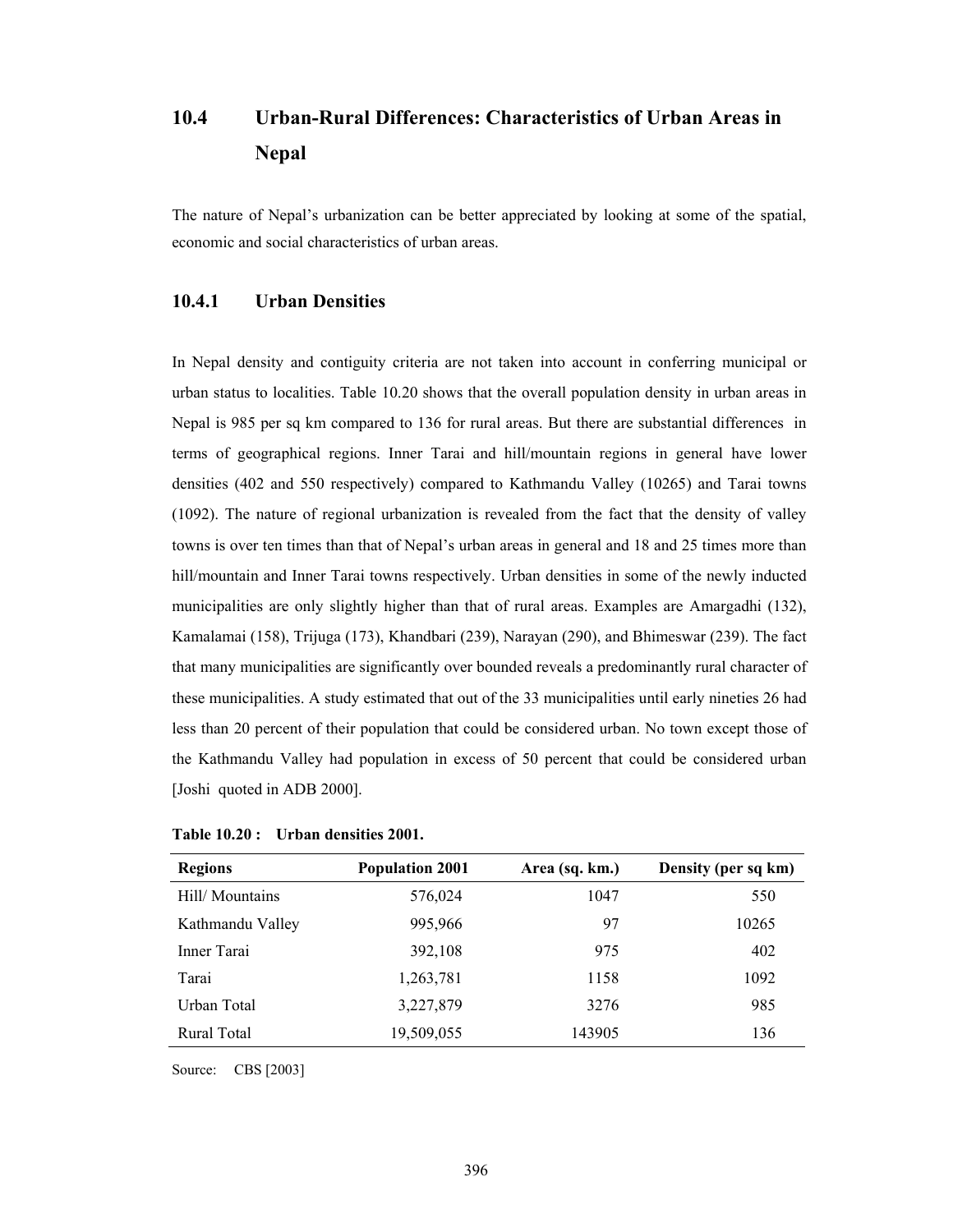# **10.4 Urban-Rural Differences: Characteristics of Urban Areas in Nepal**

The nature of Nepal's urbanization can be better appreciated by looking at some of the spatial, economic and social characteristics of urban areas.

#### **10.4.1 Urban Densities**

In Nepal density and contiguity criteria are not taken into account in conferring municipal or urban status to localities. Table 10.20 shows that the overall population density in urban areas in Nepal is 985 per sq km compared to 136 for rural areas. But there are substantial differences in terms of geographical regions. Inner Tarai and hill/mountain regions in general have lower densities (402 and 550 respectively) compared to Kathmandu Valley (10265) and Tarai towns (1092). The nature of regional urbanization is revealed from the fact that the density of valley towns is over ten times than that of Nepal's urban areas in general and 18 and 25 times more than hill/mountain and Inner Tarai towns respectively. Urban densities in some of the newly inducted municipalities are only slightly higher than that of rural areas. Examples are Amargadhi (132), Kamalamai (158), Trijuga (173), Khandbari (239), Narayan (290), and Bhimeswar (239). The fact that many municipalities are significantly over bounded reveals a predominantly rural character of these municipalities. A study estimated that out of the 33 municipalities until early nineties 26 had less than 20 percent of their population that could be considered urban. No town except those of the Kathmandu Valley had population in excess of 50 percent that could be considered urban [Joshi quoted in ADB 2000].

| <b>Regions</b>   | <b>Population 2001</b> | Area (sq. km.) | Density (per sq km) |
|------------------|------------------------|----------------|---------------------|
| Hill/Mountains   | 576,024                | 1047           | 550                 |
| Kathmandu Valley | 995,966                | 97             | 10265               |
| Inner Tarai      | 392,108                | 975            | 402                 |
| Tarai            | 1,263,781              | 1158           | 1092                |
| Urban Total      | 3,227,879              | 3276           | 985                 |
| Rural Total      | 19,509,055             | 143905         | 136                 |

**Table 10.20 : Urban densities 2001.** 

Source: CBS [2003]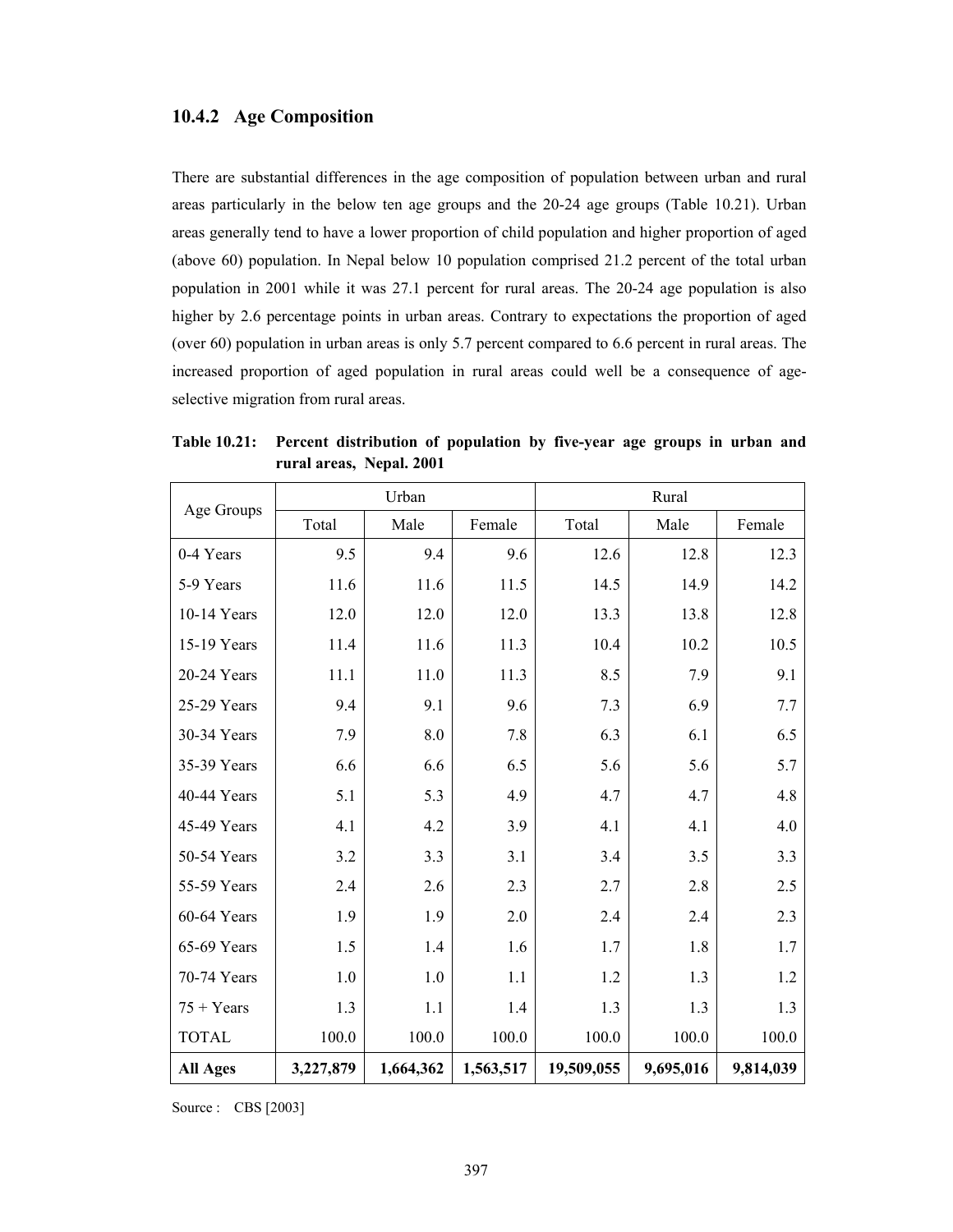#### **10.4.2 Age Composition**

There are substantial differences in the age composition of population between urban and rural areas particularly in the below ten age groups and the 20-24 age groups (Table 10.21). Urban areas generally tend to have a lower proportion of child population and higher proportion of aged (above 60) population. In Nepal below 10 population comprised 21.2 percent of the total urban population in 2001 while it was 27.1 percent for rural areas. The 20-24 age population is also higher by 2.6 percentage points in urban areas. Contrary to expectations the proportion of aged (over 60) population in urban areas is only 5.7 percent compared to 6.6 percent in rural areas. The increased proportion of aged population in rural areas could well be a consequence of ageselective migration from rural areas.

|                 | Urban     |           | Rural     |            |           |           |
|-----------------|-----------|-----------|-----------|------------|-----------|-----------|
| Age Groups      | Total     | Male      | Female    | Total      | Male      | Female    |
| 0-4 Years       | 9.5       | 9.4       | 9.6       | 12.6       | 12.8      | 12.3      |
| 5-9 Years       | 11.6      | 11.6      | 11.5      | 14.5       | 14.9      | 14.2      |
| 10-14 Years     | 12.0      | 12.0      | 12.0      | 13.3       | 13.8      | 12.8      |
| 15-19 Years     | 11.4      | 11.6      | 11.3      | 10.4       | 10.2      | 10.5      |
| 20-24 Years     | 11.1      | 11.0      | 11.3      | 8.5        | 7.9       | 9.1       |
| 25-29 Years     | 9.4       | 9.1       | 9.6       | 7.3        | 6.9       | 7.7       |
| 30-34 Years     | 7.9       | 8.0       | 7.8       | 6.3        | 6.1       | 6.5       |
| 35-39 Years     | 6.6       | 6.6       | 6.5       | 5.6        | 5.6       | 5.7       |
| 40-44 Years     | 5.1       | 5.3       | 4.9       | 4.7        | 4.7       | 4.8       |
| 45-49 Years     | 4.1       | 4.2       | 3.9       | 4.1        | 4.1       | 4.0       |
| 50-54 Years     | 3.2       | 3.3       | 3.1       | 3.4        | 3.5       | 3.3       |
| 55-59 Years     | 2.4       | 2.6       | 2.3       | 2.7        | 2.8       | 2.5       |
| 60-64 Years     | 1.9       | 1.9       | 2.0       | 2.4        | 2.4       | 2.3       |
| 65-69 Years     | 1.5       | 1.4       | 1.6       | 1.7        | 1.8       | 1.7       |
| 70-74 Years     | 1.0       | 1.0       | 1.1       | 1.2        | 1.3       | 1.2       |
| $75 + Years$    | 1.3       | 1.1       | 1.4       | 1.3        | 1.3       | 1.3       |
| <b>TOTAL</b>    | 100.0     | 100.0     | 100.0     | 100.0      | 100.0     | 100.0     |
| <b>All Ages</b> | 3,227,879 | 1,664,362 | 1,563,517 | 19,509,055 | 9,695,016 | 9,814,039 |

**Table 10.21: Percent distribution of population by five-year age groups in urban and rural areas, Nepal. 2001** 

Source : CBS [2003]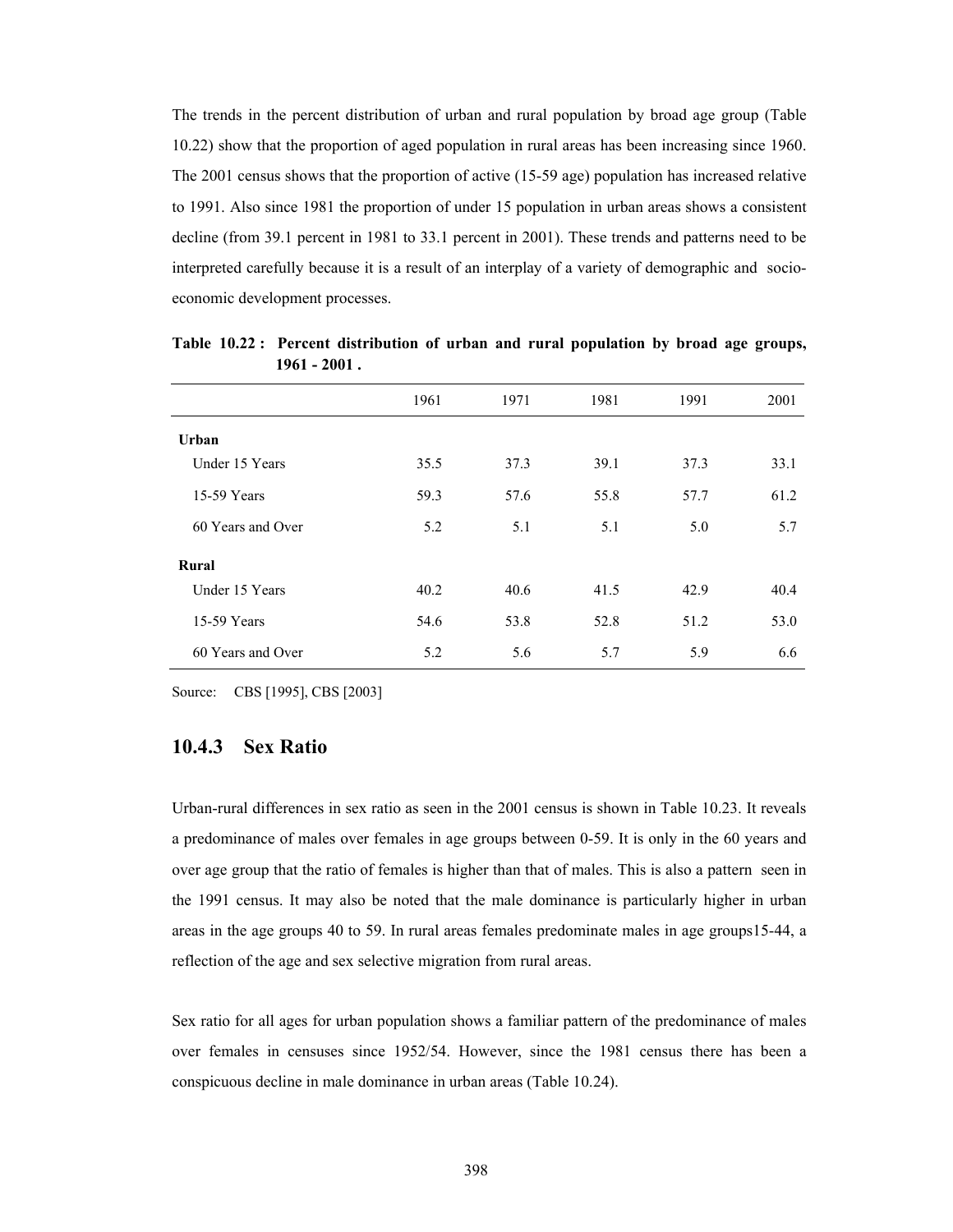The trends in the percent distribution of urban and rural population by broad age group (Table 10.22) show that the proportion of aged population in rural areas has been increasing since 1960. The 2001 census shows that the proportion of active (15-59 age) population has increased relative to 1991. Also since 1981 the proportion of under 15 population in urban areas shows a consistent decline (from 39.1 percent in 1981 to 33.1 percent in 2001). These trends and patterns need to be interpreted carefully because it is a result of an interplay of a variety of demographic and socioeconomic development processes.

|                   | 1961 | 1971 | 1981 | 1991 | 2001 |
|-------------------|------|------|------|------|------|
| <b>Urban</b>      |      |      |      |      |      |
| Under 15 Years    | 35.5 | 37.3 | 39.1 | 37.3 | 33.1 |
| 15-59 Years       | 59.3 | 57.6 | 55.8 | 57.7 | 61.2 |
| 60 Years and Over | 5.2  | 5.1  | 5.1  | 5.0  | 5.7  |
| Rural             |      |      |      |      |      |
| Under 15 Years    | 40.2 | 40.6 | 41.5 | 42.9 | 40.4 |
| 15-59 Years       | 54.6 | 53.8 | 52.8 | 51.2 | 53.0 |
| 60 Years and Over | 5.2  | 5.6  | 5.7  | 5.9  | 6.6  |

**Table 10.22 : Percent distribution of urban and rural population by broad age groups, 1961 - 2001 .** 

Source: CBS [1995], CBS [2003]

# **10.4.3 Sex Ratio**

Urban-rural differences in sex ratio as seen in the 2001 census is shown in Table 10.23. It reveals a predominance of males over females in age groups between 0-59. It is only in the 60 years and over age group that the ratio of females is higher than that of males. This is also a pattern seen in the 1991 census. It may also be noted that the male dominance is particularly higher in urban areas in the age groups 40 to 59. In rural areas females predominate males in age groups15-44, a reflection of the age and sex selective migration from rural areas.

Sex ratio for all ages for urban population shows a familiar pattern of the predominance of males over females in censuses since 1952/54. However, since the 1981 census there has been a conspicuous decline in male dominance in urban areas (Table 10.24).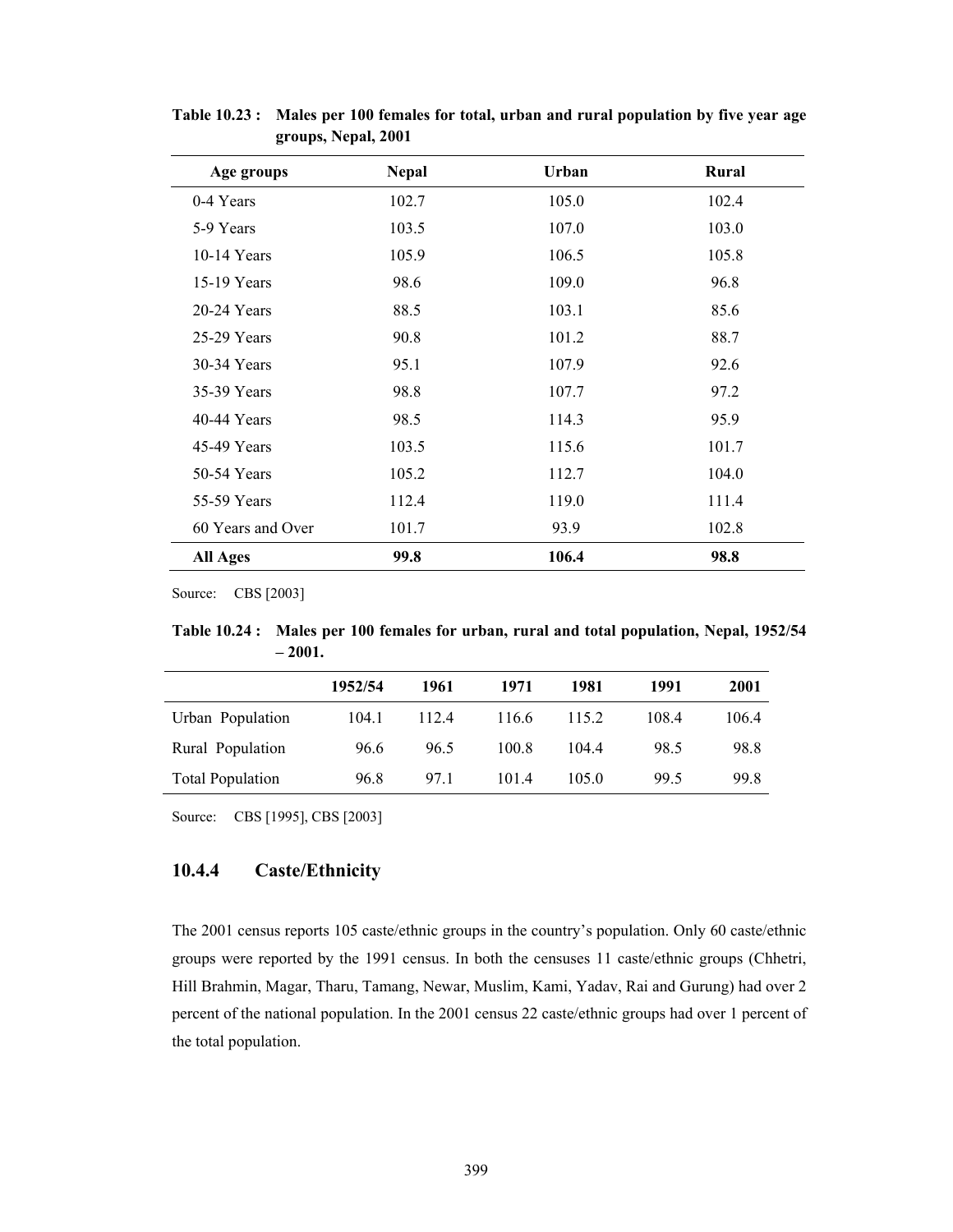| Age groups        | <b>Nepal</b> | Urban | Rural |
|-------------------|--------------|-------|-------|
| 0-4 Years         | 102.7        | 105.0 | 102.4 |
| 5-9 Years         | 103.5        | 107.0 | 103.0 |
| $10-14$ Years     | 105.9        | 106.5 | 105.8 |
| $15-19$ Years     | 98.6         | 109.0 | 96.8  |
| $20-24$ Years     | 88.5         | 103.1 | 85.6  |
| 25-29 Years       | 90.8         | 101.2 | 88.7  |
| 30-34 Years       | 95.1         | 107.9 | 92.6  |
| 35-39 Years       | 98.8         | 107.7 | 97.2  |
| 40-44 Years       | 98.5         | 114.3 | 95.9  |
| 45-49 Years       | 103.5        | 115.6 | 101.7 |
| 50-54 Years       | 105.2        | 112.7 | 104.0 |
| 55-59 Years       | 112.4        | 119.0 | 111.4 |
| 60 Years and Over | 101.7        | 93.9  | 102.8 |
| <b>All Ages</b>   | 99.8         | 106.4 | 98.8  |

**Table 10.23 : Males per 100 females for total, urban and rural population by five year age groups, Nepal, 2001** 

Source: CBS [2003]

**Table 10.24 : Males per 100 females for urban, rural and total population, Nepal, 1952/54 – 2001.** 

|                         | 1952/54 | 1961 | 1971  | 1981  | 1991  | 2001  |
|-------------------------|---------|------|-------|-------|-------|-------|
| Urban Population        | 104.1   | 1124 | 116.6 | 115.2 | 108.4 | 106.4 |
| Rural Population        | 96.6    | 96.5 | 100.8 | 104.4 | 98.5  | 98.8  |
| <b>Total Population</b> | 96.8    | 971  | 1014  | 105.0 | 99.5  | 99.8  |

Source: CBS [1995], CBS [2003]

#### **10.4.4 Caste/Ethnicity**

The 2001 census reports 105 caste/ethnic groups in the country's population. Only 60 caste/ethnic groups were reported by the 1991 census. In both the censuses 11 caste/ethnic groups (Chhetri, Hill Brahmin, Magar, Tharu, Tamang, Newar, Muslim, Kami, Yadav, Rai and Gurung) had over 2 percent of the national population. In the 2001 census 22 caste/ethnic groups had over 1 percent of the total population.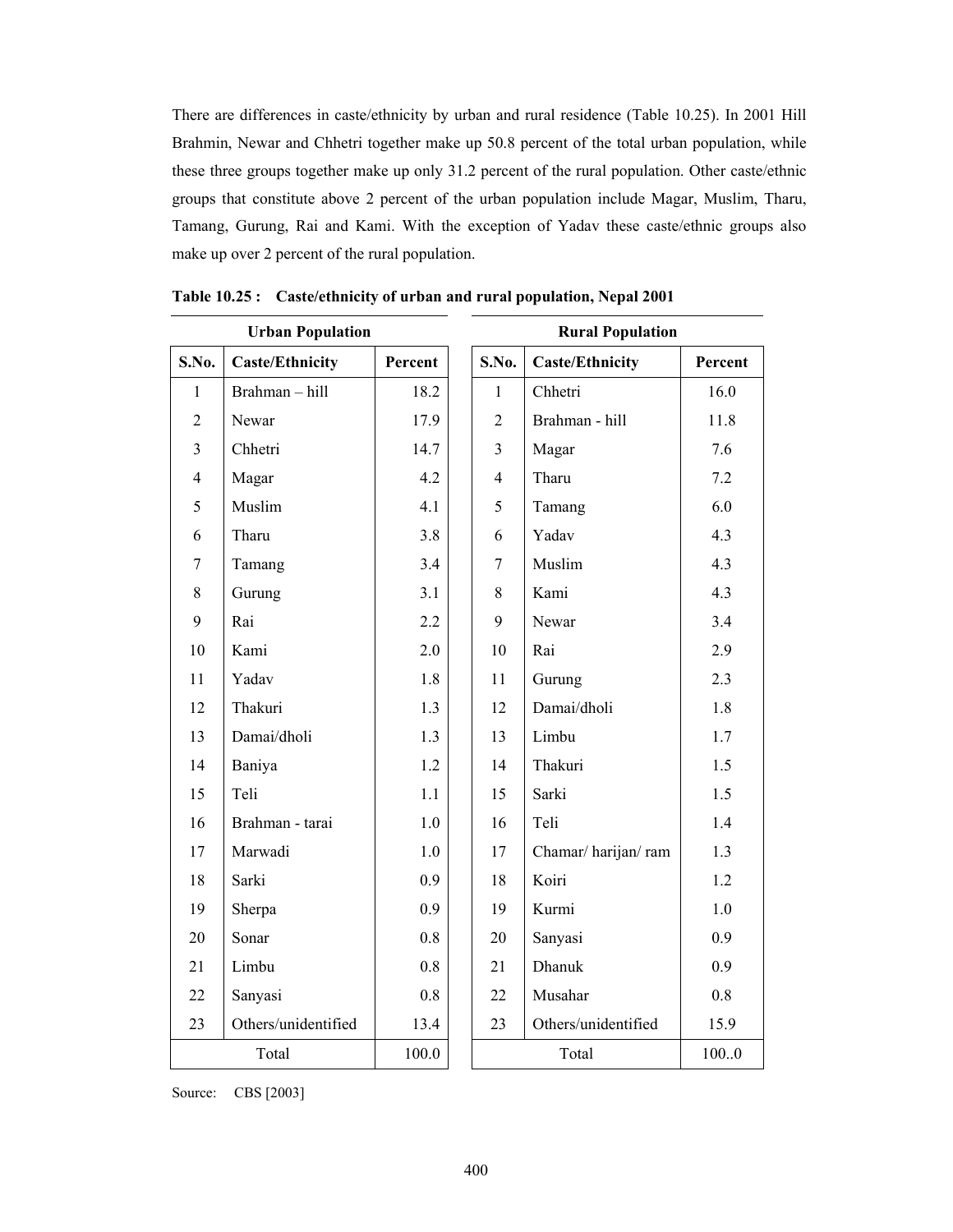There are differences in caste/ethnicity by urban and rural residence (Table 10.25). In 2001 Hill Brahmin, Newar and Chhetri together make up 50.8 percent of the total urban population, while these three groups together make up only 31.2 percent of the rural population. Other caste/ethnic groups that constitute above 2 percent of the urban population include Magar, Muslim, Tharu, Tamang, Gurung, Rai and Kami. With the exception of Yadav these caste/ethnic groups also make up over 2 percent of the rural population.

|                  | <b>Urban Population</b> |         |  |                           | <b>Rural Population</b> |         |  |
|------------------|-------------------------|---------|--|---------------------------|-------------------------|---------|--|
| S.No.            | <b>Caste/Ethnicity</b>  | Percent |  | S.No.                     | <b>Caste/Ethnicity</b>  | Percent |  |
| $\mathbf{1}$     | Brahman - hill          | 18.2    |  | 1                         | Chhetri                 | 16.0    |  |
| $\overline{2}$   | Newar                   | 17.9    |  | $\overline{2}$            | Brahman - hill          | 11.8    |  |
| $\overline{3}$   | Chhetri                 | 14.7    |  | $\overline{3}$            | Magar                   | 7.6     |  |
| $\overline{4}$   | Magar                   | 4.2     |  | $\overline{4}$            | Tharu                   | 7.2     |  |
| 5                | Muslim                  | 4.1     |  | 5                         | Tamang                  | 6.0     |  |
| 6                | Tharu                   | 3.8     |  | 6                         | Yadav                   | 4.3     |  |
| $\boldsymbol{7}$ | Tamang                  | 3.4     |  | $\overline{7}$            | Muslim                  | 4.3     |  |
| 8                | Gurung                  | 3.1     |  | 8                         | Kami                    | 4.3     |  |
| 9                | Rai                     | 2.2     |  | 9                         | Newar                   | 3.4     |  |
| 10               | Kami                    | 2.0     |  | 10                        | Rai                     | 2.9     |  |
| 11               | Yadav                   | 1.8     |  | 11                        | Gurung                  | 2.3     |  |
| 12               | Thakuri                 | 1.3     |  | 12                        | Damai/dholi             | 1.8     |  |
| 13               | Damai/dholi             | 1.3     |  | 13                        | Limbu                   | 1.7     |  |
| 14               | Baniya                  | 1.2     |  | 14                        | Thakuri                 | 1.5     |  |
| 15               | Teli                    | 1.1     |  | 15                        | Sarki                   | 1.5     |  |
| 16               | Brahman - tarai         | 1.0     |  | 16                        | Teli                    | 1.4     |  |
| 17               | Marwadi                 | 1.0     |  | 17                        | Chamar/harijan/ram      | 1.3     |  |
| 18               | Sarki                   | 0.9     |  | 18                        | Koiri                   | 1.2     |  |
| 19               | Sherpa                  | 0.9     |  | 19                        | Kurmi                   | 1.0     |  |
| 20               | Sonar                   | 0.8     |  | 20                        | Sanyasi                 | 0.9     |  |
| 21               | Limbu                   | 0.8     |  | 21                        | Dhanuk                  | 0.9     |  |
| 22               | Sanyasi                 | 0.8     |  | 22                        | Musahar                 | 0.8     |  |
| 23               | Others/unidentified     | 13.4    |  | Others/unidentified<br>23 |                         | 15.9    |  |
|                  | Total                   | 100.0   |  |                           | Total                   | 100.0   |  |

**Table 10.25 : Caste/ethnicity of urban and rural population, Nepal 2001** 

Source: CBS [2003]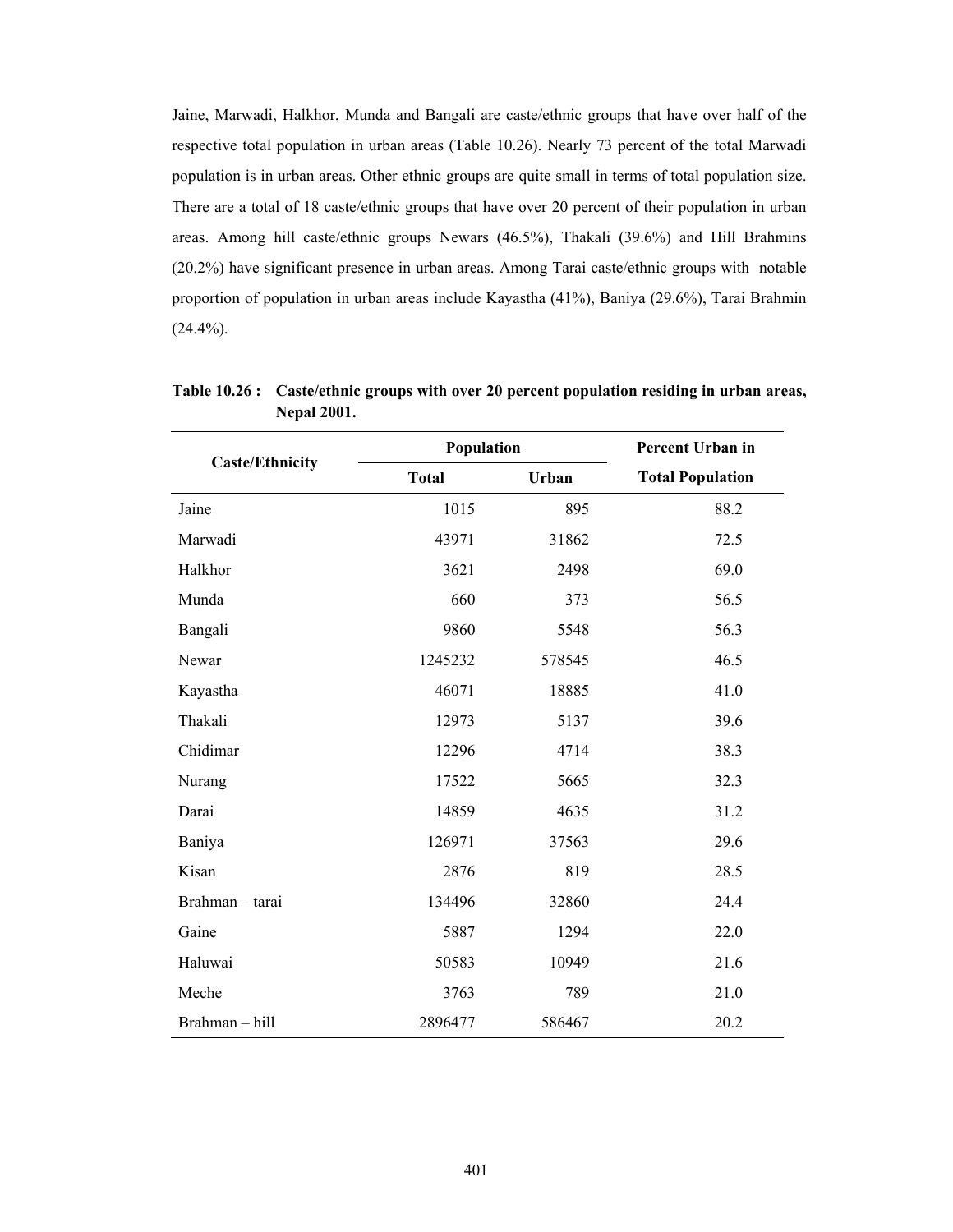Jaine, Marwadi, Halkhor, Munda and Bangali are caste/ethnic groups that have over half of the respective total population in urban areas (Table 10.26). Nearly 73 percent of the total Marwadi population is in urban areas. Other ethnic groups are quite small in terms of total population size. There are a total of 18 caste/ethnic groups that have over 20 percent of their population in urban areas. Among hill caste/ethnic groups Newars (46.5%), Thakali (39.6%) and Hill Brahmins (20.2%) have significant presence in urban areas. Among Tarai caste/ethnic groups with notable proportion of population in urban areas include Kayastha (41%), Baniya (29.6%), Tarai Brahmin  $(24.4\%)$ .

|                        | Population   | Percent Urban in |                         |
|------------------------|--------------|------------------|-------------------------|
| <b>Caste/Ethnicity</b> | <b>Total</b> | Urban            | <b>Total Population</b> |
| Jaine                  | 1015         | 895              | 88.2                    |
| Marwadi                | 43971        | 31862            | 72.5                    |
| Halkhor                | 3621         | 2498             | 69.0                    |
| Munda                  | 660          | 373              | 56.5                    |
| Bangali                | 9860         | 5548             | 56.3                    |
| Newar                  | 1245232      | 578545           | 46.5                    |
| Kayastha               | 46071        | 18885            | 41.0                    |
| Thakali                | 12973        | 5137             | 39.6                    |
| Chidimar               | 12296        | 4714             | 38.3                    |
| Nurang                 | 17522        | 5665             | 32.3                    |
| Darai                  | 14859        | 4635             | 31.2                    |
| Baniya                 | 126971       | 37563            | 29.6                    |
| Kisan                  | 2876         | 819              | 28.5                    |
| Brahman - tarai        | 134496       | 32860            | 24.4                    |
| Gaine                  | 5887         | 1294             | 22.0                    |
| Haluwai                | 50583        | 10949            | 21.6                    |
| Meche                  | 3763         | 789              | 21.0                    |
| Brahman - hill         | 2896477      | 586467           | 20.2                    |

**Table 10.26 : Caste/ethnic groups with over 20 percent population residing in urban areas, Nepal 2001.**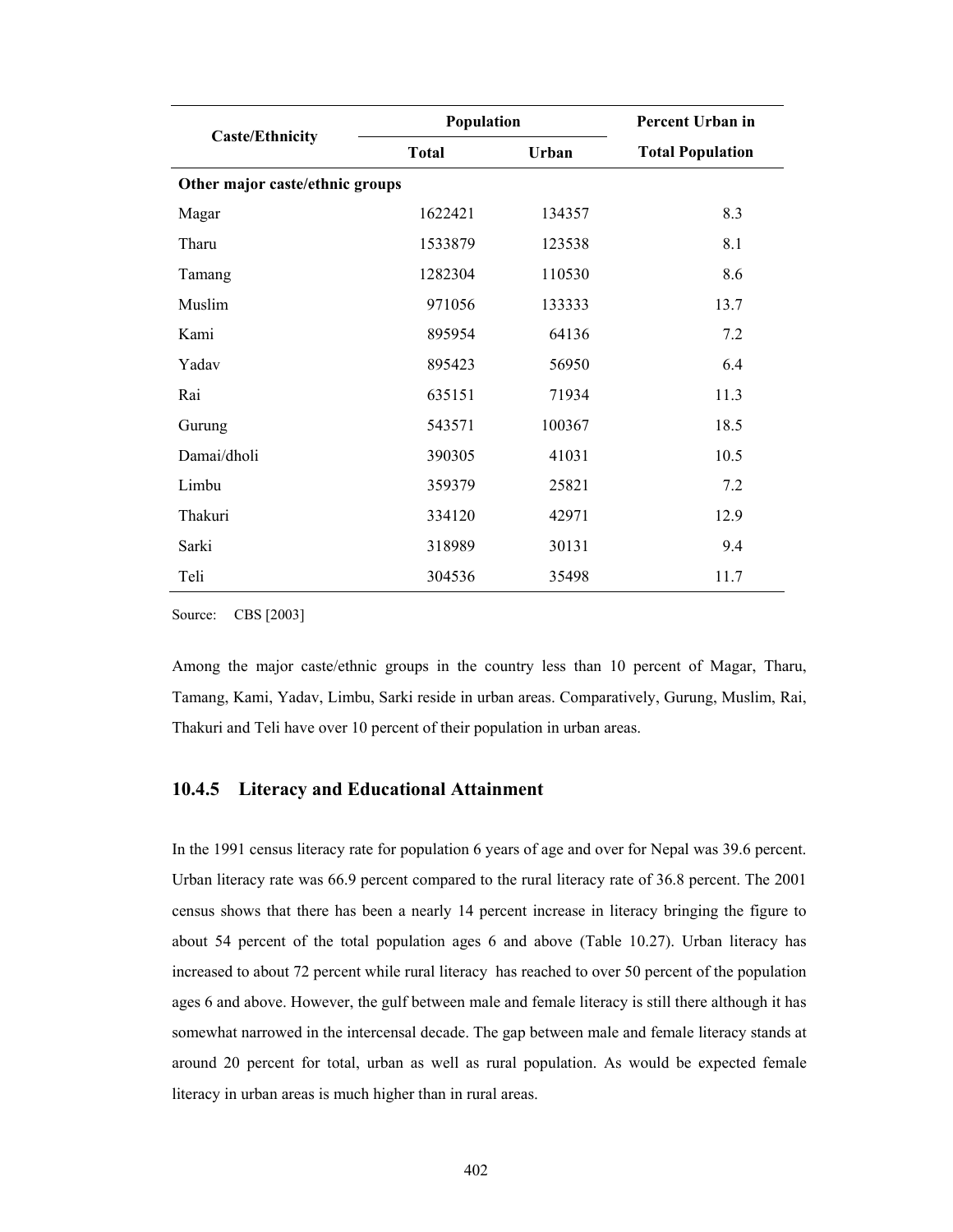|                                 | Population   | <b>Percent Urban in</b> |                         |
|---------------------------------|--------------|-------------------------|-------------------------|
| <b>Caste/Ethnicity</b>          | <b>Total</b> | <b>Urban</b>            | <b>Total Population</b> |
| Other major caste/ethnic groups |              |                         |                         |
| Magar                           | 1622421      | 134357                  | 8.3                     |
| Tharu                           | 1533879      | 123538                  | 8.1                     |
| Tamang                          | 1282304      | 110530                  | 8.6                     |
| Muslim                          | 971056       | 133333                  | 13.7                    |
| Kami                            | 895954       | 64136                   | 7.2                     |
| Yadav                           | 895423       | 56950                   | 6.4                     |
| Rai                             | 635151       | 71934                   | 11.3                    |
| Gurung                          | 543571       | 100367                  | 18.5                    |
| Damai/dholi                     | 390305       | 41031                   | 10.5                    |
| Limbu                           | 359379       | 25821                   | 7.2                     |
| Thakuri                         | 334120       | 42971                   | 12.9                    |
| Sarki                           | 318989       | 30131                   | 9.4                     |
| Teli                            | 304536       | 35498                   | 11.7                    |

Source: CBS [2003]

Among the major caste/ethnic groups in the country less than 10 percent of Magar, Tharu, Tamang, Kami, Yadav, Limbu, Sarki reside in urban areas. Comparatively, Gurung, Muslim, Rai, Thakuri and Teli have over 10 percent of their population in urban areas.

#### **10.4.5 Literacy and Educational Attainment**

In the 1991 census literacy rate for population 6 years of age and over for Nepal was 39.6 percent. Urban literacy rate was 66.9 percent compared to the rural literacy rate of 36.8 percent. The 2001 census shows that there has been a nearly 14 percent increase in literacy bringing the figure to about 54 percent of the total population ages 6 and above (Table 10.27). Urban literacy has increased to about 72 percent while rural literacy has reached to over 50 percent of the population ages 6 and above. However, the gulf between male and female literacy is still there although it has somewhat narrowed in the intercensal decade. The gap between male and female literacy stands at around 20 percent for total, urban as well as rural population. As would be expected female literacy in urban areas is much higher than in rural areas.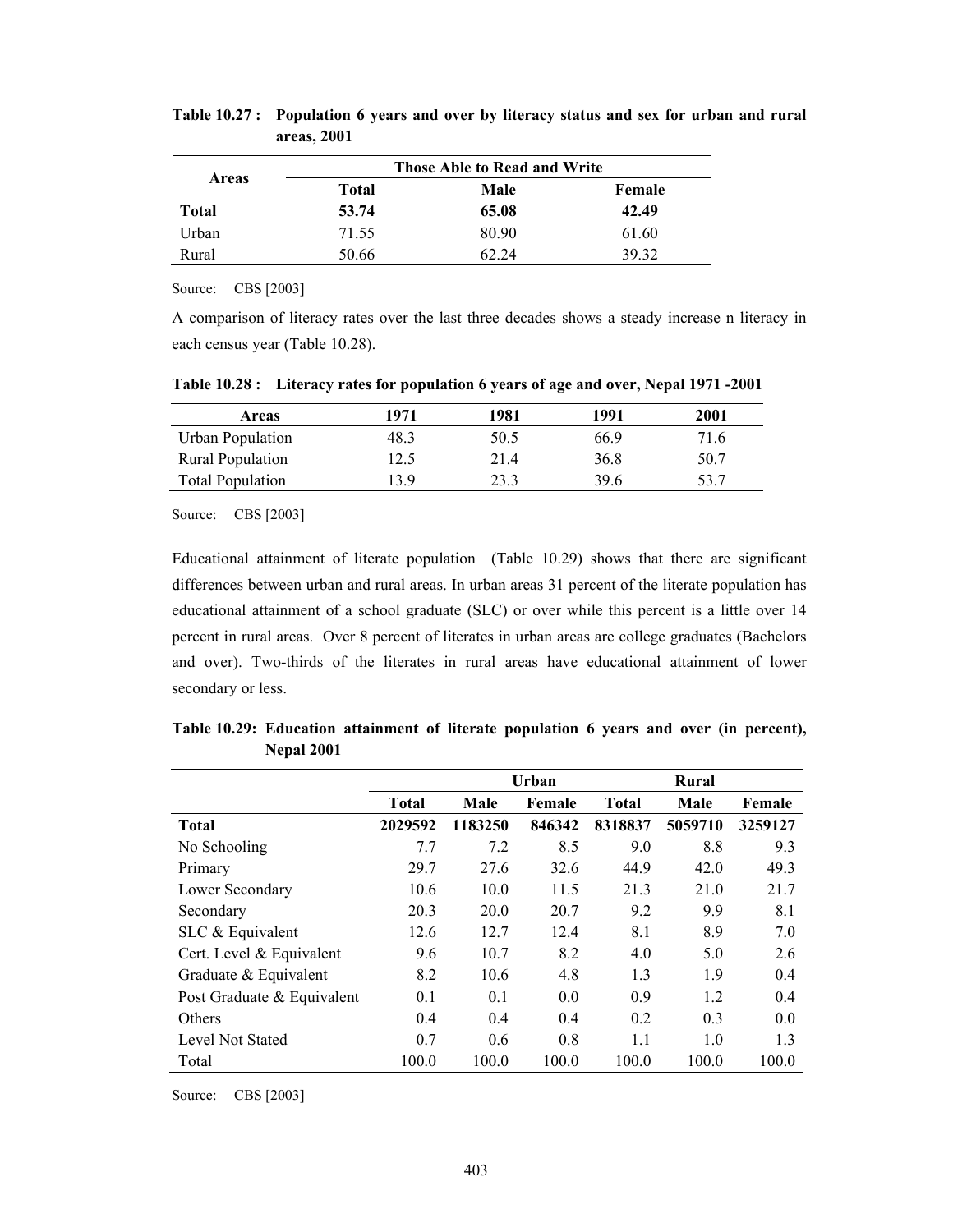|              |              | <b>Those Able to Read and Write</b> |        |
|--------------|--------------|-------------------------------------|--------|
| <b>Areas</b> | <b>Total</b> | Male                                | Female |
| <b>Total</b> | 53.74        | 65.08                               | 42.49  |
| Urban        | 71.55        | 80.90                               | 61.60  |
| Rural        | 50.66        | 62.24                               | 39 32  |

**Table 10.27 : Population 6 years and over by literacy status and sex for urban and rural areas, 2001** 

Source: CBS [2003]

A comparison of literacy rates over the last three decades shows a steady increase n literacy in each census year (Table 10.28).

**Table 10.28 : Literacy rates for population 6 years of age and over, Nepal 1971 -2001** 

| Areas                   | 1971 | 1981 | 1991 | 2001 |
|-------------------------|------|------|------|------|
| Urban Population        | 48.3 | 50.5 | 66.9 | 71.6 |
| <b>Rural Population</b> | 12.5 | 21.4 | 36.8 | 50.7 |
| <b>Total Population</b> | 139  | 23.3 | 39.6 | 53.7 |

Source: CBS [2003]

Educational attainment of literate population (Table 10.29) shows that there are significant differences between urban and rural areas. In urban areas 31 percent of the literate population has educational attainment of a school graduate (SLC) or over while this percent is a little over 14 percent in rural areas. Over 8 percent of literates in urban areas are college graduates (Bachelors and over). Two-thirds of the literates in rural areas have educational attainment of lower secondary or less.

|                            |              |         | Urban  |              | Rural   |         |
|----------------------------|--------------|---------|--------|--------------|---------|---------|
|                            | <b>Total</b> | Male    | Female | <b>Total</b> | Male    | Female  |
| <b>Total</b>               | 2029592      | 1183250 | 846342 | 8318837      | 5059710 | 3259127 |
| No Schooling               | 7.7          | 7.2     | 8.5    | 9.0          | 8.8     | 9.3     |
| Primary                    | 29.7         | 27.6    | 32.6   | 44.9         | 42.0    | 49.3    |
| Lower Secondary            | 10.6         | 10.0    | 11.5   | 21.3         | 21.0    | 21.7    |
| Secondary                  | 20.3         | 20.0    | 20.7   | 9.2          | 9.9     | 8.1     |
| SLC & Equivalent           | 12.6         | 12.7    | 12.4   | 8.1          | 8.9     | 7.0     |
| Cert. Level & Equivalent   | 9.6          | 10.7    | 8.2    | 4.0          | 5.0     | 2.6     |
| Graduate & Equivalent      | 8.2          | 10.6    | 4.8    | 1.3          | 1.9     | 0.4     |
| Post Graduate & Equivalent | 0.1          | 0.1     | 0.0    | 0.9          | 1.2     | 0.4     |
| <b>Others</b>              | 0.4          | 0.4     | 0.4    | 0.2          | 0.3     | 0.0     |
| Level Not Stated           | 0.7          | 0.6     | 0.8    | 1.1          | 1.0     | 1.3     |
| Total                      | 100.0        | 100.0   | 100.0  | 100.0        | 100.0   | 100.0   |

**Table 10.29: Education attainment of literate population 6 years and over (in percent), Nepal 2001** 

Source: CBS [2003]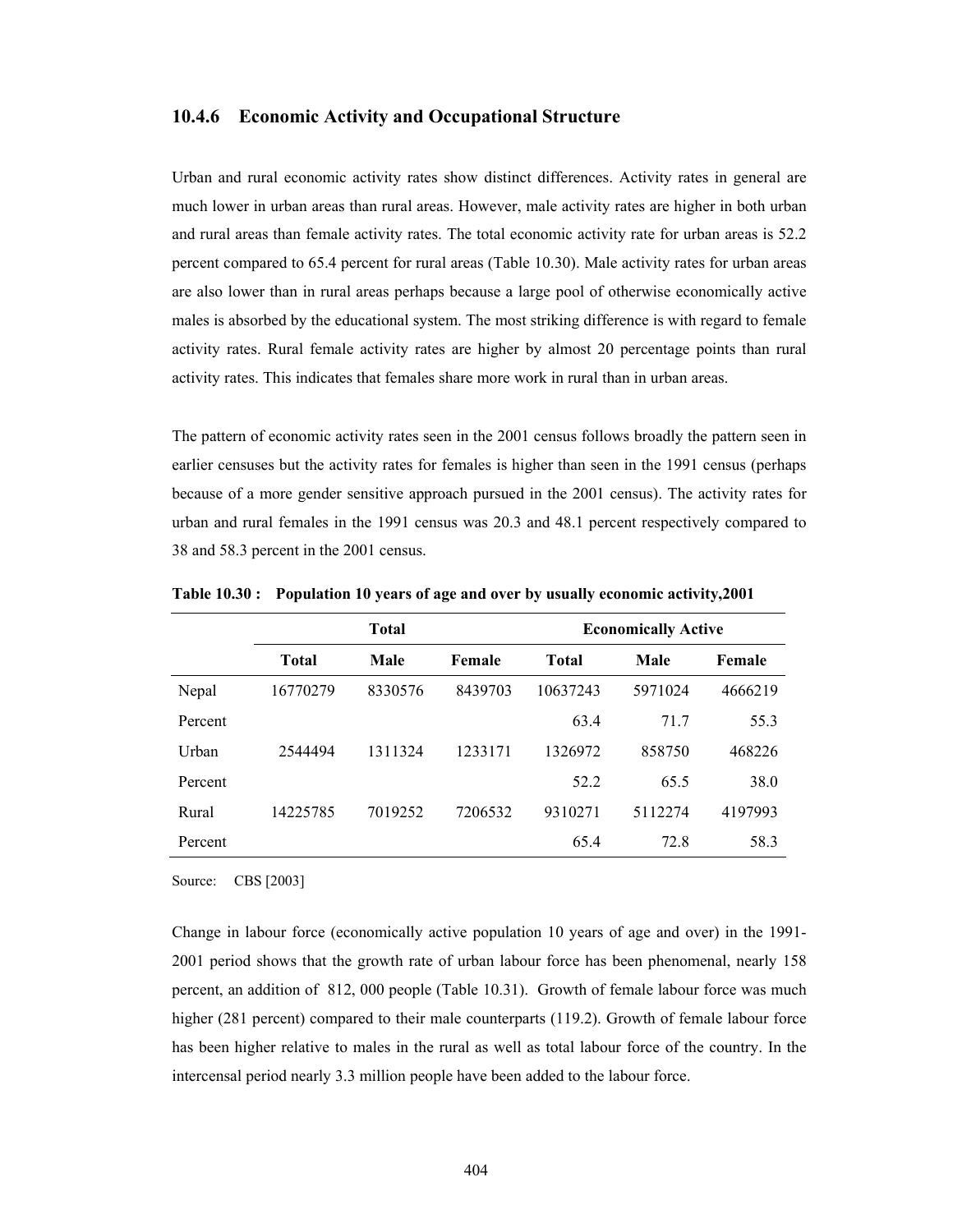#### **10.4.6 Economic Activity and Occupational Structure**

Urban and rural economic activity rates show distinct differences. Activity rates in general are much lower in urban areas than rural areas. However, male activity rates are higher in both urban and rural areas than female activity rates. The total economic activity rate for urban areas is 52.2 percent compared to 65.4 percent for rural areas (Table 10.30). Male activity rates for urban areas are also lower than in rural areas perhaps because a large pool of otherwise economically active males is absorbed by the educational system. The most striking difference is with regard to female activity rates. Rural female activity rates are higher by almost 20 percentage points than rural activity rates. This indicates that females share more work in rural than in urban areas.

The pattern of economic activity rates seen in the 2001 census follows broadly the pattern seen in earlier censuses but the activity rates for females is higher than seen in the 1991 census (perhaps because of a more gender sensitive approach pursued in the 2001 census). The activity rates for urban and rural females in the 1991 census was 20.3 and 48.1 percent respectively compared to 38 and 58.3 percent in the 2001 census.

|         | <b>Total</b> |             |         | <b>Economically Active</b> |         |         |  |
|---------|--------------|-------------|---------|----------------------------|---------|---------|--|
|         | <b>Total</b> | <b>Male</b> | Female  | <b>Total</b>               | Male    | Female  |  |
| Nepal   | 16770279     | 8330576     | 8439703 | 10637243                   | 5971024 | 4666219 |  |
| Percent |              |             |         | 63.4                       | 71.7    | 55.3    |  |
| Urban   | 2544494      | 1311324     | 1233171 | 1326972                    | 858750  | 468226  |  |
| Percent |              |             |         | 52.2                       | 65.5    | 38.0    |  |
| Rural   | 14225785     | 7019252     | 7206532 | 9310271                    | 5112274 | 4197993 |  |
| Percent |              |             |         | 65.4                       | 72.8    | 58.3    |  |

**Table 10.30 : Population 10 years of age and over by usually economic activity,2001** 

Source: CBS [2003]

Change in labour force (economically active population 10 years of age and over) in the 1991- 2001 period shows that the growth rate of urban labour force has been phenomenal, nearly 158 percent, an addition of 812, 000 people (Table 10.31). Growth of female labour force was much higher (281 percent) compared to their male counterparts (119.2). Growth of female labour force has been higher relative to males in the rural as well as total labour force of the country. In the intercensal period nearly 3.3 million people have been added to the labour force.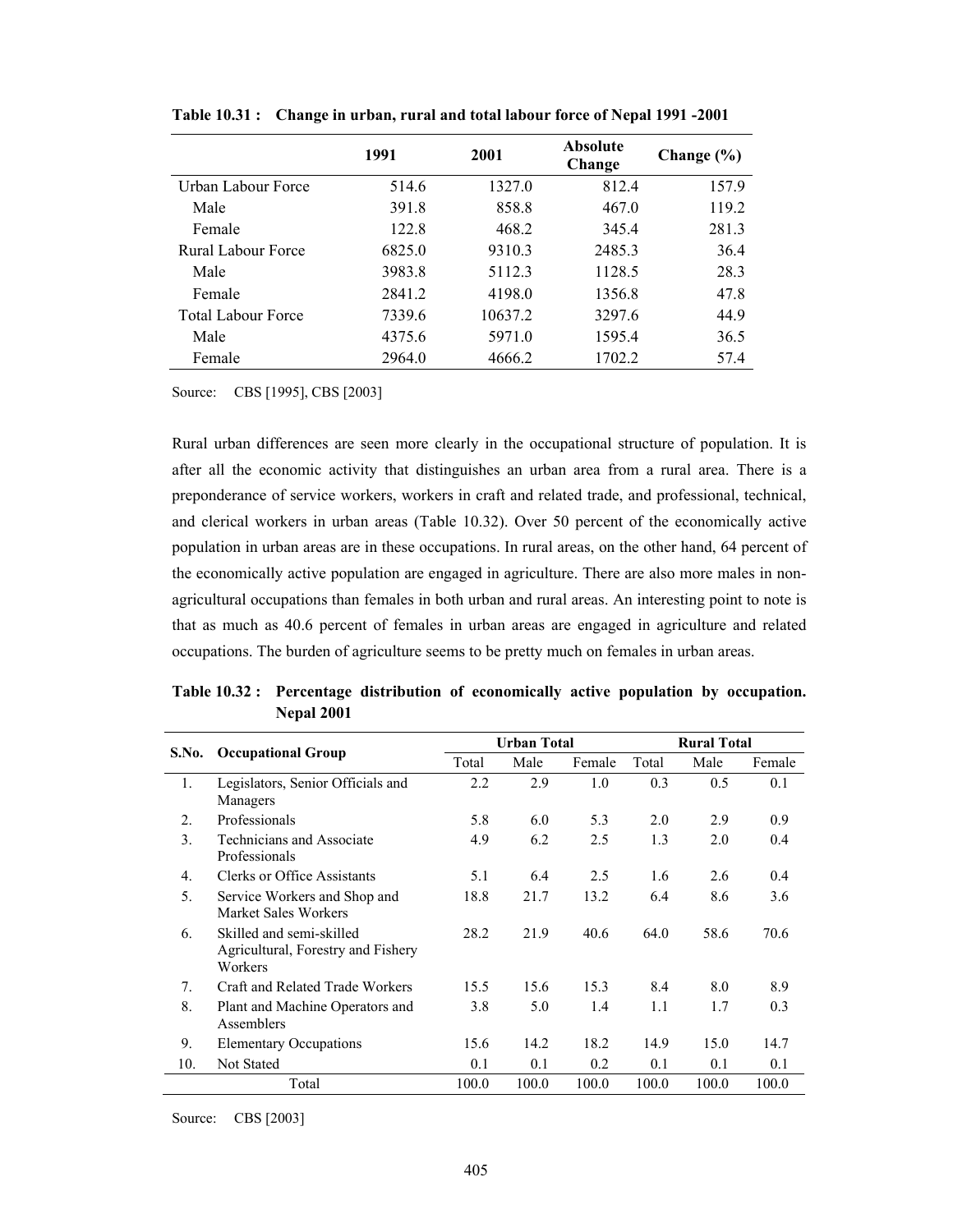|                           | 1991   | 2001    | <b>Absolute</b><br>Change | Change $(\% )$ |
|---------------------------|--------|---------|---------------------------|----------------|
| Urban Labour Force        | 514.6  | 1327.0  | 812.4                     | 157.9          |
| Male                      | 391.8  | 858.8   | 467.0                     | 119.2          |
| Female                    | 122.8  | 468.2   | 345.4                     | 281.3          |
| Rural Labour Force        | 6825.0 | 9310.3  | 2485.3                    | 36.4           |
| Male                      | 3983.8 | 5112.3  | 1128.5                    | 28.3           |
| Female                    | 2841.2 | 4198.0  | 1356.8                    | 47.8           |
| <b>Total Labour Force</b> | 7339.6 | 10637.2 | 3297.6                    | 44.9           |
| Male                      | 4375.6 | 5971.0  | 1595.4                    | 36.5           |
| Female                    | 2964.0 | 4666.2  | 1702.2                    | 57.4           |

**Table 10.31 : Change in urban, rural and total labour force of Nepal 1991 -2001** 

Source: CBS [1995], CBS [2003]

Rural urban differences are seen more clearly in the occupational structure of population. It is after all the economic activity that distinguishes an urban area from a rural area. There is a preponderance of service workers, workers in craft and related trade, and professional, technical, and clerical workers in urban areas (Table 10.32). Over 50 percent of the economically active population in urban areas are in these occupations. In rural areas, on the other hand, 64 percent of the economically active population are engaged in agriculture. There are also more males in nonagricultural occupations than females in both urban and rural areas. An interesting point to note is that as much as 40.6 percent of females in urban areas are engaged in agriculture and related occupations. The burden of agriculture seems to be pretty much on females in urban areas.

**Table 10.32 : Percentage distribution of economically active population by occupation. Nepal 2001** 

|                                 |                                                                           |       | <b>Urban Total</b> |        | <b>Rural Total</b> |       |        |
|---------------------------------|---------------------------------------------------------------------------|-------|--------------------|--------|--------------------|-------|--------|
| S.No.                           | <b>Occupational Group</b>                                                 | Total | Male               | Female | Total              | Male  | Female |
| 1.                              | Legislators, Senior Officials and<br>Managers                             | 2.2   | 2.9                | 1.0    | 0.3                | 0.5   | 0.1    |
| $\overline{2}$ .                | Professionals                                                             | 5.8   | 6.0                | 5.3    | 2.0                | 2.9   | 0.9    |
| 3 <sub>1</sub>                  | Technicians and Associate<br>Professionals                                | 4.9   | 6.2                | 2.5    | 1.3                | 2.0   | 0.4    |
| 4 <sup>1</sup>                  | Clerks or Office Assistants                                               | 5.1   | 6.4                | 2.5    | 1.6                | 2.6   | 0.4    |
| 5.                              | Service Workers and Shop and<br>Market Sales Workers                      | 18.8  | 21.7               | 13.2   | 6.4                | 8.6   | 3.6    |
| 6.                              | Skilled and semi-skilled<br>Agricultural, Forestry and Fishery<br>Workers | 28.2  | 21.9               | 40.6   | 64.0               | 58.6  | 70.6   |
| $7_{\scriptscriptstyle{\circ}}$ | Craft and Related Trade Workers                                           | 15.5  | 15.6               | 15.3   | 8.4                | 8.0   | 8.9    |
| 8.                              | Plant and Machine Operators and<br>Assemblers                             | 3.8   | 5.0                | 1.4    | 1.1                | 1.7   | 0.3    |
| 9.                              | <b>Elementary Occupations</b>                                             | 15.6  | 14.2               | 18.2   | 14.9               | 15.0  | 14.7   |
| 10.                             | <b>Not Stated</b>                                                         | 0.1   | 0.1                | 0.2    | 0.1                | 0.1   | 0.1    |
|                                 | Total                                                                     | 100.0 | 100.0              | 100.0  | 100.0              | 100.0 | 100.0  |

Source: CBS [2003]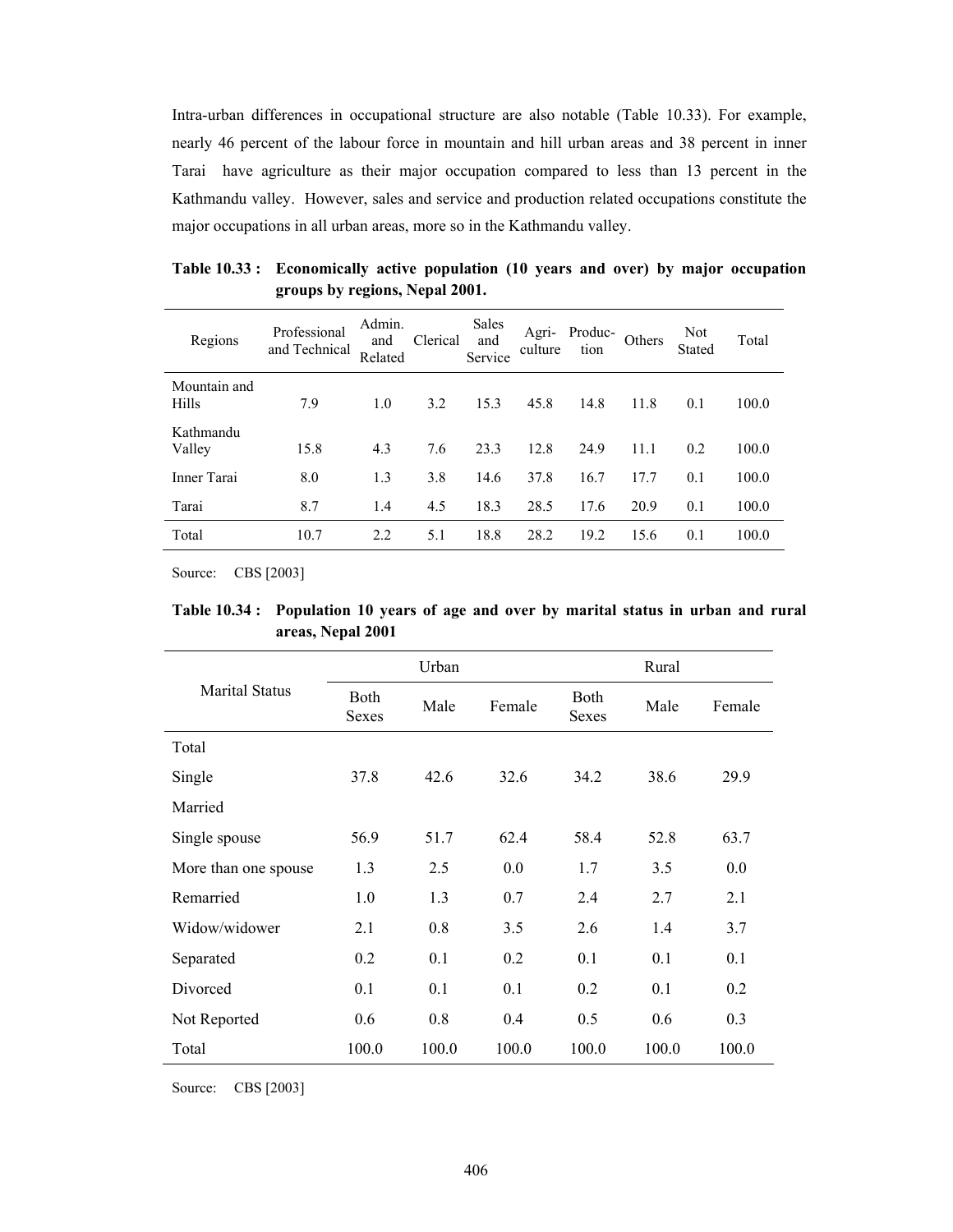Intra-urban differences in occupational structure are also notable (Table 10.33). For example, nearly 46 percent of the labour force in mountain and hill urban areas and 38 percent in inner Tarai have agriculture as their major occupation compared to less than 13 percent in the Kathmandu valley. However, sales and service and production related occupations constitute the major occupations in all urban areas, more so in the Kathmandu valley.

| Regions               | Professional<br>and Technical | Admin.<br>and<br>Related | Clerical | Sales<br>and<br>Service | Agri-<br>culture | Produc-<br>tion | Others | <b>Not</b><br>Stated | Total |
|-----------------------|-------------------------------|--------------------------|----------|-------------------------|------------------|-----------------|--------|----------------------|-------|
| Mountain and<br>Hills | 7.9                           | 1.0                      | 3.2      | 15.3                    | 45.8             | 14.8            | 11.8   | 0.1                  | 100.0 |
| Kathmandu<br>Valley   | 15.8                          | 4.3                      | 7.6      | 23.3                    | 12.8             | 24.9            | 11.1   | 0.2                  | 100.0 |
| Inner Tarai           | 8.0                           | 1.3                      | 3.8      | 14.6                    | 37.8             | 16.7            | 17.7   | 0.1                  | 100.0 |
| Tarai                 | 8.7                           | 1.4                      | 4.5      | 18.3                    | 28.5             | 17.6            | 20.9   | 0.1                  | 100.0 |
| Total                 | 10.7                          | 2.2                      | 5.1      | 18.8                    | 28.2             | 19.2            | 15.6   | 0.1                  | 100.0 |

**Table 10.33 : Economically active population (10 years and over) by major occupation groups by regions, Nepal 2001.** 

Source: CBS [2003]

| Table 10.34: Population 10 years of age and over by marital status in urban and rural |  |
|---------------------------------------------------------------------------------------|--|
| areas, Nepal 2001                                                                     |  |

|                       | Urban                |       |        |                      | Rural |        |  |
|-----------------------|----------------------|-------|--------|----------------------|-------|--------|--|
| <b>Marital Status</b> | Both<br><b>Sexes</b> | Male  | Female | <b>Both</b><br>Sexes | Male  | Female |  |
| Total                 |                      |       |        |                      |       |        |  |
| Single                | 37.8                 | 42.6  | 32.6   | 34.2                 | 38.6  | 29.9   |  |
| Married               |                      |       |        |                      |       |        |  |
| Single spouse         | 56.9                 | 51.7  | 62.4   | 58.4                 | 52.8  | 63.7   |  |
| More than one spouse  | 1.3                  | 2.5   | 0.0    | 1.7                  | 3.5   | 0.0    |  |
| Remarried             | 1.0                  | 1.3   | 0.7    | 2.4                  | 2.7   | 2.1    |  |
| Widow/widower         | 2.1                  | 0.8   | 3.5    | 2.6                  | 1.4   | 3.7    |  |
| Separated             | 0.2                  | 0.1   | 0.2    | 0.1                  | 0.1   | 0.1    |  |
| Divorced              | 0.1                  | 0.1   | 0.1    | 0.2                  | 0.1   | 0.2    |  |
| Not Reported          | 0.6                  | 0.8   | 0.4    | 0.5                  | 0.6   | 0.3    |  |
| Total                 | 100.0                | 100.0 | 100.0  | 100.0                | 100.0 | 100.0  |  |

Source: CBS [2003]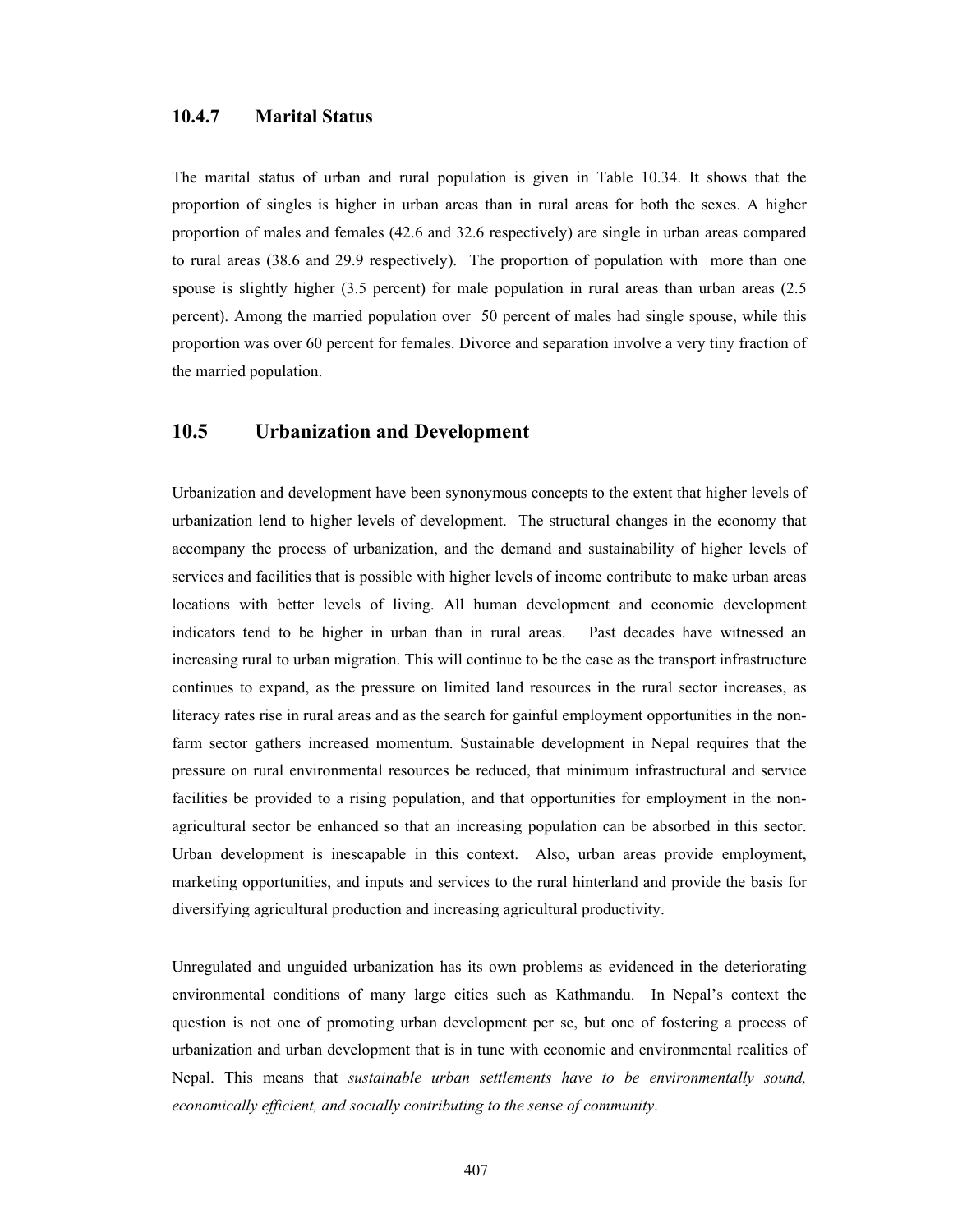#### **10.4.7 Marital Status**

The marital status of urban and rural population is given in Table 10.34. It shows that the proportion of singles is higher in urban areas than in rural areas for both the sexes. A higher proportion of males and females (42.6 and 32.6 respectively) are single in urban areas compared to rural areas (38.6 and 29.9 respectively). The proportion of population with more than one spouse is slightly higher (3.5 percent) for male population in rural areas than urban areas (2.5 percent). Among the married population over 50 percent of males had single spouse, while this proportion was over 60 percent for females. Divorce and separation involve a very tiny fraction of the married population.

## **10.5 Urbanization and Development**

Urbanization and development have been synonymous concepts to the extent that higher levels of urbanization lend to higher levels of development. The structural changes in the economy that accompany the process of urbanization, and the demand and sustainability of higher levels of services and facilities that is possible with higher levels of income contribute to make urban areas locations with better levels of living. All human development and economic development indicators tend to be higher in urban than in rural areas. Past decades have witnessed an increasing rural to urban migration. This will continue to be the case as the transport infrastructure continues to expand, as the pressure on limited land resources in the rural sector increases, as literacy rates rise in rural areas and as the search for gainful employment opportunities in the nonfarm sector gathers increased momentum. Sustainable development in Nepal requires that the pressure on rural environmental resources be reduced, that minimum infrastructural and service facilities be provided to a rising population, and that opportunities for employment in the nonagricultural sector be enhanced so that an increasing population can be absorbed in this sector. Urban development is inescapable in this context. Also, urban areas provide employment, marketing opportunities, and inputs and services to the rural hinterland and provide the basis for diversifying agricultural production and increasing agricultural productivity.

Unregulated and unguided urbanization has its own problems as evidenced in the deteriorating environmental conditions of many large cities such as Kathmandu. In Nepal's context the question is not one of promoting urban development per se, but one of fostering a process of urbanization and urban development that is in tune with economic and environmental realities of Nepal. This means that *sustainable urban settlements have to be environmentally sound, economically efficient, and socially contributing to the sense of community*.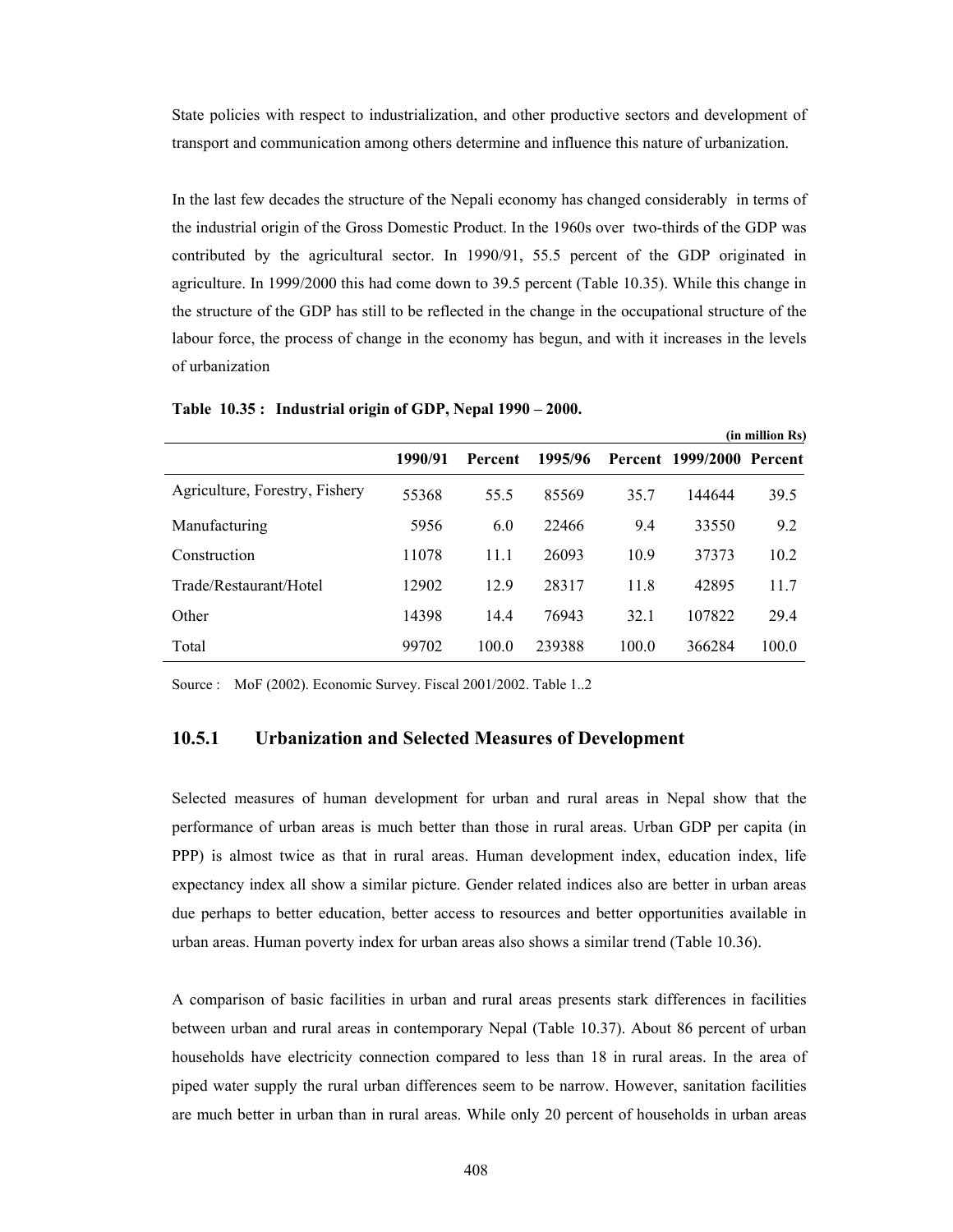State policies with respect to industrialization, and other productive sectors and development of transport and communication among others determine and influence this nature of urbanization.

In the last few decades the structure of the Nepali economy has changed considerably in terms of the industrial origin of the Gross Domestic Product. In the 1960s over two-thirds of the GDP was contributed by the agricultural sector. In 1990/91, 55.5 percent of the GDP originated in agriculture. In 1999/2000 this had come down to 39.5 percent (Table 10.35). While this change in the structure of the GDP has still to be reflected in the change in the occupational structure of the labour force, the process of change in the economy has begun, and with it increases in the levels of urbanization

|                                |         |                |         |       |                   | (in million Rs) |
|--------------------------------|---------|----------------|---------|-------|-------------------|-----------------|
|                                | 1990/91 | <b>Percent</b> | 1995/96 |       | Percent 1999/2000 | Percent         |
| Agriculture, Forestry, Fishery | 55368   | 55.5           | 85569   | 35.7  | 144644            | 39.5            |
| Manufacturing                  | 5956    | 6.0            | 22466   | 9.4   | 33550             | 9.2             |
| Construction                   | 11078   | 11.1           | 26093   | 10.9  | 37373             | 10.2            |
| Trade/Restaurant/Hotel         | 12902   | 12.9           | 28317   | 11.8  | 42895             | 11.7            |
| Other                          | 14398   | 14.4           | 76943   | 32.1  | 107822            | 29.4            |
| Total                          | 99702   | 100.0          | 239388  | 100.0 | 366284            | 100.0           |

**Table 10.35 : Industrial origin of GDP, Nepal 1990 – 2000.** 

Source : MoF (2002). Economic Survey. Fiscal 2001/2002. Table 1..2

#### **10.5.1 Urbanization and Selected Measures of Development**

Selected measures of human development for urban and rural areas in Nepal show that the performance of urban areas is much better than those in rural areas. Urban GDP per capita (in PPP) is almost twice as that in rural areas. Human development index, education index, life expectancy index all show a similar picture. Gender related indices also are better in urban areas due perhaps to better education, better access to resources and better opportunities available in urban areas. Human poverty index for urban areas also shows a similar trend (Table 10.36).

A comparison of basic facilities in urban and rural areas presents stark differences in facilities between urban and rural areas in contemporary Nepal (Table 10.37). About 86 percent of urban households have electricity connection compared to less than 18 in rural areas. In the area of piped water supply the rural urban differences seem to be narrow. However, sanitation facilities are much better in urban than in rural areas. While only 20 percent of households in urban areas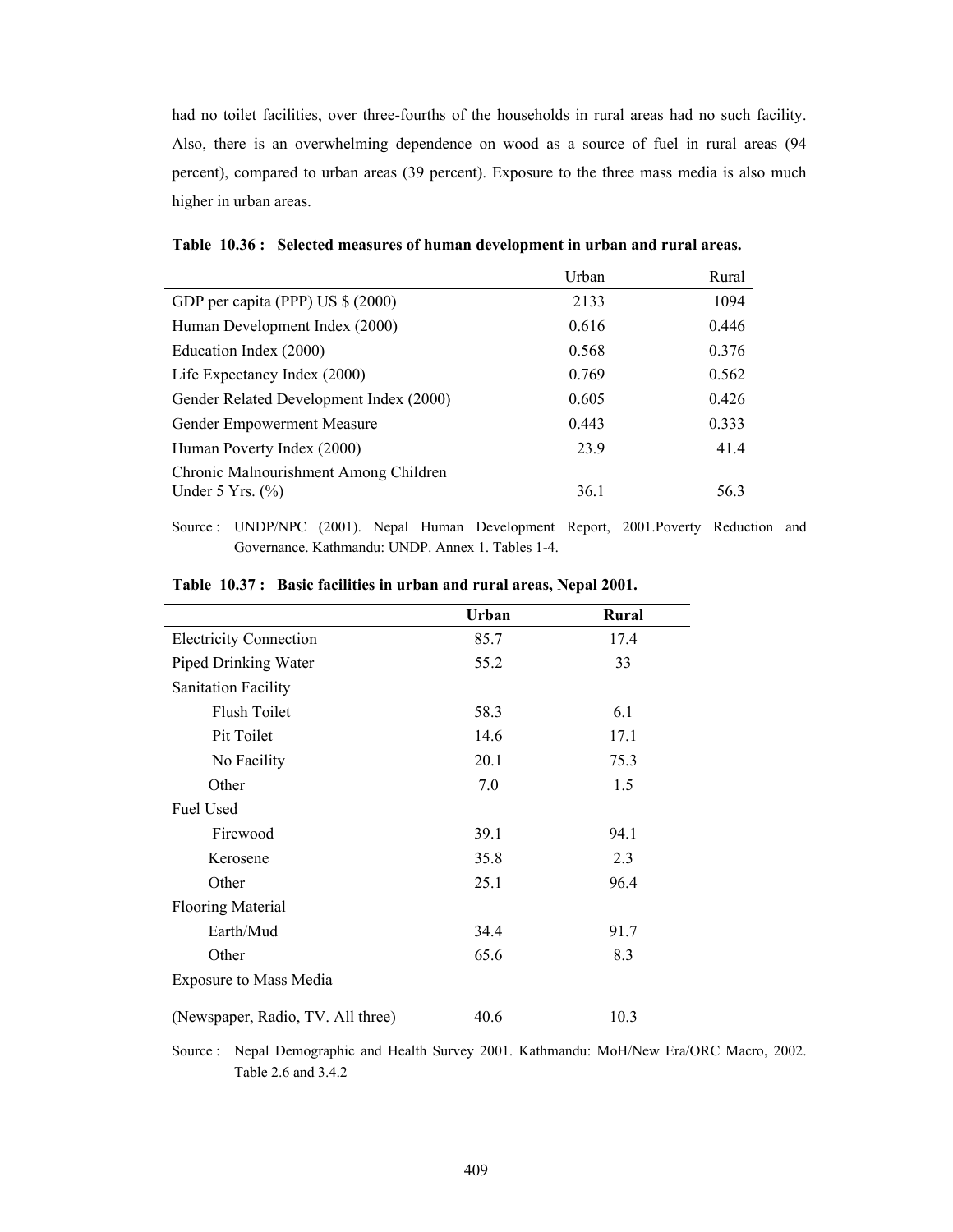had no toilet facilities, over three-fourths of the households in rural areas had no such facility. Also, there is an overwhelming dependence on wood as a source of fuel in rural areas (94 percent), compared to urban areas (39 percent). Exposure to the three mass media is also much higher in urban areas.

|                                         | Urban | Rural |
|-----------------------------------------|-------|-------|
| GDP per capita (PPP) US \$ (2000)       | 2133  | 1094  |
| Human Development Index (2000)          | 0.616 | 0.446 |
| Education Index (2000)                  | 0.568 | 0.376 |
| Life Expectancy Index (2000)            | 0.769 | 0.562 |
| Gender Related Development Index (2000) | 0.605 | 0.426 |
| Gender Empowerment Measure              | 0.443 | 0.333 |
| Human Poverty Index (2000)              | 23.9  | 41.4  |
| Chronic Malnourishment Among Children   |       |       |
| Under 5 Yrs. $(\%$                      | 36.1  | 56.3  |

**Table 10.36 : Selected measures of human development in urban and rural areas.** 

Source : UNDP/NPC (2001). Nepal Human Development Report, 2001.Poverty Reduction and Governance. Kathmandu: UNDP. Annex 1. Tables 1-4.

|                                   | Urban | Rural |
|-----------------------------------|-------|-------|
| <b>Electricity Connection</b>     | 85.7  | 17.4  |
| Piped Drinking Water              | 55.2  | 33    |
| <b>Sanitation Facility</b>        |       |       |
| Flush Toilet                      | 58.3  | 6.1   |
| Pit Toilet                        | 14.6  | 17.1  |
| No Facility                       | 20.1  | 75.3  |
| Other                             | 7.0   | 1.5   |
| <b>Fuel Used</b>                  |       |       |
| Firewood                          | 39.1  | 94.1  |
| Kerosene                          | 35.8  | 2.3   |
| Other                             | 25.1  | 96.4  |
| <b>Flooring Material</b>          |       |       |
| Earth/Mud                         | 34.4  | 91.7  |
| Other                             | 65.6  | 8.3   |
| <b>Exposure to Mass Media</b>     |       |       |
| (Newspaper, Radio, TV. All three) | 40.6  | 10.3  |

**Table 10.37 : Basic facilities in urban and rural areas, Nepal 2001.** 

Source : Nepal Demographic and Health Survey 2001. Kathmandu: MoH/New Era/ORC Macro, 2002. Table 2.6 and 3.4.2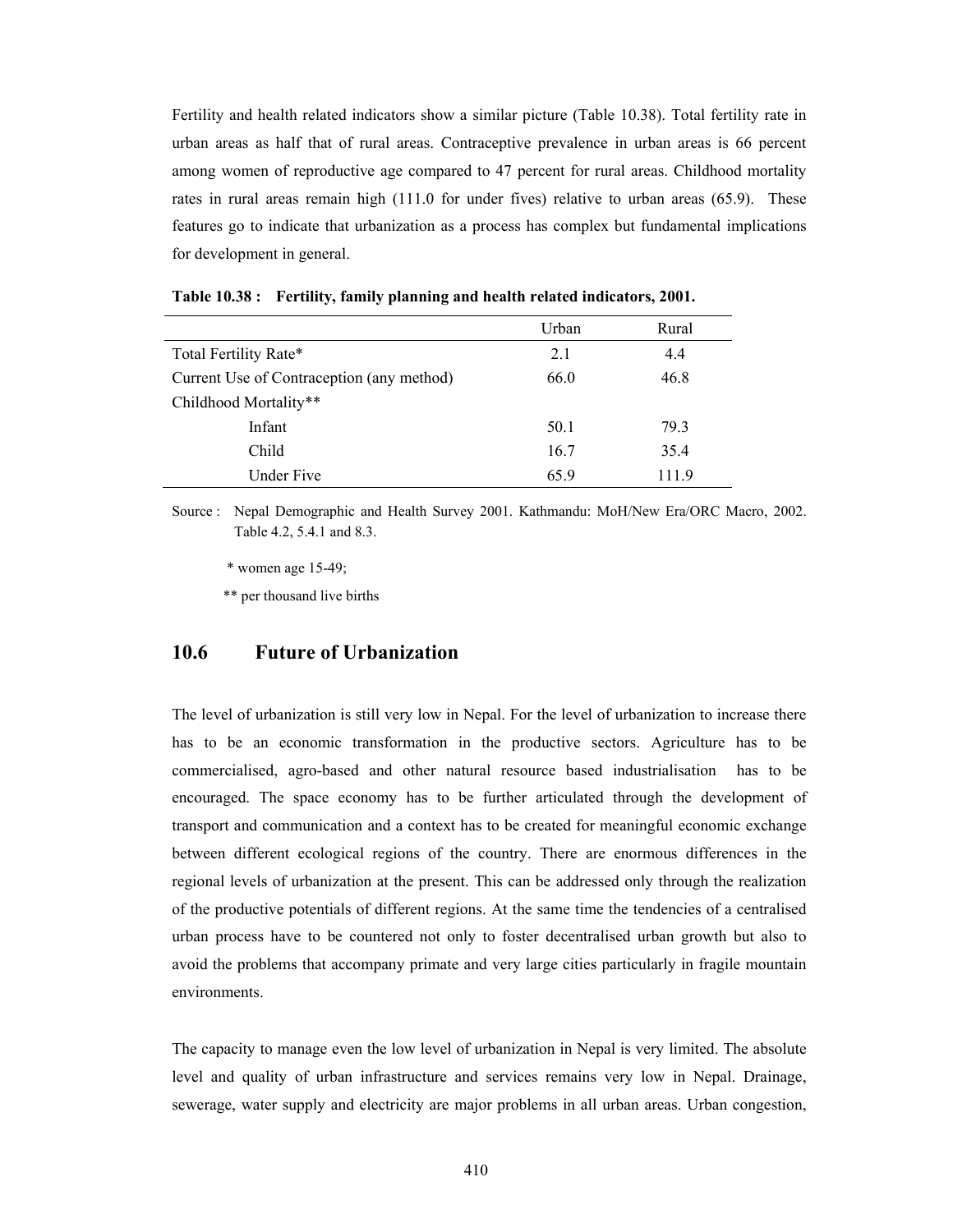Fertility and health related indicators show a similar picture (Table 10.38). Total fertility rate in urban areas as half that of rural areas. Contraceptive prevalence in urban areas is 66 percent among women of reproductive age compared to 47 percent for rural areas. Childhood mortality rates in rural areas remain high (111.0 for under fives) relative to urban areas (65.9). These features go to indicate that urbanization as a process has complex but fundamental implications for development in general.

|                                           | Urban | Rural |
|-------------------------------------------|-------|-------|
| Total Fertility Rate*                     | 2.1   | 4.4   |
| Current Use of Contraception (any method) | 66.0  | 46.8  |
| Childhood Mortality**                     |       |       |
| Infant                                    | 50.1  | 79.3  |
| Child                                     | 16.7  | 35.4  |
| <b>Under Five</b>                         | 65.9  | 1119  |

**Table 10.38 : Fertility, family planning and health related indicators, 2001.** 

Source : Nepal Demographic and Health Survey 2001. Kathmandu: MoH/New Era/ORC Macro, 2002. Table 4.2, 5.4.1 and 8.3.

\* women age 15-49;

\*\* per thousand live births

# **10.6 Future of Urbanization**

The level of urbanization is still very low in Nepal. For the level of urbanization to increase there has to be an economic transformation in the productive sectors. Agriculture has to be commercialised, agro-based and other natural resource based industrialisation has to be encouraged. The space economy has to be further articulated through the development of transport and communication and a context has to be created for meaningful economic exchange between different ecological regions of the country. There are enormous differences in the regional levels of urbanization at the present. This can be addressed only through the realization of the productive potentials of different regions. At the same time the tendencies of a centralised urban process have to be countered not only to foster decentralised urban growth but also to avoid the problems that accompany primate and very large cities particularly in fragile mountain environments.

The capacity to manage even the low level of urbanization in Nepal is very limited. The absolute level and quality of urban infrastructure and services remains very low in Nepal. Drainage, sewerage, water supply and electricity are major problems in all urban areas. Urban congestion,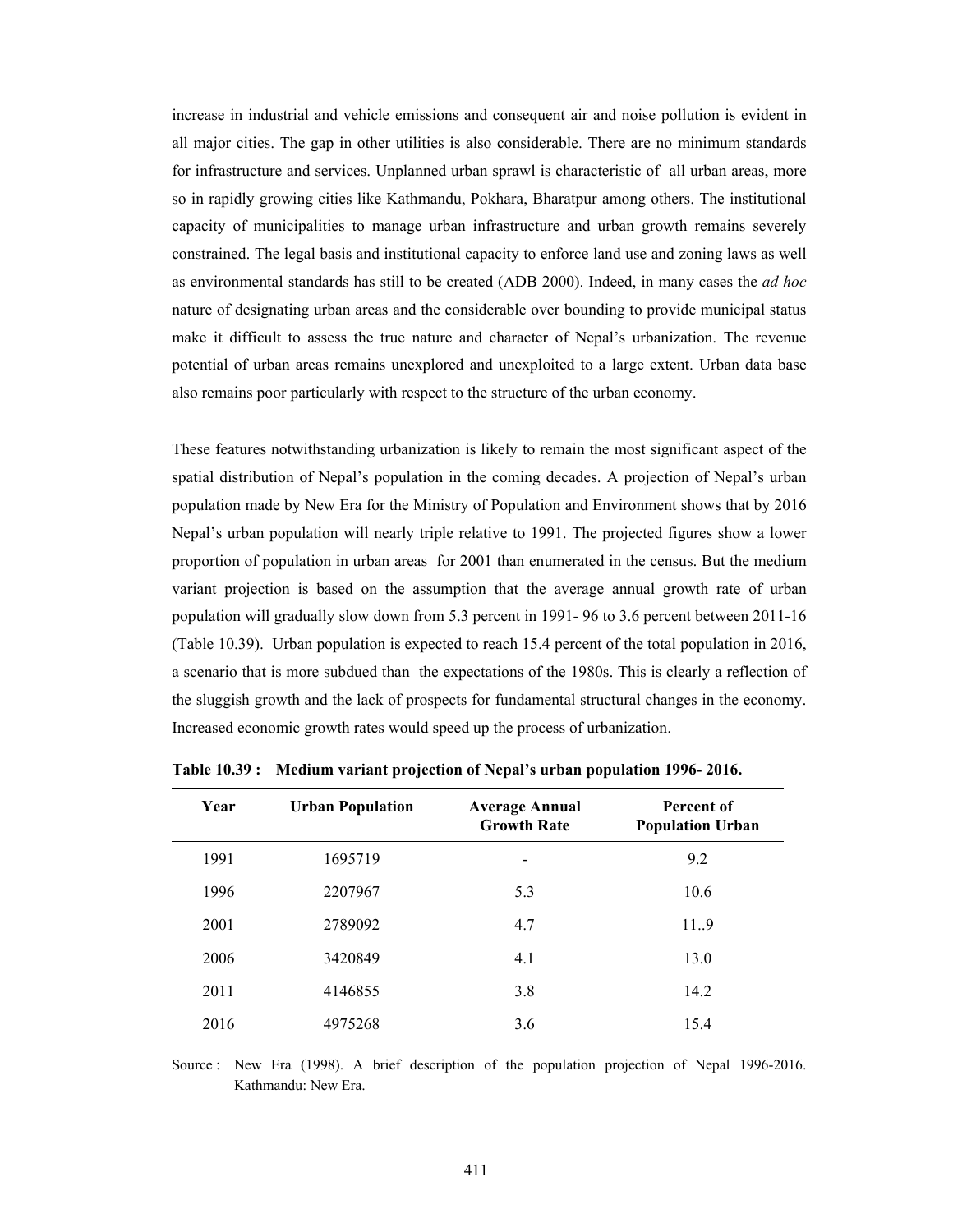increase in industrial and vehicle emissions and consequent air and noise pollution is evident in all major cities. The gap in other utilities is also considerable. There are no minimum standards for infrastructure and services. Unplanned urban sprawl is characteristic of all urban areas, more so in rapidly growing cities like Kathmandu, Pokhara, Bharatpur among others. The institutional capacity of municipalities to manage urban infrastructure and urban growth remains severely constrained. The legal basis and institutional capacity to enforce land use and zoning laws as well as environmental standards has still to be created (ADB 2000). Indeed, in many cases the *ad hoc*  nature of designating urban areas and the considerable over bounding to provide municipal status make it difficult to assess the true nature and character of Nepal's urbanization. The revenue potential of urban areas remains unexplored and unexploited to a large extent. Urban data base also remains poor particularly with respect to the structure of the urban economy.

These features notwithstanding urbanization is likely to remain the most significant aspect of the spatial distribution of Nepal's population in the coming decades. A projection of Nepal's urban population made by New Era for the Ministry of Population and Environment shows that by 2016 Nepal's urban population will nearly triple relative to 1991. The projected figures show a lower proportion of population in urban areas for 2001 than enumerated in the census. But the medium variant projection is based on the assumption that the average annual growth rate of urban population will gradually slow down from 5.3 percent in 1991- 96 to 3.6 percent between 2011-16 (Table 10.39). Urban population is expected to reach 15.4 percent of the total population in 2016, a scenario that is more subdued than the expectations of the 1980s. This is clearly a reflection of the sluggish growth and the lack of prospects for fundamental structural changes in the economy. Increased economic growth rates would speed up the process of urbanization.

| Year | <b>Urban Population</b> | <b>Average Annual</b><br><b>Growth Rate</b> | Percent of<br><b>Population Urban</b> |
|------|-------------------------|---------------------------------------------|---------------------------------------|
| 1991 | 1695719                 | $\overline{\phantom{0}}$                    | 9.2                                   |
| 1996 | 2207967                 | 5.3                                         | 10.6                                  |
| 2001 | 2789092                 | 4.7                                         | 11.9                                  |
| 2006 | 3420849                 | 4.1                                         | 13.0                                  |
| 2011 | 4146855                 | 3.8                                         | 14.2                                  |
| 2016 | 4975268                 | 3.6                                         | 15.4                                  |

**Table 10.39 : Medium variant projection of Nepal's urban population 1996- 2016.** 

Source : New Era (1998). A brief description of the population projection of Nepal 1996-2016. Kathmandu: New Era.